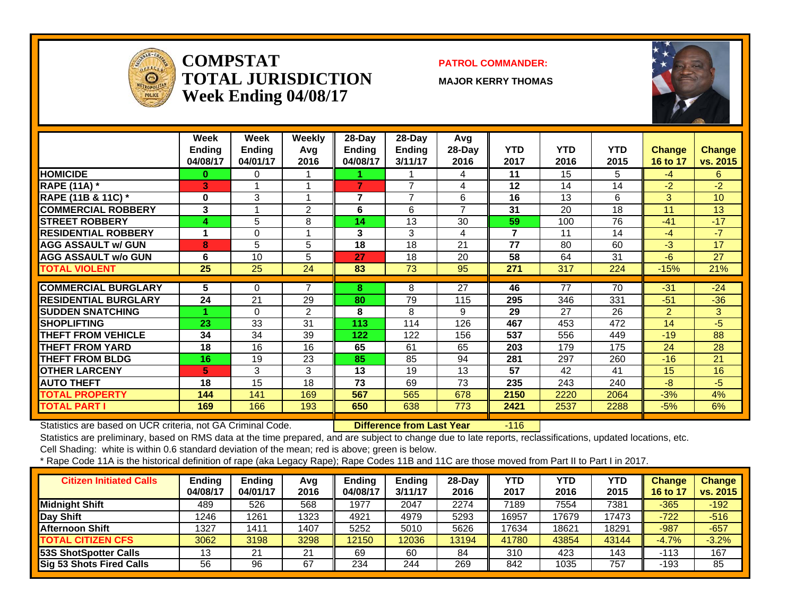

#### **COMPSTATTOTAL JURISDICTIONWeek Ending 04/08/17**

#### **PATROL COMMANDER:**

**MAJOR KERRY THOMAS**



|                             | Week<br><b>Ending</b><br>04/08/17 | Week<br>Ending<br>04/01/17 | Weekly<br>Avg<br>2016 | 28-Day<br>Ending<br>04/08/17 | $28$ -Day<br><b>Ending</b><br>3/11/17 | Avg<br>$28-Day$<br>2016  | <b>YTD</b><br>2017      | <b>YTD</b><br>2016 | <b>YTD</b><br>2015 | <b>Change</b><br>16 to 17 | <b>Change</b><br>vs. 2015 |
|-----------------------------|-----------------------------------|----------------------------|-----------------------|------------------------------|---------------------------------------|--------------------------|-------------------------|--------------------|--------------------|---------------------------|---------------------------|
| <b>HOMICIDE</b>             | $\bf{0}$                          | 0                          |                       |                              |                                       | 4                        | 11                      | 15                 | 5                  | $-4$                      | 6                         |
| <b>RAPE (11A) *</b>         | З                                 |                            |                       | 7                            | 7                                     | 4                        | 12                      | 14                 | 14                 | $-2$                      | $-2$                      |
| RAPE (11B & 11C) *          | $\bf{0}$                          | 3                          |                       | 7                            | $\overline{7}$                        | 6                        | 16                      | 13                 | 6                  | 3                         | 10                        |
| <b>COMMERCIAL ROBBERY</b>   | 3                                 |                            | 2                     | 6                            | 6                                     | $\overline{\phantom{a}}$ | 31                      | 20                 | 18                 | 11                        | 13                        |
| <b>STREET ROBBERY</b>       | 4                                 | 5                          | 8                     | 14                           | 13                                    | 30                       | 59                      | 100                | 76                 | $-41$                     | $-17$                     |
| <b>RESIDENTIAL ROBBERY</b>  | 4                                 | 0                          |                       | 3                            | 3                                     | 4                        | $\overline{\mathbf{z}}$ | 11                 | 14                 | $-4$                      | $-7$                      |
| <b>AGG ASSAULT w/ GUN</b>   | 8                                 | 5                          | 5                     | 18                           | 18                                    | 21                       | 77                      | 80                 | 60                 | $-3$                      | 17                        |
| <b>AGG ASSAULT w/o GUN</b>  | 6                                 | 10                         | 5                     | 27                           | 18                                    | 20                       | 58                      | 64                 | 31                 | $-6$                      | 27                        |
| <b>TOTAL VIOLENT</b>        | 25                                | 25                         | 24                    | 83                           | 73                                    | 95                       | 271                     | 317                | 224                | $-15%$                    | 21%                       |
|                             |                                   |                            |                       |                              |                                       |                          |                         |                    |                    |                           |                           |
| <b>COMMERCIAL BURGLARY</b>  | 5                                 | 0                          |                       | 8                            | 8                                     | 27                       | 46                      | 77                 | 70                 | $-31$                     | $-24$                     |
| <b>RESIDENTIAL BURGLARY</b> | 24                                | 21                         | 29                    | 80                           | 79                                    | 115                      | 295                     | 346                | 331                | $-51$                     | $-36$                     |
| <b>SUDDEN SNATCHING</b>     |                                   | $\Omega$                   | 2                     | 8                            | 8                                     | 9                        | 29                      | 27                 | 26                 | $\overline{2}$            | 3                         |
| <b>SHOPLIFTING</b>          | 23                                | 33                         | 31                    | 113                          | 114                                   | 126                      | 467                     | 453                | 472                | 14                        | $-5$                      |
| <b>THEFT FROM VEHICLE</b>   | 34                                | 34                         | 39                    | 122                          | 122                                   | 156                      | 537                     | 556                | 449                | $-19$                     | 88                        |
| <b>THEFT FROM YARD</b>      | 18                                | 16                         | 16                    | 65                           | 61                                    | 65                       | 203                     | 179                | 175                | 24                        | 28                        |
| <b>THEFT FROM BLDG</b>      | 16                                | 19                         | 23                    | 85                           | 85                                    | 94                       | 281                     | 297                | 260                | $-16$                     | 21                        |
| <b>OTHER LARCENY</b>        | 5.                                | 3                          | 3                     | 13                           | 19                                    | 13                       | 57                      | 42                 | 41                 | 15                        | 16                        |
| <b>AUTO THEFT</b>           | 18                                | 15                         | 18                    | 73                           | 69                                    | 73                       | 235                     | 243                | 240                | -8                        | -5                        |
| <b>TOTAL PROPERTY</b>       | 144                               | 141                        | 169                   | 567                          | 565                                   | 678                      | 2150                    | 2220               | 2064               | $-3%$                     | 4%                        |
| <b>TOTAL PART I</b>         | 169                               | 166                        | 193                   | 650                          | 638                                   | 773                      | 2421                    | 2537               | 2288               | $-5%$                     | 6%                        |

Statistics are based on UCR criteria, not GA Criminal Code. **Difference from Last Year** -116

Statistics are preliminary, based on RMS data at the time prepared, and are subject to change due to late reports, reclassifications, updated locations, etc.

Cell Shading: white is within 0.6 standard deviation of the mean; red is above; green is below.

| <b>Citizen Initiated Calls</b>  | <b>Ending</b><br>04/08/17 | <b>Ending</b><br>04/01/17 | Avg<br>2016 | Endina<br>04/08/17 | <b>Ending</b><br>3/11/17 | $28-Dav$<br>2016 | YTD<br>2017 | YTD<br>2016 | YTD<br>2015 | <b>Change</b><br>16 to 17 | <b>Change</b><br>vs. 2015 |
|---------------------------------|---------------------------|---------------------------|-------------|--------------------|--------------------------|------------------|-------------|-------------|-------------|---------------------------|---------------------------|
| Midnight Shift                  | 489                       | 526                       | 568         | 1977               | 2047                     | 2274             | 7189        | 7554        | 7381        | -365                      | $-192$                    |
| Day Shift                       | 1246                      | 1261                      | 1323        | 4921               | 4979                     | 5293             | 16957       | 7679        | 17473       | $-722$                    | $-516$                    |
| <b>Afternoon Shift</b>          | 1327                      | 1411                      | 1407        | 5252               | 5010                     | 5626             | 17634       | 8621        | 18291       | $-987$                    | $-657$                    |
| <b>TOTAL CITIZEN CFS</b>        | 3062                      | 3198                      | 3298        | 12150              | 12036                    | 13194            | 41780       | 43854       | 43144       | $-4.7%$                   | $-3.2%$                   |
| <b>53S ShotSpotter Calls</b>    | 12<br>ت ا                 | 21                        | 21          | 69                 | 60                       | 84               | 310         | 423         | 143         | $-113$                    | 167                       |
| <b>Sig 53 Shots Fired Calls</b> | 56                        | 96                        | 67          | 234                | 244                      | 269              | 842         | 1035        | 757         | $-193$                    | 85                        |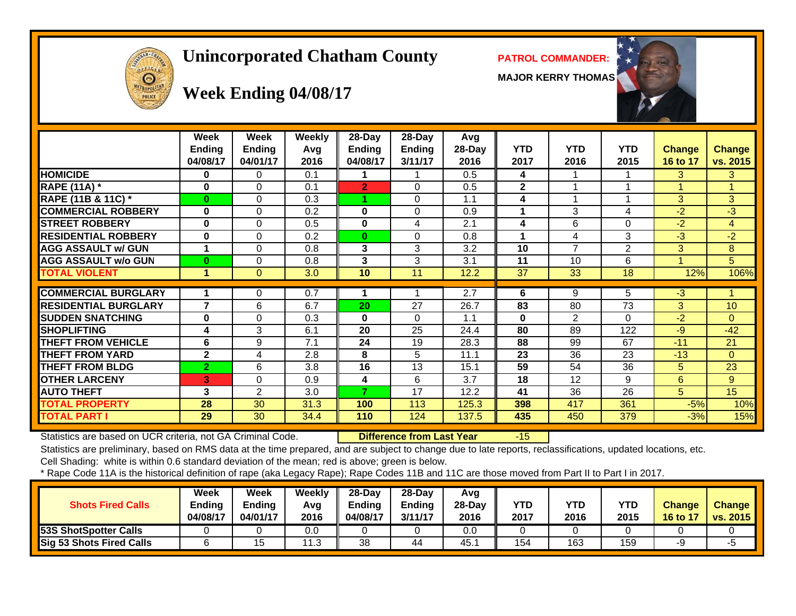# **Unincorporated Chatham County PATROL COMMANDER:**

**MAJOR KERRY THOMAS**





# **Week Ending 04/08/17**

|                             | Week<br><b>Ending</b><br>04/08/17 | Week<br><b>Ending</b><br>04/01/17 | <b>Weekly</b><br>Avg<br>2016 | $28$ -Day<br>Ending<br>04/08/17 | $28$ -Day<br><b>Ending</b><br>3/11/17 | Avg<br>28-Day<br>2016 | <b>YTD</b><br>2017 | <b>YTD</b><br>2016 | <b>YTD</b><br>2015 | <b>Change</b><br>16 to 17 | <b>Change</b><br>vs. 2015 |
|-----------------------------|-----------------------------------|-----------------------------------|------------------------------|---------------------------------|---------------------------------------|-----------------------|--------------------|--------------------|--------------------|---------------------------|---------------------------|
| <b>HOMICIDE</b>             | 0                                 | 0                                 | 0.1                          |                                 |                                       | 0.5                   | 4                  |                    |                    | 3                         | 3                         |
| <b>RAPE (11A) *</b>         | 0                                 | 0                                 | 0.1                          | $\overline{2}$                  | $\Omega$                              | 0.5                   | $\mathbf 2$        |                    |                    |                           |                           |
| RAPE (11B & 11C) *          | $\bf{0}$                          | 0                                 | 0.3                          |                                 | $\Omega$                              | 1.1                   | 4                  |                    |                    | 3                         | 3                         |
| <b>COMMERCIAL ROBBERY</b>   | 0                                 | 0                                 | 0.2                          | 0                               | $\Omega$                              | 0.9                   |                    | 3                  | 4                  | $-2$                      | $-3$                      |
| <b>STREET ROBBERY</b>       | $\bf{0}$                          | 0                                 | 0.5                          | 0                               | 4                                     | 2.1                   | 4                  | 6                  | $\Omega$           | $-2$                      | $\overline{4}$            |
| <b>RESIDENTIAL ROBBERY</b>  | 0                                 | 0                                 | 0.2                          | $\bf{0}$                        | 0                                     | 0.8                   |                    | 4                  | 3                  | $-3$                      | $-2$                      |
| <b>AGG ASSAULT w/ GUN</b>   |                                   | 0                                 | 0.8                          | 3                               | 3                                     | 3.2                   | 10                 | 7                  | $\overline{2}$     | 3                         | 8                         |
| <b>AGG ASSAULT w/o GUN</b>  | $\bf{0}$                          | 0                                 | 0.8                          | 3                               | 3                                     | 3.1                   | 11                 | 10                 | 6                  |                           | 5                         |
| <b>TOTAL VIOLENT</b>        | 1                                 | 0                                 | 3.0                          | 10                              | 11                                    | 12.2                  | 37                 | 33                 | 18                 | 12%                       | 106%                      |
|                             |                                   |                                   |                              |                                 |                                       |                       |                    |                    |                    |                           |                           |
| <b>COMMERCIAL BURGLARY</b>  |                                   | 0                                 | 0.7                          |                                 |                                       | 2.7                   | 6                  | 9                  | 5                  | $\overline{3}$            |                           |
| <b>RESIDENTIAL BURGLARY</b> | $\overline{\mathbf{z}}$           | 6                                 | 6.7                          | 20                              | 27                                    | 26.7                  | 83                 | 80                 | 73                 | 3                         | 10                        |
| <b>SUDDEN SNATCHING</b>     | $\bf{0}$                          | 0                                 | 0.3                          | $\bf{0}$                        | $\Omega$                              | 1.1                   | $\bf{0}$           | 2                  | $\Omega$           | $-2$                      | $\Omega$                  |
| <b>SHOPLIFTING</b>          | 4                                 | 3                                 | 6.1                          | 20                              | 25                                    | 24.4                  | 80                 | 89                 | 122                | $-9$                      | $-42$                     |
| <b>THEFT FROM VEHICLE</b>   | 6                                 | 9                                 | 7.1                          | 24                              | 19                                    | 28.3                  | 88                 | 99                 | 67                 | $-11$                     | 21                        |
| THEFT FROM YARD             | $\mathbf{2}$                      | 4                                 | 2.8                          | 8                               | 5                                     | 11.1                  | 23                 | 36                 | 23                 | $-13$                     | $\Omega$                  |
| <b>THEFT FROM BLDG</b>      | $\overline{2}$                    | 6                                 | 3.8                          | 16                              | 13                                    | 15.1                  | 59                 | 54                 | 36                 | 5.                        | 23                        |
| <b>OTHER LARCENY</b>        | 3                                 | 0                                 | 0.9                          | 4                               | 6                                     | 3.7                   | 18                 | 12                 | 9                  | 6                         | 9                         |
| <b>AUTO THEFT</b>           | 3                                 | $\overline{2}$                    | 3.0                          | 7                               | 17                                    | 12.2                  | 41                 | 36                 | 26                 | 5.                        | 15                        |
| <b>TOTAL PROPERTY</b>       | 28                                | 30                                | 31.3                         | 100                             | 113                                   | 125.3                 | 398                | 417                | 361                | $-5%$                     | 10%                       |
| TOTAL PART I                | 29                                | 30                                | 34.4                         | 110                             | 124                                   | 137.5                 | 435                | 450                | 379                | $-3%$                     | 15%                       |

Statistics are based on UCR criteria, not GA Criminal Code. **Difference from Last Year** -15

Statistics are preliminary, based on RMS data at the time prepared, and are subject to change due to late reports, reclassifications, updated locations, etc. Cell Shading: white is within 0.6 standard deviation of the mean; red is above; green is below.

| <b>Shots Fired Calls</b>        | Week<br><b>Ending</b><br>04/08/17 | Week<br><b>Ending</b><br>04/01/17 | Weekly<br>Avg<br>2016 | $28$ -Dav<br>Ending<br>04/08/17 | $28-Day$<br><b>Ending</b><br>3/11/17 | Avg<br>$28-Dav$<br>2016 | <b>YTD</b><br>2017 | <b>YTD</b><br>2016 | <b>YTD</b><br>2015 | <b>Change</b><br><b>16 to 17</b> | <b>Change</b><br>vs. 2015 |
|---------------------------------|-----------------------------------|-----------------------------------|-----------------------|---------------------------------|--------------------------------------|-------------------------|--------------------|--------------------|--------------------|----------------------------------|---------------------------|
| <b>53S ShotSpotter Calls</b>    |                                   |                                   | 0.0                   |                                 |                                      | 0.0                     |                    |                    |                    |                                  |                           |
| <b>Sig 53 Shots Fired Calls</b> |                                   |                                   | 11.3                  | 38                              | 44                                   | 45.                     | 154                | 163                | 159                | -2                               | -ე                        |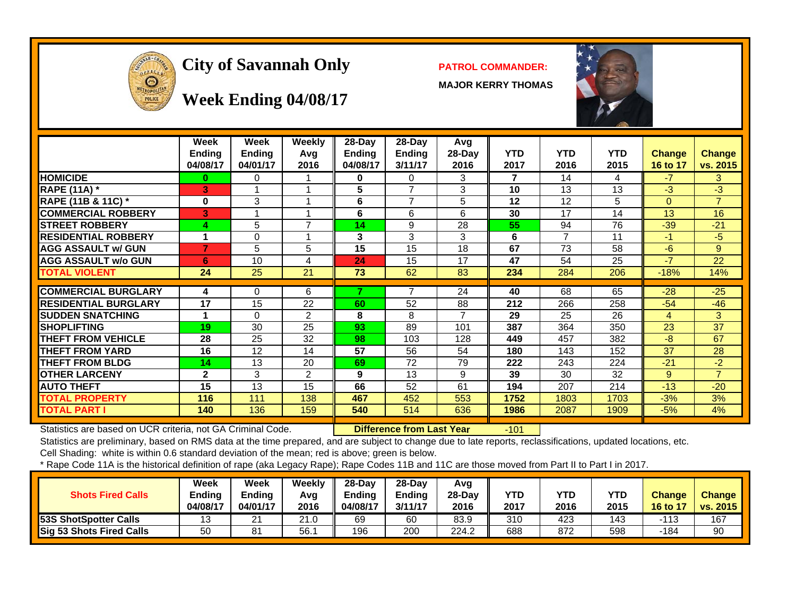

# City of Savannah Only **PATROL COMMANDER:**

**MAJOR KERRY THOMAS**



#### **Week Ending 04/08/17**

|                             | Week<br><b>Ending</b><br>04/08/17 | Week<br><b>Ending</b><br>04/01/17 | Weekly<br>Avg<br>2016 | $28$ -Day<br>Ending<br>04/08/17 | $28$ -Day<br><b>Ending</b><br>3/11/17 | Avg<br>28-Day<br>2016 | <b>YTD</b><br>2017 | <b>YTD</b><br>2016 | <b>YTD</b><br>2015 | <b>Change</b><br>16 to 17 | <b>Change</b><br>vs. 2015 |
|-----------------------------|-----------------------------------|-----------------------------------|-----------------------|---------------------------------|---------------------------------------|-----------------------|--------------------|--------------------|--------------------|---------------------------|---------------------------|
| <b>HOMICIDE</b>             | 0                                 | 0                                 |                       | 0                               | 0                                     | 3                     | 7                  | 14                 | 4                  | $-7$                      | 3                         |
| <b>RAPE (11A) *</b>         | З                                 |                                   |                       | 5                               | $\overline{ }$                        | 3                     | 10                 | 13                 | 13                 | -3                        | $-3$                      |
| RAPE (11B & 11C) *          | $\bf{0}$                          | 3                                 | 1                     | 6                               | $\overline{7}$                        | 5                     | 12                 | 12                 | 5                  | $\Omega$                  | $\overline{7}$            |
| <b>COMMERCIAL ROBBERY</b>   | 3                                 |                                   |                       | 6                               | 6                                     | 6                     | 30                 | 17                 | 14                 | 13                        | 16                        |
| <b>STREET ROBBERY</b>       | 4                                 | 5                                 | $\overline{7}$        | 14                              | 9                                     | 28                    | 55                 | 94                 | 76                 | $-39$                     | $-21$                     |
| <b>RESIDENTIAL ROBBERY</b>  |                                   | $\Omega$                          |                       | 3                               | 3                                     | 3                     | 6                  |                    | 11                 | -1                        | $-5$                      |
| <b>AGG ASSAULT w/ GUN</b>   | 7                                 | 5                                 | 5                     | 15                              | 15                                    | 18                    | 67                 | 73                 | 58                 | $-6$                      | 9                         |
| <b>AGG ASSAULT w/o GUN</b>  | 6                                 | 10                                | 4                     | 24                              | 15                                    | 17                    | 47                 | 54                 | 25                 | -7                        | 22                        |
| <b>TOTAL VIOLENT</b>        | 24                                | 25                                | 21                    | 73                              | 62                                    | 83                    | 234                | 284                | 206                | $-18%$                    | 14%                       |
|                             |                                   |                                   |                       |                                 |                                       |                       |                    |                    |                    |                           |                           |
| <b>COMMERCIAL BURGLARY</b>  | 4                                 | $\Omega$                          | 6                     |                                 | $\overline{ }$                        | 24                    | 40                 | 68                 | 65                 | $-28$                     | $-25$                     |
| <b>RESIDENTIAL BURGLARY</b> | 17                                | 15                                | 22                    | 60                              | 52                                    | 88                    | 212                | 266                | 258                | $-54$                     | $-46$                     |
| <b>SUDDEN SNATCHING</b>     |                                   | $\Omega$                          | 2                     | 8                               | 8                                     | 7                     | 29                 | 25                 | 26                 | 4                         | 3                         |
| <b>SHOPLIFTING</b>          | 19                                | 30                                | 25                    | 93                              | 89                                    | 101                   | 387                | 364                | 350                | 23                        | 37                        |
| <b>THEFT FROM VEHICLE</b>   | 28                                | 25                                | 32                    | 98                              | 103                                   | 128                   | 449                | 457                | 382                | -8                        | 67                        |
| <b>THEFT FROM YARD</b>      | 16                                | 12                                | 14                    | 57                              | 56                                    | 54                    | 180                | 143                | 152                | 37                        | 28                        |
| <b>THEFT FROM BLDG</b>      | 14                                | 13                                | 20                    | 69                              | 72                                    | 79                    | 222                | 243                | 224                | $-21$                     | $-2$                      |
| <b>OTHER LARCENY</b>        | $\mathbf{2}$                      | 3                                 | $\overline{2}$        | 9                               | 13                                    | 9                     | 39                 | 30                 | 32                 | 9                         | $\overline{7}$            |
| <b>AUTO THEFT</b>           | 15                                | 13                                | 15                    | 66                              | 52                                    | 61                    | 194                | 207                | 214                | $-13$                     | $-20$                     |
| <b>TOTAL PROPERTY</b>       | 116                               | 111                               | 138                   | 467                             | 452                                   | 553                   | 1752               | 1803               | 1703               | $-3%$                     | 3%                        |
| <b>TOTAL PART I</b>         | 140                               | 136                               | 159                   | 540                             | 514                                   | 636                   | 1986               | 2087               | 1909               | $-5%$                     | 4%                        |

Statistics are based on UCR criteria, not GA Criminal Code. **Difference from Last Year** -101

Statistics are preliminary, based on RMS data at the time prepared, and are subject to change due to late reports, reclassifications, updated locations, etc.

Cell Shading: white is within 0.6 standard deviation of the mean; red is above; green is below.

| <b>Shots Fired Calls</b>     | Week<br>Ending<br>04/08/17 | Week<br>Ending<br>04/01/17 | Weekly<br>Avg<br>2016 | $28-Dav$<br><b>Endina</b><br>04/08/17 | $28-Dav$<br>Ending<br>3/11/17 | Avg<br>$28-Dav$<br>2016 | <b>YTD</b><br>2017 | YTD<br>2016 | <b>YTD</b><br>2015 | <b>Change</b><br>$\sqrt{16}$ to $1$ | <b>Change</b><br><b>vs. 2015</b> |
|------------------------------|----------------------------|----------------------------|-----------------------|---------------------------------------|-------------------------------|-------------------------|--------------------|-------------|--------------------|-------------------------------------|----------------------------------|
| <b>53S ShotSpotter Calls</b> | ں ا                        | n,<br>∠                    | 21.0                  | 69                                    | 60                            | 83.9                    | 310                | 423         | 143                | -113                                | 167                              |
| Sig 53 Shots Fired Calls     | 50                         | 81                         | 56.                   | 196                                   | 200                           | 224.2                   | 688                | 872         | 598                | -184                                | 90                               |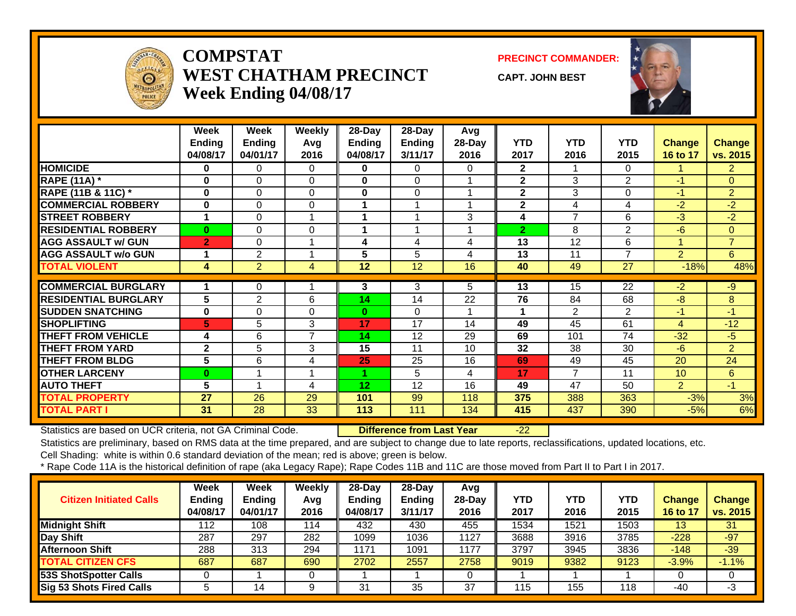

#### **COMPSTATWEST CHATHAM PRECINCTWeek Ending 04/08/17**

**PRECINCT COMMANDER:**

**CAPT. JOHN BEST**



|                             | Week           | Week           | <b>Weekly</b>  | 28-Day          | 28-Day                  | Avg    |                |                |                |                |                |
|-----------------------------|----------------|----------------|----------------|-----------------|-------------------------|--------|----------------|----------------|----------------|----------------|----------------|
|                             | <b>Ending</b>  | <b>Ending</b>  | Avg            | <b>Ending</b>   | Ending                  | 28-Day | <b>YTD</b>     | <b>YTD</b>     | <b>YTD</b>     | <b>Change</b>  | Change         |
|                             | 04/08/17       | 04/01/17       | 2016           | 04/08/17        | 3/11/17                 | 2016   | 2017           | 2016           | 2015           | 16 to 17       | vs. 2015       |
| <b>HOMICIDE</b>             | 0              | 0              | $\Omega$       | 0               | $\Omega$                | 0      | $\overline{2}$ |                | $\Omega$       |                | 2              |
| <b>RAPE (11A)</b> *         | $\mathbf 0$    | $\Omega$       | $\Omega$       | $\mathbf{0}$    | $\Omega$                |        | $\mathbf{2}$   | 3              | 2              | $-1$           | $\Omega$       |
| RAPE (11B & 11C) *          | $\mathbf 0$    | $\Omega$       | 0              | 0               | $\Omega$                |        | $\mathbf{2}$   | 3              | $\Omega$       | $-1$           | $\overline{2}$ |
| <b>COMMERCIAL ROBBERY</b>   | $\bf{0}$       | $\Omega$       | 0              |                 | $\overline{\mathbf{A}}$ |        | $\mathbf{2}$   | 4              | 4              | $-2$           | $-2$           |
| <b>STREET ROBBERY</b>       | 1              | $\Omega$       |                |                 |                         | 3      | 4              | $\overline{7}$ | 6              | $-3$           | $-2$           |
| <b>RESIDENTIAL ROBBERY</b>  | 0              | $\Omega$       | 0              |                 |                         |        | $\overline{2}$ | 8              | $\overline{2}$ | $-6$           | $\Omega$       |
| <b>AGG ASSAULT w/ GUN</b>   | $\overline{2}$ | $\Omega$       |                | 4               | 4                       | 4      | 13             | 12             | 6              |                | $\overline{7}$ |
| <b>AGG ASSAULT w/o GUN</b>  | 1              | 2              |                | 5               | 5                       | 4      | 13             | 11             | 7              | $\overline{2}$ | 6              |
| <b>TOTAL VIOLENT</b>        | 4              | $\overline{2}$ | 4              | 12              | 12                      | 16     | 40             | 49             | 27             | $-18%$         | 48%            |
|                             |                |                |                |                 |                         |        |                |                |                |                |                |
| <b>COMMERCIAL BURGLARY</b>  | 1              | 0              |                | 3               | 3                       | 5.     | 13             | 15             | 22             | $-2$           | $-9$           |
| <b>RESIDENTIAL BURGLARY</b> | 5              | 2              | 6              | 14              | 14                      | 22     | 76             | 84             | 68             | $-8$           | 8              |
| <b>SUDDEN SNATCHING</b>     | $\bf{0}$       | $\Omega$       | 0              | $\bf{0}$        | $\Omega$                |        |                | $\overline{2}$ | 2              | -1             | $-1$           |
| <b>SHOPLIFTING</b>          | 5              | 5              | 3              | 17              | 17                      | 14     | 49             | 45             | 61             | 4              | $-12$          |
| <b>THEFT FROM VEHICLE</b>   | 4              | 6              | 7              | 14              | 12                      | 29     | 69             | 101            | 74             | $-32$          | $-5$           |
| <b>THEFT FROM YARD</b>      | $\overline{2}$ | 5              | 3              | 15              | 11                      | 10     | 32             | 38             | 30             | $-6$           | 2              |
| <b>THEFT FROM BLDG</b>      | 5              | 6              | 4              | 25              | 25                      | 16     | 69             | 49             | 45             | 20             | 24             |
| <b>OTHER LARCENY</b>        | $\bf{0}$       |                | $\overline{1}$ |                 | 5                       | 4      | 17             | 7              | 11             | 10             | 6              |
| <b>AUTO THEFT</b>           | 5              |                | 4              | 12 <sub>2</sub> | 12                      | 16     | 49             | 47             | 50             | $\overline{2}$ | $-1$           |
| <b>TOTAL PROPERTY</b>       | 27             | 26             | 29             | 101             | 99                      | 118    | 375            | 388            | 363            | $-3%$          | 3%             |
| <b>TOTAL PART I</b>         | 31             | 28             | 33             | 113             | 111                     | 134    | 415            | 437            | 390            | $-5%$          | 6%             |

Statistics are based on UCR criteria, not GA Criminal Code. **Difference from Last Year** -22

Statistics are preliminary, based on RMS data at the time prepared, and are subject to change due to late reports, reclassifications, updated locations, etc.

Cell Shading: white is within 0.6 standard deviation of the mean; red is above; green is below.

| <b>Citizen Initiated Calls</b>  | <b>Week</b><br><b>Ending</b><br>04/08/17 | <b>Week</b><br><b>Ending</b><br>04/01/17 | Weekly<br>Avq<br>2016 | $28$ -Day<br><b>Ending</b><br>04/08/17 | 28-Day<br><b>Ending</b><br>3/11/17 | Avg<br>$28$ -Day<br>2016 | <b>YTD</b><br>2017 | <b>YTD</b><br>2016 | <b>YTD</b><br>2015 | <b>Change</b><br>16 to 17 | <b>Change</b><br>vs. 2015 |
|---------------------------------|------------------------------------------|------------------------------------------|-----------------------|----------------------------------------|------------------------------------|--------------------------|--------------------|--------------------|--------------------|---------------------------|---------------------------|
| <b>Midnight Shift</b>           | 112                                      | 108                                      | 114                   | 432                                    | 430                                | 455                      | 1534               | 1521               | 1503               | 13                        | 31                        |
| Day Shift                       | 287                                      | 297                                      | 282                   | 1099                                   | 1036                               | 1127                     | 3688               | 3916               | 3785               | $-228$                    | $-97$                     |
| <b>Afternoon Shift</b>          | 288                                      | 313                                      | 294                   | 1171                                   | 1091                               | 1177                     | 3797               | 3945               | 3836               | $-148$                    | $-39/$                    |
| <b>TOTAL CITIZEN CFS</b>        | 687                                      | 687                                      | 690                   | 2702                                   | 2557                               | 2758                     | 9019               | 9382               | 9123               | $-3.9%$                   | $-1.1%$                   |
| <b>53S ShotSpotter Calls</b>    |                                          |                                          |                       |                                        |                                    |                          |                    |                    |                    |                           |                           |
| <b>Sig 53 Shots Fired Calls</b> |                                          | 14                                       |                       | 31                                     | 35                                 | 37                       | 115                | 155                | 118                | -40                       | -3                        |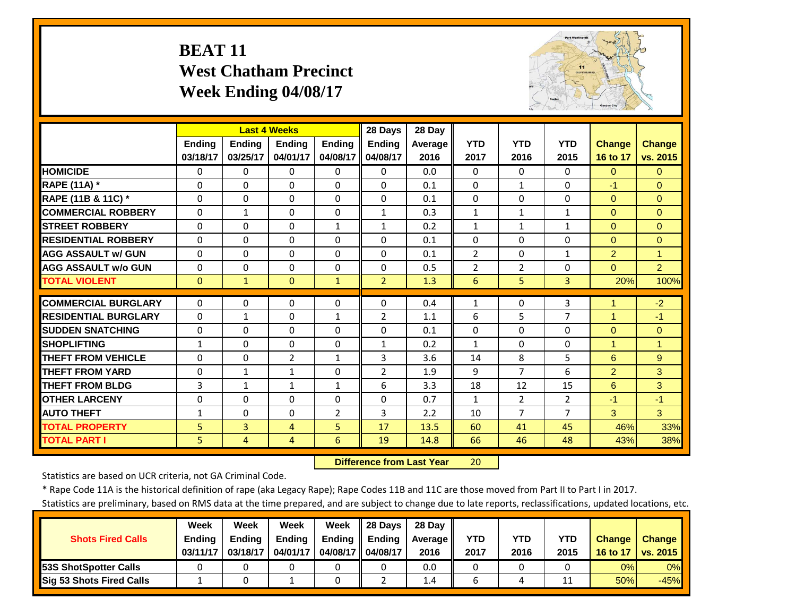# **BEAT 11 West Chatham Precinct Week Ending 04/08/17**



|                             |               |                | <b>Last 4 Weeks</b> |                | 28 Days        | 28 Day  |                |                |                |                |                |
|-----------------------------|---------------|----------------|---------------------|----------------|----------------|---------|----------------|----------------|----------------|----------------|----------------|
|                             | <b>Ending</b> | <b>Ending</b>  | <b>Ending</b>       | <b>Endina</b>  | <b>Ending</b>  | Average | <b>YTD</b>     | <b>YTD</b>     | <b>YTD</b>     | <b>Change</b>  | <b>Change</b>  |
|                             | 03/18/17      | 03/25/17       | 04/01/17            | 04/08/17       | 04/08/17       | 2016    | 2017           | 2016           | 2015           | 16 to 17       | vs. 2015       |
| <b>HOMICIDE</b>             | 0             | $\Omega$       | $\Omega$            | $\Omega$       | $\Omega$       | 0.0     | $\Omega$       | $\Omega$       | $\Omega$       | $\mathbf{0}$   | $\Omega$       |
| RAPE (11A) *                | $\Omega$      | $\Omega$       | $\Omega$            | $\Omega$       | $\Omega$       | 0.1     | $\Omega$       | $\mathbf{1}$   | 0              | $-1$           | $\Omega$       |
| RAPE (11B & 11C) *          | 0             | $\Omega$       | $\Omega$            | $\Omega$       | $\Omega$       | 0.1     | $\Omega$       | $\Omega$       | $\Omega$       | $\mathbf{0}$   | $\Omega$       |
| <b>COMMERCIAL ROBBERY</b>   | $\Omega$      | $\mathbf{1}$   | $\Omega$            | $\Omega$       | $\mathbf{1}$   | 0.3     | $\mathbf{1}$   | $\mathbf{1}$   | $\mathbf{1}$   | $\Omega$       | $\Omega$       |
| <b>STREET ROBBERY</b>       | $\Omega$      | $\Omega$       | $\Omega$            | $\mathbf{1}$   | $\mathbf{1}$   | 0.2     | $\mathbf{1}$   | $\mathbf{1}$   | $\mathbf{1}$   | $\Omega$       | $\Omega$       |
| <b>RESIDENTIAL ROBBERY</b>  | $\Omega$      | 0              | $\Omega$            | 0              | $\Omega$       | 0.1     | $\Omega$       | $\Omega$       | 0              | $\mathbf{0}$   | $\Omega$       |
| <b>AGG ASSAULT W/ GUN</b>   | $\Omega$      | $\Omega$       | $\mathbf 0$         | $\Omega$       | $\Omega$       | 0.1     | $\overline{2}$ | $\Omega$       | $\mathbf{1}$   | $\overline{2}$ | $\overline{1}$ |
| <b>AGG ASSAULT w/o GUN</b>  | $\Omega$      | $\Omega$       | $\Omega$            | $\Omega$       | $\Omega$       | 0.5     | $\overline{2}$ | $\overline{2}$ | 0              | $\Omega$       | $\overline{2}$ |
| <b>TOTAL VIOLENT</b>        | $\mathbf{0}$  | $\mathbf{1}$   | $\Omega$            | $\mathbf{1}$   | $\overline{2}$ | 1.3     | 6              | 5.             | 3              | 20%            | 100%           |
| <b>COMMERCIAL BURGLARY</b>  | $\Omega$      | 0              | $\Omega$            | 0              | 0              | 0.4     | 1              | $\Omega$       | 3              |                | $-2$           |
| <b>RESIDENTIAL BURGLARY</b> | $\Omega$      | $\mathbf{1}$   | $\Omega$            | $\mathbf{1}$   | $\overline{2}$ | 1.1     | 6              | 5              | $\overline{7}$ | 1              | $-1$           |
|                             |               |                |                     |                |                |         |                |                |                |                |                |
| <b>SUDDEN SNATCHING</b>     | 0             | $\Omega$       | $\Omega$            | $\Omega$       | $\Omega$       | 0.1     | $\Omega$       | $\Omega$       | 0              | $\Omega$       | $\Omega$       |
| <b>SHOPLIFTING</b>          | $\mathbf{1}$  | $\Omega$       | 0                   | $\Omega$       | $\mathbf{1}$   | 0.2     | $\mathbf{1}$   | $\Omega$       | $\Omega$       | 1              | 1              |
| <b>THEFT FROM VEHICLE</b>   | $\Omega$      | $\Omega$       | $\overline{2}$      | 1              | 3              | 3.6     | 14             | 8              | 5              | 6              | 9              |
| <b>THEFT FROM YARD</b>      | 0             | $\mathbf{1}$   | $\mathbf{1}$        | 0              | 2              | 1.9     | 9              | 7              | 6              | 2              | 3              |
| <b>THEFT FROM BLDG</b>      | 3             | 1              | $\mathbf{1}$        | 1              | 6              | 3.3     | 18             | 12             | 15             | 6              | 3              |
| <b>OTHER LARCENY</b>        | $\Omega$      | $\Omega$       | $\Omega$            | $\Omega$       | $\Omega$       | 0.7     | $\mathbf{1}$   | $\overline{2}$ | $\overline{2}$ | $-1$           | $-1$           |
| <b>AUTO THEFT</b>           | $\mathbf{1}$  | $\Omega$       | $\Omega$            | $\overline{2}$ | 3              | 2.2     | 10             | $\overline{7}$ | $\overline{7}$ | 3              | 3              |
| <b>TOTAL PROPERTY</b>       | 5             | $\overline{3}$ | 4                   | $\overline{5}$ | 17             | 13.5    | 60             | 41             | 45             | 46%            | 33%            |
| <b>TOTAL PART I</b>         | 5             | $\overline{4}$ | 4                   | 6              | 19             | 14.8    | 66             | 46             | 48             | 43%            | 38%            |

 **Difference from Last Year**r 20

Statistics are based on UCR criteria, not GA Criminal Code.

\* Rape Code 11A is the historical definition of rape (aka Legacy Rape); Rape Codes 11B and 11C are those moved from Part II to Part I in 2017.

|                                 | Week          | Week          | Week          | Week          | 28 Davs       | 28 Dav     |      |      |      |               |               |
|---------------------------------|---------------|---------------|---------------|---------------|---------------|------------|------|------|------|---------------|---------------|
| <b>Shots Fired Calls</b>        | <b>Ending</b> | <b>Ending</b> | <b>Ending</b> | <b>Ending</b> | <b>Ending</b> | Average II | YTD  | YTD  | YTD  | <b>Change</b> | <b>Change</b> |
|                                 | 03/11/17      | 03/18/17      | 04/01/17      | 04/08/17 II   | 04/08/17      | 2016       | 2017 | 2016 | 2015 | 16 to 17      | vs. 2015      |
| <b>153S ShotSpotter Calls</b>   |               |               |               |               |               | 0.0        |      |      |      | 0%            | $0\%$         |
| <b>Sig 53 Shots Fired Calls</b> |               |               |               |               |               | 1.4        |      |      |      | 50%           | $-45%$        |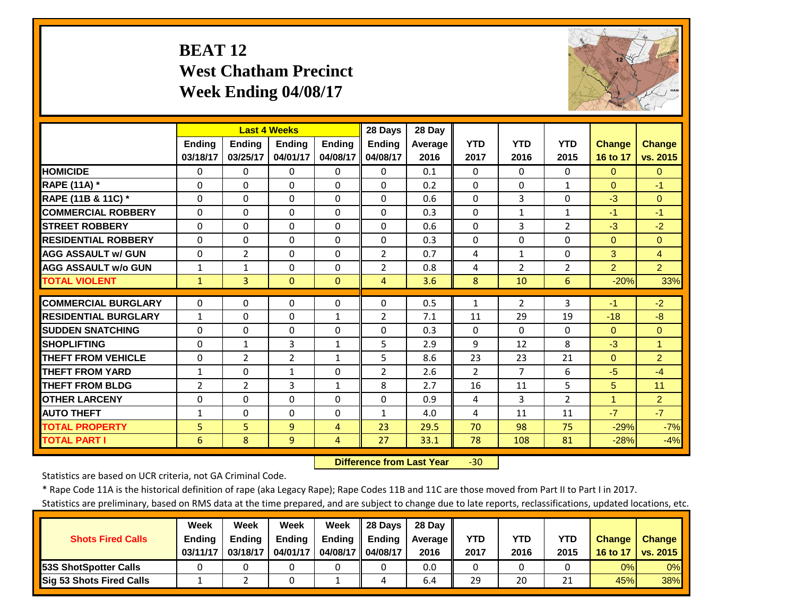# **BEAT 12 West Chatham Precinct Week Ending 04/08/17**



|                             |                | <b>Last 4 Weeks</b> |                |                | 28 Days        | 28 Day  |                |                |                |                |                |
|-----------------------------|----------------|---------------------|----------------|----------------|----------------|---------|----------------|----------------|----------------|----------------|----------------|
|                             | <b>Ending</b>  | <b>Ending</b>       | <b>Ending</b>  | Ending         | <b>Ending</b>  | Average | <b>YTD</b>     | <b>YTD</b>     | <b>YTD</b>     | <b>Change</b>  | <b>Change</b>  |
|                             | 03/18/17       | 03/25/17            | 04/01/17       | 04/08/17       | 04/08/17       | 2016    | 2017           | 2016           | 2015           | 16 to 17       | vs. 2015       |
| <b>HOMICIDE</b>             | $\mathbf{0}$   | 0                   | $\Omega$       | $\Omega$       | $\Omega$       | 0.1     | $\Omega$       | 0              | $\Omega$       | $\Omega$       | $\Omega$       |
| RAPE (11A) *                | $\Omega$       | 0                   | $\Omega$       | $\Omega$       | $\Omega$       | 0.2     | $\Omega$       | $\Omega$       | $\mathbf{1}$   | $\Omega$       | $-1$           |
| RAPE (11B & 11C) *          | $\Omega$       | $\Omega$            | $\Omega$       | $\Omega$       | $\Omega$       | 0.6     | $\Omega$       | 3              | $\Omega$       | $-3$           | $\Omega$       |
| <b>COMMERCIAL ROBBERY</b>   | $\Omega$       | $\Omega$            | $\Omega$       | $\Omega$       | $\Omega$       | 0.3     | $\Omega$       | $\mathbf{1}$   | $\mathbf{1}$   | $-1$           | $-1$           |
| <b>STREET ROBBERY</b>       | $\Omega$       | $\Omega$            | $\Omega$       | $\Omega$       | $\Omega$       | 0.6     | $\Omega$       | 3              | $\overline{2}$ | $-3$           | $-2$           |
| <b>RESIDENTIAL ROBBERY</b>  | $\Omega$       | 0                   | $\Omega$       | $\Omega$       | $\Omega$       | 0.3     | $\Omega$       | $\Omega$       | $\Omega$       | $\Omega$       | $\Omega$       |
| <b>AGG ASSAULT w/ GUN</b>   | $\Omega$       | $\overline{2}$      | $\Omega$       | $\Omega$       | 2              | 0.7     | 4              | $\mathbf{1}$   | 0              | 3              | $\overline{4}$ |
| <b>AGG ASSAULT w/o GUN</b>  | $\mathbf{1}$   | $\mathbf 1$         | $\Omega$       | $\Omega$       | $\overline{2}$ | 0.8     | 4              | $\overline{2}$ | $\overline{2}$ | 2              | $\overline{2}$ |
| <b>TOTAL VIOLENT</b>        | $\mathbf{1}$   | $\overline{3}$      | $\Omega$       | $\Omega$       | 4              | 3.6     | 8              | 10             | 6              | $-20%$         | 33%            |
| <b>COMMERCIAL BURGLARY</b>  | $\mathbf{0}$   | 0                   | 0              | 0              | 0              | 0.5     | $\mathbf{1}$   | $\overline{2}$ | 3              | $-1$           | $-2$           |
|                             |                |                     |                |                |                |         |                |                |                |                |                |
| <b>RESIDENTIAL BURGLARY</b> | 1              | 0                   | $\Omega$       | $\mathbf{1}$   | 2              | 7.1     | 11             | 29             | 19             | $-18$          | $-8$           |
| <b>SUDDEN SNATCHING</b>     | $\Omega$       | 0                   | $\Omega$       | $\Omega$       | $\Omega$       | 0.3     | $\Omega$       | 0              | $\Omega$       | $\Omega$       | $\Omega$       |
| <b>SHOPLIFTING</b>          | $\Omega$       | 1                   | 3              | $\mathbf{1}$   | 5              | 2.9     | 9              | 12             | 8              | $-3$           | 1.             |
| <b>THEFT FROM VEHICLE</b>   | $\Omega$       | 2                   | $\overline{2}$ | $\mathbf{1}$   | 5              | 8.6     | 23             | 23             | 21             | $\Omega$       | $\overline{2}$ |
| <b>THEFT FROM YARD</b>      | 1              | 0                   | $\mathbf{1}$   | $\Omega$       | $\overline{2}$ | 2.6     | $\overline{2}$ | $\overline{7}$ | 6              | $-5$           | $-4$           |
| <b>THEFT FROM BLDG</b>      | $\overline{2}$ | $\overline{2}$      | 3              | $\mathbf{1}$   | 8              | 2.7     | 16             | 11             | 5              | 5              | 11             |
| <b>OTHER LARCENY</b>        | $\Omega$       | 0                   | $\Omega$       | $\Omega$       | $\Omega$       | 0.9     | 4              | 3              | $\overline{2}$ | $\overline{1}$ | 2              |
| <b>AUTO THEFT</b>           | $\mathbf{1}$   | 0                   | $\Omega$       | $\Omega$       | $\mathbf{1}$   | 4.0     | 4              | 11             | 11             | $-7$           | $-7$           |
| <b>TOTAL PROPERTY</b>       | 5              | 5                   | 9              | $\overline{4}$ | 23             | 29.5    | 70             | 98             | 75             | $-29%$         | $-7%$          |
| <b>TOTAL PART I</b>         | $6\phantom{1}$ | 8                   | 9              | 4              | 27             | 33.1    | 78             | 108            | 81             | $-28%$         | $-4%$          |

 **Difference from Last Year**‐30

Statistics are based on UCR criteria, not GA Criminal Code.

\* Rape Code 11A is the historical definition of rape (aka Legacy Rape); Rape Codes 11B and 11C are those moved from Part II to Part I in 2017.

|                                 | Week          | Week          | Week          | Week          | 28 Days       | 28 Dav     |      |      |          |               |               |
|---------------------------------|---------------|---------------|---------------|---------------|---------------|------------|------|------|----------|---------------|---------------|
| <b>Shots Fired Calls</b>        | <b>Ending</b> | <b>Ending</b> | <b>Ending</b> | <b>Ending</b> | <b>Ending</b> | Average II | YTD  | YTD  | YTD      | <b>Change</b> | <b>Change</b> |
|                                 | 03/11/17      | 03/18/17      | 04/01/17      | 04/08/17 I    | 04/08/17      | 2016       | 2017 | 2016 | 2015     | 16 to 17      | vs. 2015      |
| <b>153S ShotSpotter Calls</b>   |               |               |               |               |               | 0.0        |      |      |          | 0%            | $0\%$         |
| <b>Sig 53 Shots Fired Calls</b> |               |               |               |               | 4             | 6.4        | 29   | 20   | ን 1<br>ᅀ | 45%           | 38%           |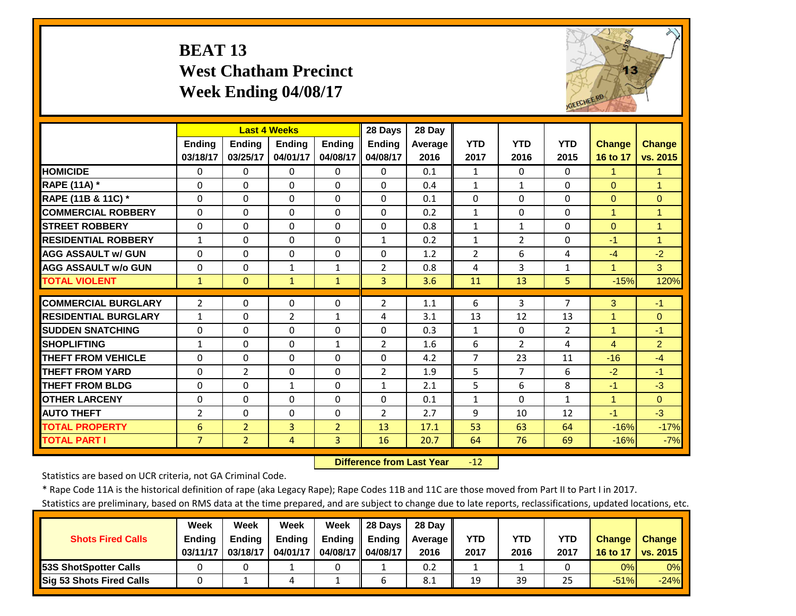# **BEAT 13 West Chatham Precinct Week Ending 04/08/17**



|                             |                | <b>Last 4 Weeks</b> |                |                | 28 Days        | 28 Day  |                |                |                |                      |                      |
|-----------------------------|----------------|---------------------|----------------|----------------|----------------|---------|----------------|----------------|----------------|----------------------|----------------------|
|                             | <b>Ending</b>  | <b>Endina</b>       | <b>Ending</b>  | <b>Endina</b>  | <b>Ending</b>  | Average | <b>YTD</b>     | <b>YTD</b>     | <b>YTD</b>     | <b>Change</b>        | <b>Change</b>        |
|                             | 03/18/17       | 03/25/17            | 04/01/17       | 04/08/17       | 04/08/17       | 2016    | 2017           | 2016           | 2015           | 16 to 17             | vs. 2015             |
| <b>HOMICIDE</b>             | $\Omega$       | 0                   | $\Omega$       | $\Omega$       | $\Omega$       | 0.1     | $\mathbf{1}$   | $\Omega$       | $\Omega$       | 1                    | $\mathbf{1}$         |
| RAPE (11A) *                | $\Omega$       | $\Omega$            | $\Omega$       | $\Omega$       | $\Omega$       | 0.4     | $\mathbf{1}$   | $\mathbf{1}$   | $\Omega$       | $\Omega$             | $\mathbf{1}$         |
| RAPE (11B & 11C) *          | $\Omega$       | $\Omega$            | $\Omega$       | $\Omega$       | $\Omega$       | 0.1     | $\Omega$       | $\Omega$       | $\Omega$       | $\Omega$             | $\Omega$             |
| <b>COMMERCIAL ROBBERY</b>   | $\Omega$       | $\Omega$            | $\Omega$       | $\Omega$       | $\Omega$       | 0.2     | $\mathbf{1}$   | $\Omega$       | $\Omega$       | $\blacktriangleleft$ | 1                    |
| <b>STREET ROBBERY</b>       | $\Omega$       | $\Omega$            | $\Omega$       | $\Omega$       | $\Omega$       | 0.8     | $\mathbf{1}$   | $\mathbf{1}$   | $\Omega$       | $\Omega$             | $\mathbf{1}$         |
| <b>RESIDENTIAL ROBBERY</b>  | $\mathbf{1}$   | 0                   | $\Omega$       | $\Omega$       | $\mathbf{1}$   | 0.2     | $\mathbf{1}$   | $\overline{2}$ | $\Omega$       | $-1$                 | $\blacktriangleleft$ |
| <b>AGG ASSAULT w/ GUN</b>   | $\Omega$       | 0                   | $\Omega$       | 0              | $\Omega$       | 1.2     | $\overline{2}$ | 6              | 4              | $-4$                 | $-2$                 |
| <b>AGG ASSAULT w/o GUN</b>  | $\Omega$       | 0                   | $\mathbf{1}$   | $\mathbf{1}$   | $\overline{2}$ | 0.8     | 4              | 3              | $\mathbf{1}$   | 1                    | 3                    |
| <b>TOTAL VIOLENT</b>        | $\mathbf{1}$   | $\Omega$            | $\mathbf{1}$   | $\mathbf{1}$   | 3              | 3.6     | 11             | 13             | 5              | $-15%$               | 120%                 |
| <b>COMMERCIAL BURGLARY</b>  | $\overline{2}$ | 0                   | 0              | 0              | $\overline{2}$ | 1.1     | 6              | 3              | $\overline{7}$ | 3                    | $-1$                 |
| <b>RESIDENTIAL BURGLARY</b> | 1              | 0                   | $\overline{2}$ | $\mathbf{1}$   | 4              | 3.1     | 13             | 12             | 13             | $\blacktriangleleft$ | $\Omega$             |
| <b>SUDDEN SNATCHING</b>     | $\Omega$       | 0                   | $\Omega$       | $\Omega$       | $\Omega$       | 0.3     | $\mathbf{1}$   | $\Omega$       | $\overline{2}$ | $\blacktriangleleft$ | $-1$                 |
| <b>SHOPLIFTING</b>          | 1              | 0                   | $\Omega$       | $\mathbf{1}$   | 2              | 1.6     | 6              | $\overline{2}$ | 4              | $\overline{4}$       | $\overline{2}$       |
| <b>THEFT FROM VEHICLE</b>   | $\Omega$       | 0                   | $\Omega$       | $\Omega$       | $\Omega$       | 4.2     | $\overline{7}$ | 23             | 11             | $-16$                | $-4$                 |
| <b>THEFT FROM YARD</b>      | $\Omega$       | $\overline{2}$      | $\Omega$       | $\Omega$       | 2              | 1.9     | 5              | $\overline{7}$ | 6              | $-2$                 | $-1$                 |
| <b>THEFT FROM BLDG</b>      | $\Omega$       | $\Omega$            | $\mathbf{1}$   | $\Omega$       | $\mathbf{1}$   | 2.1     | 5              | 6              | 8              | $-1$                 | $-3$                 |
| <b>OTHER LARCENY</b>        | $\Omega$       | 0                   | $\Omega$       | $\Omega$       | $\Omega$       | 0.1     | $\mathbf{1}$   | 0              | $\mathbf{1}$   | $\blacktriangleleft$ | $\Omega$             |
| <b>AUTO THEFT</b>           | $\overline{2}$ | 0                   | $\Omega$       | $\Omega$       | $\overline{2}$ | 2.7     | 9              | 10             | 12             | $-1$                 | $-3$                 |
| <b>TOTAL PROPERTY</b>       | 6              | $\overline{2}$      | 3              | $\overline{2}$ | 13             | 17.1    | 53             | 63             | 64             | $-16%$               | $-17%$               |
| <b>TOTAL PART I</b>         | $\overline{7}$ | $\overline{2}$      | 4              | 3              | 16             | 20.7    | 64             | 76             | 69             | $-16%$               | $-7%$                |

 **Difference from Last Year** $-12$ 

Statistics are based on UCR criteria, not GA Criminal Code.

\* Rape Code 11A is the historical definition of rape (aka Legacy Rape); Rape Codes 11B and 11C are those moved from Part II to Part I in 2017.

|                                 | Week          | Week          | Week          | Week          | 28 Davs       | 28 Day     |      |      |      |               |               |
|---------------------------------|---------------|---------------|---------------|---------------|---------------|------------|------|------|------|---------------|---------------|
| <b>Shots Fired Calls</b>        | <b>Ending</b> | <b>Ending</b> | <b>Ending</b> | <b>Ending</b> | <b>Ending</b> | Average II | YTD  | YTD  | YTD  | <b>Change</b> | <b>Change</b> |
|                                 | 03/11/17      | 03/18/17      | 04/01/17      | 04/08/17 I    | 04/08/17      | 2016       | 2017 | 2016 | 2017 | 16 to 17      | vs. 2015      |
| <b>153S ShotSpotter Calls</b>   |               |               |               |               |               | 0.2        |      |      |      | 0%            | 0%            |
| <b>Sig 53 Shots Fired Calls</b> |               |               |               |               |               | 8.1        | 19   | 39   | 25   | $-51%$        | $-24%$        |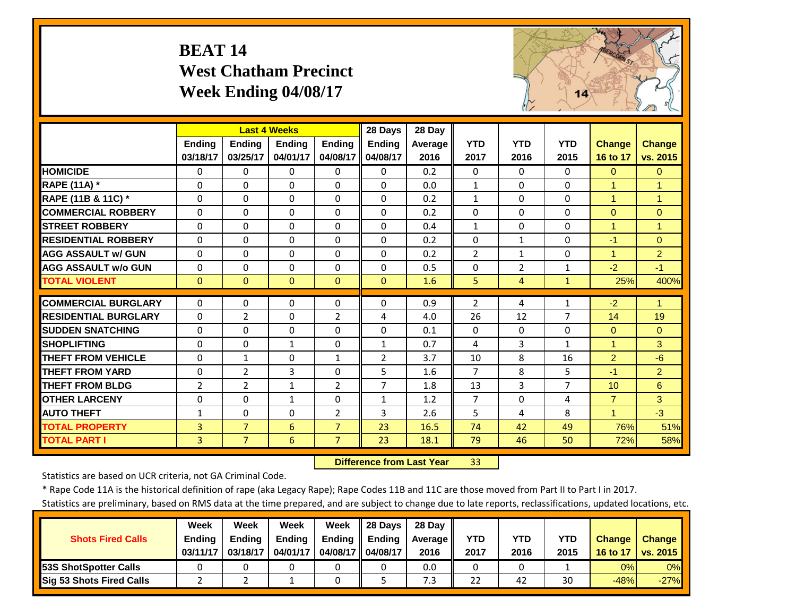# **BEAT 14 West Chatham Precinct Week Ending 04/08/17**



|                             |                | <b>Last 4 Weeks</b> |               |                | 28 Days        | 28 Day  |                |                |                |                      |                      |
|-----------------------------|----------------|---------------------|---------------|----------------|----------------|---------|----------------|----------------|----------------|----------------------|----------------------|
|                             | <b>Ending</b>  | <b>Endina</b>       | <b>Endina</b> | <b>Ending</b>  | <b>Ending</b>  | Average | <b>YTD</b>     | <b>YTD</b>     | <b>YTD</b>     | <b>Change</b>        | <b>Change</b>        |
|                             | 03/18/17       | 03/25/17            | 04/01/17      | 04/08/17       | 04/08/17       | 2016    | 2017           | 2016           | 2015           | 16 to 17             | vs. 2015             |
| <b>HOMICIDE</b>             | $\Omega$       | 0                   | $\Omega$      | 0              | $\Omega$       | 0.2     | $\Omega$       | $\Omega$       | $\Omega$       | $\Omega$             | $\Omega$             |
| <b>RAPE (11A) *</b>         | $\Omega$       | 0                   | $\Omega$      | $\Omega$       | $\Omega$       | 0.0     | $\mathbf{1}$   | $\Omega$       | $\Omega$       | $\overline{1}$       | 1                    |
| RAPE (11B & 11C) *          | $\Omega$       | 0                   | $\Omega$      | $\Omega$       | $\Omega$       | 0.2     | $\mathbf{1}$   | $\Omega$       | $\Omega$       | $\mathbf{1}$         | $\overline{1}$       |
| <b>COMMERCIAL ROBBERY</b>   | $\Omega$       | 0                   | $\Omega$      | $\Omega$       | $\Omega$       | 0.2     | $\Omega$       | $\Omega$       | $\Omega$       | $\Omega$             | $\Omega$             |
| <b>STREET ROBBERY</b>       | $\Omega$       | 0                   | $\Omega$      | $\Omega$       | $\Omega$       | 0.4     | $\mathbf{1}$   | $\Omega$       | $\Omega$       | $\mathbf{1}$         | $\blacktriangleleft$ |
| <b>RESIDENTIAL ROBBERY</b>  | $\Omega$       | 0                   | $\Omega$      | $\Omega$       | $\Omega$       | 0.2     | $\Omega$       | $\mathbf{1}$   | $\Omega$       | $-1$                 | $\Omega$             |
| <b>AGG ASSAULT w/ GUN</b>   | $\Omega$       | 0                   | $\Omega$      | $\Omega$       | $\Omega$       | 0.2     | $\overline{2}$ | $\mathbf{1}$   | $\Omega$       | 1                    | $\overline{2}$       |
| <b>AGG ASSAULT w/o GUN</b>  | $\Omega$       | 0                   | $\Omega$      | $\Omega$       | $\Omega$       | 0.5     | $\Omega$       | $\overline{2}$ | $\mathbf{1}$   | $-2$                 | $-1$                 |
| <b>TOTAL VIOLENT</b>        | $\Omega$       | $\overline{0}$      | $\Omega$      | $\Omega$       | $\Omega$       | 1.6     | 5              | 4              | $\mathbf{1}$   | 25%                  | 400%                 |
| <b>COMMERCIAL BURGLARY</b>  | $\Omega$       | 0                   | 0             | 0              | $\Omega$       | 0.9     | $\overline{2}$ | 4              | 1              | $-2$                 | 1                    |
| <b>RESIDENTIAL BURGLARY</b> | $\Omega$       | $\overline{2}$      | 0             | 2              | 4              | 4.0     | 26             | 12             | 7              | 14                   | 19                   |
| <b>SUDDEN SNATCHING</b>     | 0              | 0                   | 0             | 0              | $\Omega$       | 0.1     | $\Omega$       | 0              | 0              | $\mathbf{0}$         | $\Omega$             |
| <b>SHOPLIFTING</b>          | $\Omega$       | 0                   | $\mathbf{1}$  | $\Omega$       | $\mathbf{1}$   | 0.7     | 4              | 3              | $\mathbf{1}$   | 1                    | 3                    |
| <b>THEFT FROM VEHICLE</b>   | $\Omega$       | $\mathbf{1}$        | $\Omega$      | $\mathbf{1}$   | $\overline{2}$ | 3.7     | 10             | 8              | 16             | 2                    | $-6$                 |
| <b>THEFT FROM YARD</b>      | $\Omega$       | $\overline{2}$      | 3             | $\Omega$       | 5              | 1.6     | $\overline{7}$ | 8              | 5              | $-1$                 | $\overline{2}$       |
| <b>THEFT FROM BLDG</b>      | $\overline{2}$ | $\overline{2}$      | $\mathbf{1}$  | $\overline{2}$ | $\overline{7}$ | 1.8     | 13             | 3              | $\overline{7}$ | 10                   | 6                    |
| <b>OTHER LARCENY</b>        | $\Omega$       | 0                   | $\mathbf{1}$  | $\Omega$       | $\mathbf{1}$   | 1.2     | $\overline{7}$ | $\Omega$       | 4              | $\overline{7}$       | 3                    |
| <b>AUTO THEFT</b>           | $\mathbf{1}$   | 0                   | $\Omega$      | 2              | 3              | 2.6     | 5              | 4              | 8              | $\blacktriangleleft$ | $-3$                 |
| <b>TOTAL PROPERTY</b>       | $\overline{3}$ | $\overline{7}$      | 6             | $\overline{7}$ | 23             | 16.5    | 74             | 42             | 49             | 76%                  | 51%                  |
| <b>TOTAL PART I</b>         | 3              | $\overline{7}$      | 6             | $\overline{7}$ | 23             | 18.1    | 79             | 46             | 50             | 72%                  | 58%                  |

 **Difference from Last Year**r 33

Statistics are based on UCR criteria, not GA Criminal Code.

\* Rape Code 11A is the historical definition of rape (aka Legacy Rape); Rape Codes 11B and 11C are those moved from Part II to Part I in 2017.

|                                 | <b>Week</b>   | Week          | Week          | Week          | <b>28 Davs</b> | 28 Dav     |      |      |      |               |               |
|---------------------------------|---------------|---------------|---------------|---------------|----------------|------------|------|------|------|---------------|---------------|
| <b>Shots Fired Calls</b>        | <b>Ending</b> | <b>Ending</b> | <b>Ending</b> | <b>Ending</b> | <b>Ending</b>  | Average II | YTD  | YTD  | YTD  | <b>Change</b> | <b>Change</b> |
|                                 | 03/11/17      | 03/18/17      | 04/01/17      | 04/08/17 I    | 04/08/17       | 2016       | 2017 | 2016 | 2015 | 16 to 17      | vs. 2015      |
| <b>153S ShotSpotter Calls</b>   |               |               |               |               |                | 0.0        |      |      |      | 0%            | $0\%$         |
| <b>Sig 53 Shots Fired Calls</b> |               |               |               |               |                | 7.3        | 22   | 42   | 30   | $-48%$        | $-27%$        |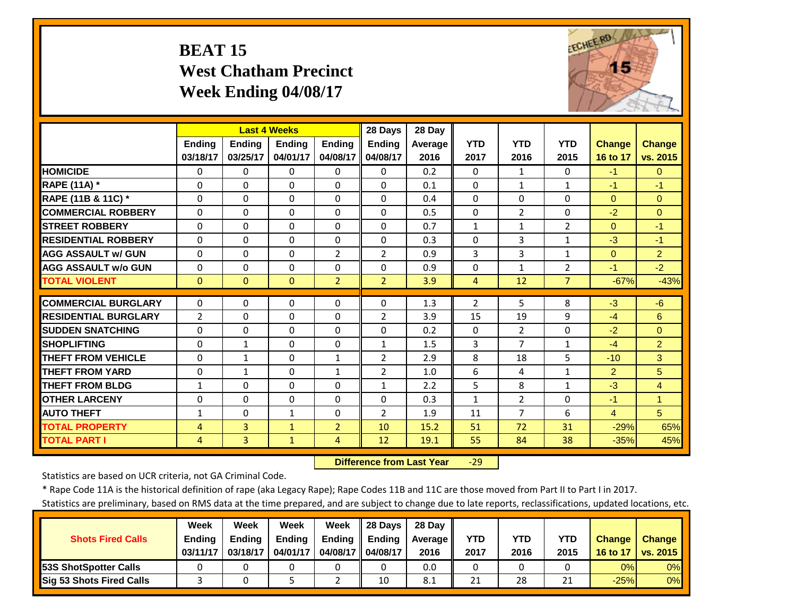# **BEAT 15 West Chatham Precinct Week Ending 04/08/17**



|                             |                      | <b>Last 4 Weeks</b> |               |                | 28 Days        | 28 Day  |                |                |                |                |                     |
|-----------------------------|----------------------|---------------------|---------------|----------------|----------------|---------|----------------|----------------|----------------|----------------|---------------------|
|                             | <b>Ending</b>        | <b>Ending</b>       | <b>Endina</b> | <b>Endina</b>  | <b>Ending</b>  | Average | <b>YTD</b>     | <b>YTD</b>     | <b>YTD</b>     | <b>Change</b>  | <b>Change</b>       |
|                             | 03/18/17             | 03/25/17            | 04/01/17      | 04/08/17       | 04/08/17       | 2016    | 2017           | 2016           | 2015           | 16 to 17       | vs. 2015            |
| <b>HOMICIDE</b>             | $\Omega$             | 0                   | $\Omega$      | 0              | $\Omega$       | 0.2     | $\Omega$       | $\mathbf{1}$   | 0              | $-1$           | $\Omega$            |
| <b>RAPE (11A) *</b>         | $\Omega$             | 0                   | $\Omega$      | $\Omega$       | $\Omega$       | 0.1     | $\Omega$       | $\mathbf{1}$   | $\mathbf{1}$   | $-1$           | $-1$                |
| RAPE (11B & 11C) *          | $\Omega$             | $\Omega$            | $\Omega$      | $\Omega$       | $\Omega$       | 0.4     | $\Omega$       | $\Omega$       | $\Omega$       | $\Omega$       | $\Omega$            |
| <b>COMMERCIAL ROBBERY</b>   | $\Omega$             | 0                   | 0             | $\Omega$       | $\Omega$       | 0.5     | $\Omega$       | $\overline{2}$ | $\Omega$       | $-2$           | $\Omega$            |
| <b>STREET ROBBERY</b>       | $\Omega$             | 0                   | $\Omega$      | $\Omega$       | $\Omega$       | 0.7     | $\mathbf{1}$   | $\mathbf{1}$   | $\overline{2}$ | $\Omega$       | $-1$                |
| <b>RESIDENTIAL ROBBERY</b>  | $\Omega$             | 0                   | $\Omega$      | $\Omega$       | $\Omega$       | 0.3     | $\Omega$       | 3              | $\mathbf{1}$   | $-3$           | $-1$                |
| <b>AGG ASSAULT w/ GUN</b>   | $\Omega$             | 0                   | $\mathbf 0$   | $\overline{2}$ | $\overline{2}$ | 0.9     | 3              | 3              | $\mathbf{1}$   | $\mathbf{0}$   | $\overline{2}$      |
| <b>AGG ASSAULT w/o GUN</b>  | $\Omega$             | 0                   | $\Omega$      | $\Omega$       | $\Omega$       | 0.9     | $\Omega$       | $\mathbf{1}$   | $\overline{2}$ | $-1$           | $-2$                |
| <b>TOTAL VIOLENT</b>        | $\Omega$             | $\overline{0}$      | $\Omega$      | $\overline{2}$ | $\overline{2}$ | 3.9     | $\overline{4}$ | 12             | $\overline{7}$ | $-67%$         | $-43%$              |
| <b>COMMERCIAL BURGLARY</b>  | $\Omega$             | 0                   | $\Omega$      | 0              | $\Omega$       | 1.3     | $\overline{2}$ | 5.             | 8              | $-3$           | $-6$                |
| <b>RESIDENTIAL BURGLARY</b> | $\overline{2}$       | 0                   | $\mathbf 0$   | $\Omega$       | $\overline{2}$ | 3.9     | 15             | 19             | 9              | $-4$           | 6                   |
| <b>SUDDEN SNATCHING</b>     | $\Omega$             | 0                   | $\Omega$      | $\Omega$       | $\Omega$       | 0.2     | $\mathbf{0}$   | $\overline{2}$ | $\Omega$       | $-2$           | $\Omega$            |
| <b>SHOPLIFTING</b>          |                      |                     |               |                |                |         | 3              | 7              |                |                |                     |
|                             | $\Omega$<br>$\Omega$ | $\mathbf{1}$        | $\Omega$      | $\Omega$       | $\mathbf{1}$   | 1.5     | 8              |                | 1<br>5         | $-4$           | $\overline{2}$<br>3 |
| <b>THEFT FROM VEHICLE</b>   |                      | 1                   | $\Omega$      | $\mathbf{1}$   | $\overline{2}$ | 2.9     |                | 18             |                | $-10$          |                     |
| <b>THEFT FROM YARD</b>      | $\Omega$             | $\mathbf{1}$        | $\Omega$      | $\mathbf{1}$   | $\overline{2}$ | 1.0     | 6              | 4              | $\mathbf{1}$   | $\overline{2}$ | 5                   |
| <b>THEFT FROM BLDG</b>      | $\mathbf{1}$         | 0                   | $\Omega$      | $\Omega$       | $\mathbf{1}$   | 2.2     | 5              | 8              | $\mathbf{1}$   | $-3$           | $\overline{4}$      |
| <b>OTHER LARCENY</b>        | $\Omega$             | 0                   | $\Omega$      | $\Omega$       | $\Omega$       | 0.3     | $\mathbf{1}$   | $\overline{2}$ | $\Omega$       | $-1$           | $\overline{1}$      |
| <b>AUTO THEFT</b>           | $\mathbf{1}$         | 0                   | $\mathbf{1}$  | $\Omega$       | $\overline{2}$ | 1.9     | 11             | 7              | 6              | $\overline{4}$ | $5\overline{)}$     |
| <b>TOTAL PROPERTY</b>       | 4                    | $\overline{3}$      | $\mathbf{1}$  | $\overline{2}$ | 10             | 15.2    | 51             | 72             | 31             | $-29%$         | 65%                 |
| <b>TOTAL PART I</b>         | $\overline{4}$       | $\overline{3}$      | $\mathbf{1}$  | 4              | 12             | 19.1    | 55             | 84             | 38             | $-35%$         | 45%                 |

 **Difference from Last Year**‐29

Statistics are based on UCR criteria, not GA Criminal Code.

\* Rape Code 11A is the historical definition of rape (aka Legacy Rape); Rape Codes 11B and 11C are those moved from Part II to Part I in 2017.

|                                 | Week          | Week          | Week          | Week          | 28 Davs       | 28 Day     |      |      |      |               |               |
|---------------------------------|---------------|---------------|---------------|---------------|---------------|------------|------|------|------|---------------|---------------|
| <b>Shots Fired Calls</b>        | <b>Ending</b> | <b>Ending</b> | <b>Ending</b> | <b>Ending</b> | <b>Ending</b> | Average II | YTD  | YTD  | YTD  | <b>Change</b> | <b>Change</b> |
|                                 | 03/11/17      | 03/18/17      | 04/01/17      | 04/08/17 I    | 04/08/17      | 2016       | 2017 | 2016 | 2015 | 16 to 17      | vs. 2015      |
| <b>153S ShotSpotter Calls</b>   |               |               |               |               |               | 0.0        |      |      |      | 0%            | $0\%$         |
| <b>Sig 53 Shots Fired Calls</b> |               |               |               |               | 10            | -8.1       | 21   | 28   | ว 1  | $-25%$        | $0\%$         |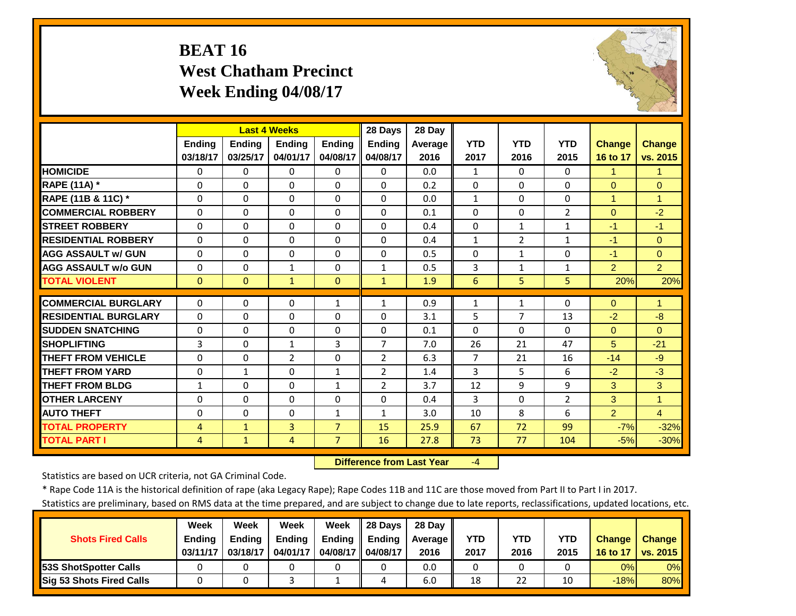# **BEAT 16 West Chatham Precinct Week Ending 04/08/17**



|                             |               | <b>Last 4 Weeks</b> |                |                | 28 Days        | 28 Day  |                |                |                |                |                      |
|-----------------------------|---------------|---------------------|----------------|----------------|----------------|---------|----------------|----------------|----------------|----------------|----------------------|
|                             | <b>Ending</b> | <b>Ending</b>       | <b>Ending</b>  | <b>Ending</b>  | <b>Ending</b>  | Average | <b>YTD</b>     | <b>YTD</b>     | <b>YTD</b>     | <b>Change</b>  | <b>Change</b>        |
|                             | 03/18/17      | 03/25/17            | 04/01/17       | 04/08/17       | 04/08/17       | 2016    | 2017           | 2016           | 2015           | 16 to 17       | vs. 2015             |
| <b>HOMICIDE</b>             | $\Omega$      | $\Omega$            | $\Omega$       | $\Omega$       | $\Omega$       | 0.0     | $\mathbf{1}$   | $\Omega$       | $\Omega$       | 1              | 1                    |
| <b>RAPE (11A) *</b>         | $\Omega$      | $\Omega$            | $\Omega$       | $\Omega$       | $\Omega$       | 0.2     | $\Omega$       | $\Omega$       | 0              | $\Omega$       | $\Omega$             |
| RAPE (11B & 11C) *          | $\Omega$      | $\Omega$            | $\Omega$       | $\Omega$       | $\Omega$       | 0.0     | $1\,$          | $\Omega$       | $\Omega$       | $\overline{1}$ | $\overline{1}$       |
| <b>COMMERCIAL ROBBERY</b>   | $\Omega$      | $\Omega$            | $\Omega$       | $\Omega$       | $\Omega$       | 0.1     | $\Omega$       | $\Omega$       | 2              | $\Omega$       | $-2$                 |
| <b>STREET ROBBERY</b>       | 0             | $\Omega$            | 0              | $\Omega$       | $\Omega$       | 0.4     | $\mathbf 0$    | $\mathbf{1}$   | $\mathbf{1}$   | $-1$           | $-1$                 |
| <b>RESIDENTIAL ROBBERY</b>  | $\Omega$      | $\Omega$            | $\Omega$       | $\Omega$       | $\Omega$       | 0.4     | $\mathbf{1}$   | $\overline{2}$ | $\mathbf{1}$   | $-1$           | $\Omega$             |
| <b>AGG ASSAULT w/ GUN</b>   | $\Omega$      | 0                   | $\Omega$       | 0              | $\Omega$       | 0.5     | $\Omega$       | $\mathbf{1}$   | 0              | $-1$           | $\Omega$             |
| <b>AGG ASSAULT w/o GUN</b>  | 0             | $\Omega$            | 1              | $\Omega$       | $\mathbf{1}$   | 0.5     | 3              | $\mathbf{1}$   | 1              | 2              | $\overline{2}$       |
| <b>TOTAL VIOLENT</b>        | $\Omega$      | $\Omega$            | $\mathbf{1}$   | $\Omega$       | $\mathbf{1}$   | 1.9     | 6              | 5.             | 5              | 20%            | 20%                  |
| <b>COMMERCIAL BURGLARY</b>  | $\Omega$      | 0                   | $\mathbf 0$    | $\mathbf{1}$   | $\mathbf{1}$   | 0.9     | 1              | $\mathbf{1}$   | 0              | $\Omega$       | 1                    |
| <b>RESIDENTIAL BURGLARY</b> | $\Omega$      | 0                   | $\mathbf 0$    | $\Omega$       | $\Omega$       | 3.1     | 5              | 7              | 13             | $-2$           | $-8$                 |
| <b>SUDDEN SNATCHING</b>     | $\Omega$      | 0                   | $\Omega$       | 0              | $\Omega$       | 0.1     | $\Omega$       | $\Omega$       | $\Omega$       | $\mathbf{0}$   | $\Omega$             |
| <b>SHOPLIFTING</b>          | 3             | $\Omega$            | $\mathbf{1}$   | 3              | $\overline{7}$ | 7.0     | 26             | 21             | 47             | 5              | $-21$                |
| <b>THEFT FROM VEHICLE</b>   | $\Omega$      | $\Omega$            | $\overline{2}$ | $\Omega$       | 2              | 6.3     | $\overline{7}$ | 21             | 16             | $-14$          | $-9$                 |
| <b>THEFT FROM YARD</b>      | $\Omega$      | 1                   | $\Omega$       | $\mathbf{1}$   | 2              | 1.4     | 3              | 5.             | 6              | $-2$           | $-3$                 |
| <b>THEFT FROM BLDG</b>      | $\mathbf{1}$  | $\Omega$            | $\Omega$       | $\mathbf{1}$   | $\overline{2}$ | 3.7     | 12             | 9              | 9              | 3              | 3                    |
| <b>OTHER LARCENY</b>        | $\Omega$      | $\Omega$            | $\Omega$       | $\Omega$       | $\Omega$       | 0.4     | 3              | $\Omega$       | $\overline{2}$ | 3              | $\blacktriangleleft$ |
| <b>AUTO THEFT</b>           | 0             | $\Omega$            | 0              | $\mathbf{1}$   | $\mathbf{1}$   | 3.0     | 10             | 8              | 6              | $\overline{2}$ | $\overline{4}$       |
| <b>TOTAL PROPERTY</b>       |               | $\mathbf{1}$        | $\overline{3}$ | $\overline{7}$ | 15             | 25.9    | 67             | 72             | 99             | $-7%$          | $-32%$               |
| <b>TOTAL PART I</b>         | 4<br>4        | $\mathbf{1}$        | 4              | $\overline{7}$ | 16             | 27.8    | 73             | 77             | 104            | $-5%$          | $-30%$               |
|                             |               |                     |                |                |                |         |                |                |                |                |                      |

 **Difference from Last Year**‐4

Statistics are based on UCR criteria, not GA Criminal Code.

\* Rape Code 11A is the historical definition of rape (aka Legacy Rape); Rape Codes 11B and 11C are those moved from Part II to Part I in 2017.

|                               | Week          | Week          | Week          | Week     | 28 Davs       | 28 Day         |            |      |      |               |               |
|-------------------------------|---------------|---------------|---------------|----------|---------------|----------------|------------|------|------|---------------|---------------|
| <b>Shots Fired Calls</b>      | <b>Ending</b> | <b>Endina</b> | <b>Ending</b> | Ending   | <b>Ending</b> | <b>Average</b> | <b>YTD</b> | YTD  | YTD  | <b>Change</b> | <b>Change</b> |
|                               | 03/11/17      | 03/18/17      | 04/01/17      | 04/08/17 | 04/08/17      | 2016           | 2017       | 2016 | 2015 | 16 to 17      | vs. 2015      |
| <b>153S ShotSpotter Calls</b> |               |               |               |          |               | 0.0            |            |      |      | 0%            | $0\%$         |
| Sig 53 Shots Fired Calls      |               |               |               |          |               | 6.0            | 18         | 22   | 10   | $-18%$        | 80%           |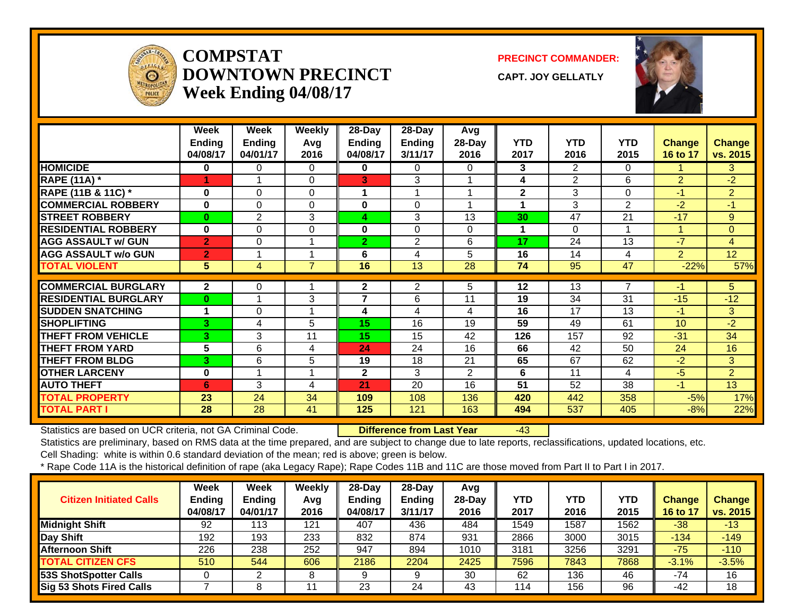

#### **COMPSTATDOWNTOWN PRECINCTWeek Ending 04/08/17**

**PRECINCT COMMANDER:**

**CAPT. JOY GELLATLY**



|                             | Week<br><b>Ending</b><br>04/08/17 | Week<br><b>Ending</b><br>04/01/17 | Weekly<br>Avg<br>2016 | 28-Day<br><b>Ending</b><br>04/08/17 | $28-Day$<br><b>Ending</b><br>3/11/17 | Avg<br>28-Day<br>2016 | <b>YTD</b><br>2017 | <b>YTD</b><br>2016        | <b>YTD</b><br>2015 | <b>Change</b><br>16 to 17 | <b>Change</b><br>vs. 2015 |
|-----------------------------|-----------------------------------|-----------------------------------|-----------------------|-------------------------------------|--------------------------------------|-----------------------|--------------------|---------------------------|--------------------|---------------------------|---------------------------|
| <b>HOMICIDE</b>             | $\bf{0}$                          | 0                                 | $\Omega$              | 0                                   | $\Omega$                             | 0                     | 3                  | $\mathbf{2}^{\mathsf{I}}$ | $\Omega$           |                           | 3                         |
| <b>RAPE (11A)</b> *         | 4                                 | $\overline{\mathbf{A}}$           | $\Omega$              | 3                                   | 3                                    |                       | 4                  | $\overline{2}$            | 6                  | $\overline{2}$            | $-2$                      |
| RAPE (11B & 11C) *          | $\bf{0}$                          | $\Omega$                          | $\Omega$              | 1                                   |                                      |                       | $\mathbf{2}$       | 3                         | $\Omega$           | -1                        | $\overline{2}$            |
| <b>COMMERCIAL ROBBERY</b>   | 0                                 | $\Omega$                          | $\Omega$              | 0                                   | 0                                    |                       | 1                  | 3                         | $\overline{2}$     | $-2$                      | $-1$                      |
| <b>STREET ROBBERY</b>       | $\bf{0}$                          | $\overline{2}$                    | 3                     | 4                                   | 3                                    | 13                    | 30                 | 47                        | 21                 | $-17$                     | 9                         |
| <b>RESIDENTIAL ROBBERY</b>  | $\bf{0}$                          | $\Omega$                          | $\Omega$              | 0                                   | $\Omega$                             | 0                     | 1                  | 0                         |                    |                           | $\overline{0}$            |
| <b>AGG ASSAULT w/ GUN</b>   | $\overline{2}$                    | $\Omega$                          | 1                     | $\overline{2}$                      | $\overline{2}$                       | 6                     | 17                 | 24                        | 13                 | $-7$                      | $\overline{4}$            |
| <b>AGG ASSAULT w/o GUN</b>  | $\overline{2}$                    |                                   | 1                     | 6                                   | 4                                    | 5                     | 16                 | 14                        | 4                  | $\overline{2}$            | 12 <sub>2</sub>           |
| <b>TOTAL VIOLENT</b>        | 5                                 | 4                                 | $\overline{7}$        | 16                                  | 13                                   | 28                    | 74                 | 95                        | 47                 | $-22%$                    | 57%                       |
|                             |                                   |                                   |                       |                                     |                                      |                       |                    |                           |                    |                           |                           |
| <b>COMMERCIAL BURGLARY</b>  | $\overline{2}$                    | 0                                 | 1                     | $\mathbf{2}$                        | 2                                    | 5.                    | $12 \,$            | 13                        | 7                  | -1                        | 5.                        |
| <b>RESIDENTIAL BURGLARY</b> | $\bf{0}$                          | $\blacktriangleleft$              | 3                     | $\overline{7}$                      | 6                                    | 11                    | 19                 | 34                        | 31                 | $-15$                     | $-12$                     |
| <b>SUDDEN SNATCHING</b>     | 1                                 | 0                                 | 1                     | 4                                   | 4                                    | 4                     | 16                 | 17                        | 13                 | $-1$                      | 3                         |
| <b>SHOPLIFTING</b>          | 3                                 | 4                                 | 5                     | 15                                  | 16                                   | 19                    | 59                 | 49                        | 61                 | 10                        | $-2$                      |
| <b>THEFT FROM VEHICLE</b>   | 3                                 | 3                                 | 11                    | 15                                  | 15                                   | 42                    | 126                | 157                       | 92                 | $-31$                     | 34                        |
| <b>THEFT FROM YARD</b>      | 5                                 | 6                                 | 4                     | 24                                  | 24                                   | 16                    | 66                 | 42                        | 50                 | 24                        | 16                        |
| <b>THEFT FROM BLDG</b>      | 3                                 | 6                                 | 5                     | 19                                  | 18                                   | 21                    | 65                 | 67                        | 62                 | $-2$                      | 3 <sup>1</sup>            |
| <b>OTHER LARCENY</b>        | $\bf{0}$                          |                                   | $\blacktriangleleft$  | $\mathbf{2}$                        | 3                                    | 2                     | 6                  | 11                        | 4                  | $-5$                      | $\overline{2}$            |
| <b>AUTO THEFT</b>           | 6                                 | 3                                 | 4                     | 21                                  | 20                                   | 16                    | 51                 | 52                        | 38                 | $-1$                      | 13                        |
| <b>TOTAL PROPERTY</b>       | 23                                | 24                                | 34                    | 109                                 | 108                                  | 136                   | 420                | 442                       | 358                | $-5%$                     | 17%                       |
| <b>TOTAL PART I</b>         | 28                                | 28                                | 41                    | 125                                 | 121                                  | 163                   | 494                | 537                       | 405                | $-8%$                     | 22%                       |

Statistics are based on UCR criteria, not GA Criminal Code. **Difference from Last Year** -43

Statistics are preliminary, based on RMS data at the time prepared, and are subject to change due to late reports, reclassifications, updated locations, etc.

Cell Shading: white is within 0.6 standard deviation of the mean; red is above; green is below.

| <b>Citizen Initiated Calls</b> | Week<br><b>Ending</b><br>04/08/17 | Week<br><b>Ending</b><br>04/01/17 | Weekly<br>Avq<br>2016 | $28-Dav$<br><b>Ending</b><br>04/08/17 | 28-Day<br><b>Ending</b><br>3/11/17 | Avg<br>28-Dav<br>2016 | YTD<br>2017 | <b>YTD</b><br>2016 | <b>YTD</b><br>2015 | Change<br>16 to 17 | <b>Change</b><br>vs. 2015 |
|--------------------------------|-----------------------------------|-----------------------------------|-----------------------|---------------------------------------|------------------------------------|-----------------------|-------------|--------------------|--------------------|--------------------|---------------------------|
| <b>Midnight Shift</b>          | 92                                | 113                               | 121                   | 407                                   | 436                                | 484                   | 1549        | 1587               | 1562               | $-38$              | $-13$                     |
| Day Shift                      | 192                               | 193                               | 233                   | 832                                   | 874                                | 931                   | 2866        | 3000               | 3015               | $-134$             | $-149$                    |
| <b>Afternoon Shift</b>         | 226                               | 238                               | 252                   | 947                                   | 894                                | 1010                  | 3181        | 3256               | 3291               | $-75$              | $-110$                    |
| <b>TOTAL CITIZEN CFS</b>       | 510                               | 544                               | 606                   | 2186                                  | 2204                               | 2425                  | 7596        | 7843               | 7868               | $-3.1%$            | $-3.5%$                   |
| <b>53S ShotSpotter Calls</b>   |                                   |                                   | ິດ                    |                                       |                                    | 30                    | 62          | 136                | 46                 | $-74$              | 16                        |
| Sig 53 Shots Fired Calls       |                                   |                                   |                       | 23                                    | 24                                 | 43                    | 114         | 156                | 96                 | -42                | 18                        |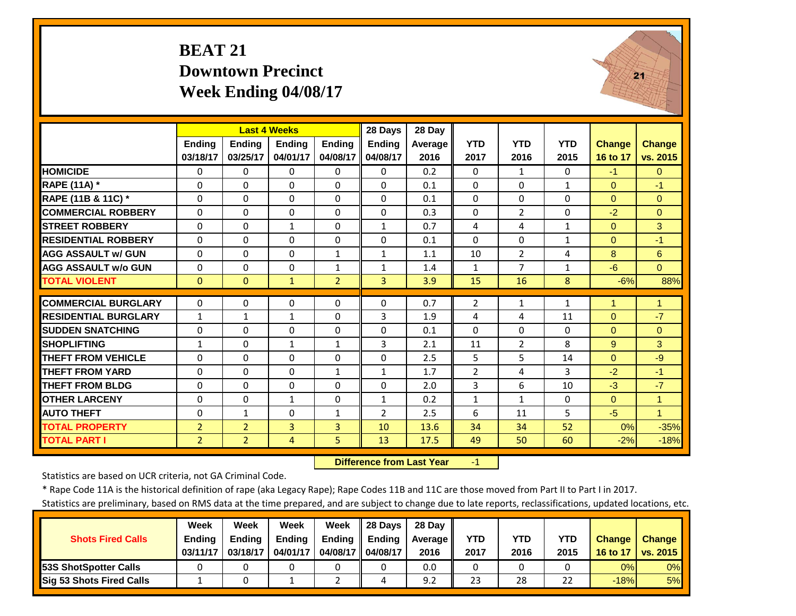#### **BEAT 21 Downtown PrecinctWeek Ending 04/08/17**



|                             |                |                | <b>Last 4 Weeks</b> |               | 28 Days        | 28 Day  |                |                |              |               |                      |
|-----------------------------|----------------|----------------|---------------------|---------------|----------------|---------|----------------|----------------|--------------|---------------|----------------------|
|                             | <b>Ending</b>  | <b>Endina</b>  | <b>Endina</b>       | <b>Ending</b> | <b>Endina</b>  | Average | <b>YTD</b>     | <b>YTD</b>     | <b>YTD</b>   | <b>Change</b> | <b>Change</b>        |
|                             | 03/18/17       | 03/25/17       | 04/01/17            | 04/08/17      | 04/08/17       | 2016    | 2017           | 2016           | 2015         | 16 to 17      | vs. 2015             |
| <b>HOMICIDE</b>             | 0              | 0              | $\Omega$            | $\Omega$      | 0              | 0.2     | $\Omega$       | 1              | 0            | $-1$          | $\Omega$             |
| RAPE (11A) *                | $\Omega$       | $\Omega$       | $\Omega$            | $\Omega$      | $\Omega$       | 0.1     | $\Omega$       | $\Omega$       | $\mathbf{1}$ | $\Omega$      | $-1$                 |
| RAPE (11B & 11C) *          | $\Omega$       | $\Omega$       | $\Omega$            | $\Omega$      | $\Omega$       | 0.1     | $\Omega$       | $\Omega$       | 0            | $\Omega$      | $\Omega$             |
| <b>COMMERCIAL ROBBERY</b>   | $\Omega$       | $\Omega$       | $\Omega$            | $\Omega$      | $\Omega$       | 0.3     | $\Omega$       | $\overline{2}$ | 0            | $-2$          | $\Omega$             |
| <b>STREET ROBBERY</b>       | $\mathbf 0$    | $\Omega$       | $\mathbf{1}$        | $\Omega$      | $\mathbf{1}$   | 0.7     | 4              | 4              | $\mathbf{1}$ | $\mathbf{0}$  | 3                    |
| <b>RESIDENTIAL ROBBERY</b>  | $\Omega$       | $\Omega$       | $\Omega$            | $\Omega$      | $\Omega$       | 0.1     | $\Omega$       | $\Omega$       | $\mathbf{1}$ | $\Omega$      | $-1$                 |
| <b>AGG ASSAULT W/ GUN</b>   | $\Omega$       | $\Omega$       | $\Omega$            | $\mathbf{1}$  | $\mathbf{1}$   | 1.1     | 10             | $\overline{2}$ | 4            | 8             | 6                    |
| <b>AGG ASSAULT w/o GUN</b>  | 0              | 0              | $\mathbf 0$         | $\mathbf{1}$  | $\mathbf{1}$   | 1.4     | $\mathbf{1}$   | 7              | $\mathbf{1}$ | $-6$          | $\Omega$             |
| <b>TOTAL VIOLENT</b>        | $\mathbf{0}$   | $\Omega$       | $\mathbf{1}$        | 2             | $\overline{3}$ | 3.9     | 15             | 16             | 8            | $-6%$         | 88%                  |
|                             |                |                |                     |               |                |         |                |                |              |               |                      |
| <b>COMMERCIAL BURGLARY</b>  | $\Omega$       | 0              | $\Omega$            | 0             | $\Omega$       | 0.7     | $\overline{2}$ | $\mathbf{1}$   | $\mathbf{1}$ | 1             | $\blacktriangleleft$ |
| <b>RESIDENTIAL BURGLARY</b> | $\mathbf{1}$   | 1              | 1                   | 0             | 3              | 1.9     | 4              | 4              | 11           | $\mathbf{0}$  | $-7$                 |
| <b>SUDDEN SNATCHING</b>     | 0              | $\Omega$       | $\mathbf 0$         | 0             | $\Omega$       | 0.1     | $\Omega$       | $\Omega$       | 0            | $\mathbf{0}$  | $\Omega$             |
| <b>SHOPLIFTING</b>          | $\mathbf{1}$   | $\Omega$       | $\mathbf{1}$        | $\mathbf{1}$  | 3              | 2.1     | 11             | $\overline{2}$ | 8            | 9             | 3                    |
| <b>THEFT FROM VEHICLE</b>   | $\Omega$       | $\Omega$       | $\Omega$            | $\Omega$      | $\Omega$       | 2.5     | 5              | 5              | 14           | $\Omega$      | $-9$                 |
| <b>THEFT FROM YARD</b>      | $\Omega$       | $\Omega$       | $\Omega$            | $\mathbf{1}$  | $\mathbf{1}$   | 1.7     | $\overline{2}$ | 4              | 3            | $-2$          | $-1$                 |
| <b>THEFT FROM BLDG</b>      | $\Omega$       | 0              | $\Omega$            | 0             | $\Omega$       | 2.0     | 3              | 6              | 10           | $-3$          | $-7$                 |
| <b>OTHER LARCENY</b>        | $\Omega$       | 0              | $\mathbf{1}$        | 0             | $\mathbf{1}$   | 0.2     | 1              | $\mathbf{1}$   | 0            | $\Omega$      | $\blacktriangleleft$ |
| <b>AUTO THEFT</b>           | 0              | $\mathbf{1}$   | 0                   | $\mathbf{1}$  | $\overline{2}$ | 2.5     | 6              | 11             | 5            | $-5$          | $\blacktriangleleft$ |
| <b>TOTAL PROPERTY</b>       | $\overline{2}$ | $\overline{2}$ | 3                   | 3             | 10             | 13.6    | 34             | 34             | 52           | 0%            | $-35%$               |
| <b>TOTAL PART I</b>         | $\overline{2}$ | $\overline{2}$ | 4                   | 5             | 13             | 17.5    | 49             | 50             | 60           | $-2%$         | $-18%$               |

 **Difference from Last Year**r – $\mathbf{1}$ 

Statistics are based on UCR criteria, not GA Criminal Code.

\* Rape Code 11A is the historical definition of rape (aka Legacy Rape); Rape Codes 11B and 11C are those moved from Part II to Part I in 2017.

|                                 | Week          | Week          | Week          | Week          | 28 Davs       | 28 Dav     |      |      |      |               |               |
|---------------------------------|---------------|---------------|---------------|---------------|---------------|------------|------|------|------|---------------|---------------|
| <b>Shots Fired Calls</b>        | <b>Ending</b> | <b>Ending</b> | <b>Ending</b> | <b>Ending</b> | <b>Ending</b> | Average II | YTD  | YTD  | YTD  | <b>Change</b> | <b>Change</b> |
|                                 | 03/11/17      | 03/18/17      | 04/01/17      | 04/08/17 I    | 04/08/17      | 2016       | 2017 | 2016 | 2015 | 16 to 17      | vs. 2015      |
| <b>153S ShotSpotter Calls</b>   |               |               |               |               |               | 0.0        |      |      |      | 0%            | $0\%$         |
| <b>Sig 53 Shots Fired Calls</b> |               |               |               |               | 4             | 9.2        | 23   | 28   | 22   | $-18%$        | 5%            |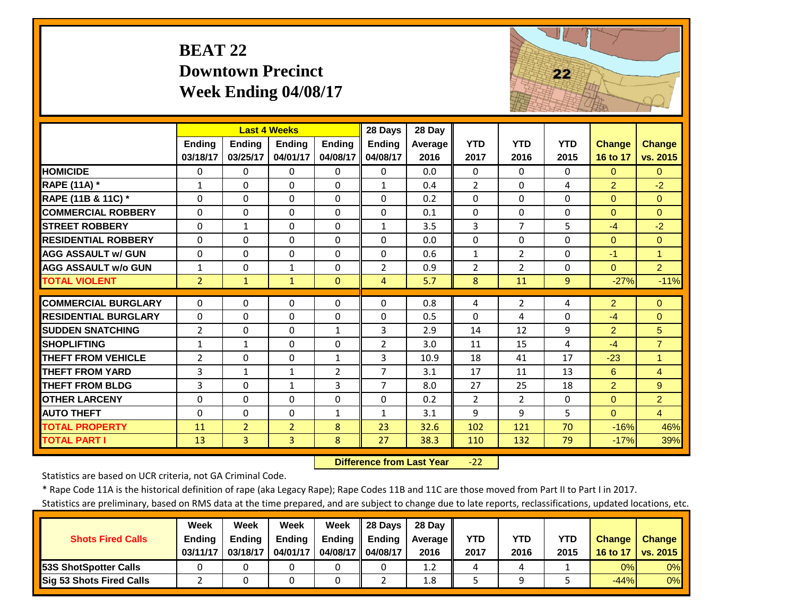# **BEAT 22 Downtown Precinct Week Ending 04/08/17**



|                             |                | <b>Last 4 Weeks</b> |                |                | 28 Days        | 28 Day  |                |                |            |                |                |
|-----------------------------|----------------|---------------------|----------------|----------------|----------------|---------|----------------|----------------|------------|----------------|----------------|
|                             | <b>Endina</b>  | <b>Endina</b>       | <b>Endina</b>  | <b>Endina</b>  | <b>Endina</b>  | Average | <b>YTD</b>     | <b>YTD</b>     | <b>YTD</b> | Change         | <b>Change</b>  |
|                             | 03/18/17       | 03/25/17            | 04/01/17       | 04/08/17       | 04/08/17       | 2016    | 2017           | 2016           | 2015       | 16 to 17       | vs. 2015       |
| <b>HOMICIDE</b>             | $\Omega$       | 0                   | $\Omega$       | $\Omega$       | $\Omega$       | 0.0     | $\Omega$       | $\Omega$       | $\Omega$   | $\Omega$       | $\Omega$       |
| <b>RAPE (11A)</b> *         | $\mathbf{1}$   | $\Omega$            | $\Omega$       | $\Omega$       | $\mathbf{1}$   | 0.4     | $\overline{2}$ | $\Omega$       | 4          | $\overline{2}$ | $-2$           |
| RAPE (11B & 11C) *          | $\Omega$       | $\Omega$            | $\Omega$       | $\Omega$       | $\Omega$       | 0.2     | $\Omega$       | $\Omega$       | $\Omega$   | $\Omega$       | $\Omega$       |
| <b>COMMERCIAL ROBBERY</b>   | $\Omega$       | $\Omega$            | $\Omega$       | $\Omega$       | $\Omega$       | 0.1     | $\Omega$       | $\Omega$       | $\Omega$   | $\Omega$       | $\Omega$       |
| <b>STREET ROBBERY</b>       | $\Omega$       | 1                   | $\Omega$       | $\Omega$       | $\mathbf{1}$   | 3.5     | 3              | $\overline{7}$ | 5          | $-4$           | $-2$           |
| <b>RESIDENTIAL ROBBERY</b>  | $\Omega$       | 0                   | $\Omega$       | $\Omega$       | $\Omega$       | 0.0     | $\Omega$       | $\Omega$       | 0          | $\Omega$       | $\Omega$       |
| <b>AGG ASSAULT w/ GUN</b>   | $\Omega$       | 0                   | $\Omega$       | $\Omega$       | $\Omega$       | 0.6     | $\mathbf{1}$   | $\overline{2}$ | $\Omega$   | $-1$           | $\overline{1}$ |
| <b>AGG ASSAULT w/o GUN</b>  | $\mathbf{1}$   | 0                   | 1              | $\Omega$       | $\overline{2}$ | 0.9     | $\overline{2}$ | $\overline{2}$ | $\Omega$   | $\Omega$       | 2 <sup>1</sup> |
| <b>TOTAL VIOLENT</b>        | $\overline{2}$ | 1                   | 1              | $\mathbf{0}$   | 4              | 5.7     | 8              | 11             | 9          | $-27%$         | $-11%$         |
| <b>COMMERCIAL BURGLARY</b>  | $\Omega$       | 0                   | $\Omega$       | 0              | $\Omega$       | 0.8     | 4              | $\overline{2}$ | 4          | $\overline{2}$ | $\Omega$       |
| <b>RESIDENTIAL BURGLARY</b> | $\mathbf{0}$   |                     |                |                | $\Omega$       |         |                |                |            |                |                |
|                             |                | 0                   | $\Omega$       | $\Omega$       |                | 0.5     | $\Omega$       | 4              | $\Omega$   | $-4$           | $\Omega$       |
| <b>SUDDEN SNATCHING</b>     | $\overline{2}$ | 0                   | $\Omega$       | $\mathbf{1}$   | 3              | 2.9     | 14             | 12             | 9          | 2              | 5              |
| <b>SHOPLIFTING</b>          | 1              | 1                   | $\Omega$       | $\Omega$       | $\overline{2}$ | 3.0     | 11             | 15             | 4          | $-4$           | $\overline{7}$ |
| <b>THEFT FROM VEHICLE</b>   | $\overline{2}$ | 0                   | $\Omega$       | $\mathbf{1}$   | 3              | 10.9    | 18             | 41             | 17         | $-23$          | $\overline{1}$ |
| <b>THEFT FROM YARD</b>      | 3              | $\mathbf{1}$        | $\mathbf{1}$   | $\overline{2}$ | 7              | 3.1     | 17             | 11             | 13         | 6              | $\overline{4}$ |
| <b>THEFT FROM BLDG</b>      | 3              | 0                   | $\mathbf{1}$   | 3              | $\overline{7}$ | 8.0     | 27             | 25             | 18         | $\overline{2}$ | 9              |
| <b>OTHER LARCENY</b>        | $\Omega$       | 0                   | $\Omega$       | $\Omega$       | $\Omega$       | 0.2     | $\overline{2}$ | $\overline{2}$ | $\Omega$   | $\Omega$       | $\overline{2}$ |
| <b>AUTO THEFT</b>           | $\Omega$       | $\Omega$            | $\Omega$       | $\mathbf{1}$   | $\mathbf{1}$   | 3.1     | 9              | 9              | 5          | $\Omega$       | $\overline{4}$ |
| <b>TOTAL PROPERTY</b>       | 11             | $\overline{2}$      | $\overline{2}$ | 8              | 23             | 32.6    | 102            | 121            | 70         | $-16%$         | 46%            |
| <b>TOTAL PART I</b>         | 13             | $\overline{3}$      | 3              | 8              | 27             | 38.3    | 110            | 132            | 79         | $-17%$         | 39%            |

 **Difference from Last Year**‐22

Statistics are based on UCR criteria, not GA Criminal Code.

\* Rape Code 11A is the historical definition of rape (aka Legacy Rape); Rape Codes 11B and 11C are those moved from Part II to Part I in 2017.

|                                 | Week     | Week          | Week          | Week          | 28 Davs  | 28 Dav     |      |      |            |               |               |
|---------------------------------|----------|---------------|---------------|---------------|----------|------------|------|------|------------|---------------|---------------|
| <b>Shots Fired Calls</b>        | Ending   | <b>Ending</b> | <b>Ending</b> | <b>Ending</b> | Ending   | Average II | YTD  | YTD  | <b>YTD</b> | <b>Change</b> | <b>Change</b> |
|                                 | 03/11/17 | 03/18/17      | 04/01/17      | 04/08/17 II   | 04/08/17 | 2016       | 2017 | 2016 | 2015       | 16 to 17      | vs. 2015      |
| 53S ShotSpotter Calls           |          |               |               |               |          | 1.2        |      | 4    |            | 0%            | 0%            |
| <b>Sig 53 Shots Fired Calls</b> |          |               |               |               |          | 1.8        |      |      |            | $-44%$        | 0%            |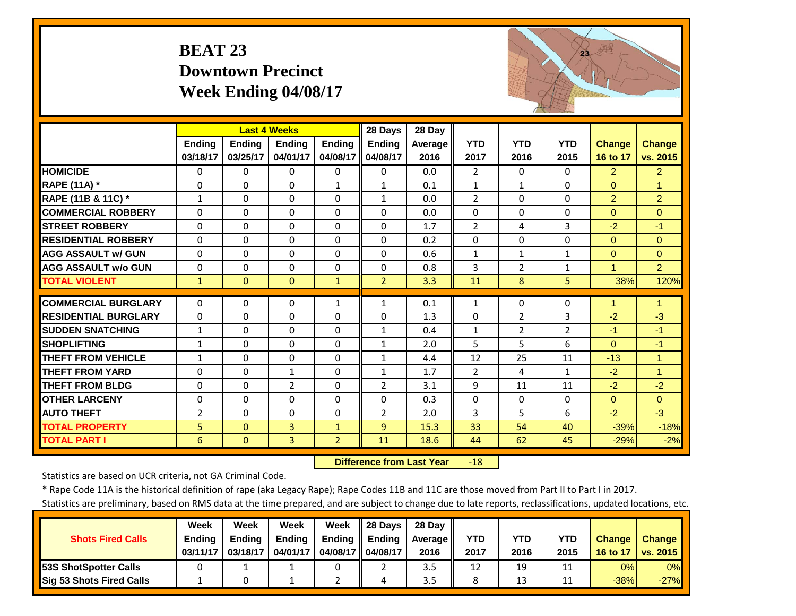# **BEAT 23 Downtown Precinct Week Ending 04/08/17**



|                             |                | <b>Last 4 Weeks</b> |                |                | 28 Days        | 28 Day         |                |                |              |                |                      |
|-----------------------------|----------------|---------------------|----------------|----------------|----------------|----------------|----------------|----------------|--------------|----------------|----------------------|
|                             | <b>Ending</b>  | <b>Endina</b>       | <b>Endina</b>  | <b>Endina</b>  | <b>Ending</b>  | <b>Average</b> | <b>YTD</b>     | <b>YTD</b>     | <b>YTD</b>   | <b>Change</b>  | <b>Change</b>        |
|                             | 03/18/17       | 03/25/17            | 04/01/17       | 04/08/17       | 04/08/17       | 2016           | 2017           | 2016           | 2015         | 16 to 17       | vs. 2015             |
| <b>HOMICIDE</b>             | $\Omega$       | 0                   | $\Omega$       | $\Omega$       | $\Omega$       | 0.0            | $\overline{2}$ | $\Omega$       | $\Omega$     | $\overline{2}$ | 2 <sup>1</sup>       |
| RAPE (11A) *                | $\Omega$       | $\Omega$            | $\Omega$       | 1              | $\mathbf{1}$   | 0.1            | $\mathbf{1}$   | 1              | $\Omega$     | $\Omega$       | $\overline{1}$       |
| RAPE (11B & 11C) *          | $\mathbf{1}$   | 0                   | $\Omega$       | $\Omega$       | $\mathbf{1}$   | 0.0            | $\overline{2}$ | $\Omega$       | $\Omega$     | $\overline{2}$ | 2                    |
| <b>COMMERCIAL ROBBERY</b>   | $\Omega$       | 0                   | $\Omega$       | $\Omega$       | $\Omega$       | 0.0            | $\Omega$       | $\Omega$       | $\Omega$     | $\Omega$       | $\Omega$             |
| <b>STREET ROBBERY</b>       | $\Omega$       | 0                   | $\Omega$       | $\Omega$       | $\Omega$       | 1.7            | $\overline{2}$ | 4              | 3            | $-2$           | $-1$                 |
| <b>RESIDENTIAL ROBBERY</b>  | $\Omega$       | 0                   | $\Omega$       | $\Omega$       | $\Omega$       | 0.2            | $\Omega$       | $\Omega$       | $\Omega$     | $\Omega$       | $\Omega$             |
| <b>AGG ASSAULT w/ GUN</b>   | $\Omega$       | 0                   | $\mathbf 0$    | $\Omega$       | $\Omega$       | 0.6            | $\mathbf{1}$   | $\mathbf{1}$   | $\mathbf{1}$ | $\mathbf{0}$   | $\Omega$             |
| <b>AGG ASSAULT w/o GUN</b>  | $\Omega$       | 0                   | $\Omega$       | $\Omega$       | $\Omega$       | 0.8            | 3              | $\overline{2}$ | $\mathbf{1}$ | 1              | $\overline{2}$       |
| <b>TOTAL VIOLENT</b>        | $\mathbf{1}$   | $\overline{0}$      | $\Omega$       | $\mathbf{1}$   | $\overline{2}$ | 3.3            | 11             | 8              | 5            | 38%            | 120%                 |
| <b>COMMERCIAL BURGLARY</b>  | $\Omega$       | 0                   | $\Omega$       | $\mathbf{1}$   | $\mathbf{1}$   | 0.1            | $\mathbf{1}$   | $\Omega$       | 0            | 1              | 1                    |
| <b>RESIDENTIAL BURGLARY</b> | $\Omega$       | 0                   | $\mathbf 0$    | $\Omega$       | $\Omega$       | 1.3            | 0              | $\overline{2}$ | 3            | $-2$           | $-3$                 |
| <b>SUDDEN SNATCHING</b>     | $\mathbf{1}$   | 0                   | $\Omega$       | $\Omega$       | $\mathbf{1}$   | 0.4            | $\mathbf{1}$   | $\overline{2}$ | 2            | $-1$           | $-1$                 |
| <b>SHOPLIFTING</b>          | $\mathbf{1}$   | 0                   | $\Omega$       | $\Omega$       | $\mathbf{1}$   | 2.0            | 5              | 5              | 6            | $\Omega$       | $-1$                 |
| <b>THEFT FROM VEHICLE</b>   | $\mathbf{1}$   | 0                   | $\Omega$       | $\Omega$       | $\mathbf{1}$   | 4.4            | 12             | 25             | 11           | $-13$          | $\overline{1}$       |
| <b>THEFT FROM YARD</b>      | $\Omega$       | 0                   | $\mathbf{1}$   | $\Omega$       | $\mathbf{1}$   | 1.7            | 2              | 4              | $\mathbf{1}$ | $-2$           | $\blacktriangleleft$ |
| <b>THEFT FROM BLDG</b>      | $\Omega$       | 0                   | $\overline{2}$ | 0              | $\overline{2}$ | 3.1            | 9              | 11             | 11           | $-2$           | $-2$                 |
| <b>OTHER LARCENY</b>        | $\Omega$       | $\Omega$            | $\Omega$       | $\Omega$       | $\Omega$       | 0.3            | $\Omega$       | $\Omega$       | $\Omega$     | $\Omega$       | $\Omega$             |
| <b>AUTO THEFT</b>           | $\overline{2}$ | 0                   | $\Omega$       | $\Omega$       | $\overline{2}$ | 2.0            | 3              | 5              | 6            | $-2$           | $-3$                 |
| <b>TOTAL PROPERTY</b>       | 5 <sup>1</sup> | $\overline{0}$      | 3              | $\mathbf{1}$   | 9              | 15.3           | 33             | 54             | 40           | $-39%$         | $-18%$               |
| <b>TOTAL PART I</b>         | 6              | $\overline{0}$      | 3              | $\overline{2}$ | 11             | 18.6           | 44             | 62             | 45           | $-29%$         | $-2%$                |

 **Difference from Last Year** $-18$ 

Statistics are based on UCR criteria, not GA Criminal Code.

\* Rape Code 11A is the historical definition of rape (aka Legacy Rape); Rape Codes 11B and 11C are those moved from Part II to Part I in 2017.

|                                 | Week          | Week          | Week          | Week          | 28 Days       | 28 Dav     |      |      |      |               |               |
|---------------------------------|---------------|---------------|---------------|---------------|---------------|------------|------|------|------|---------------|---------------|
| <b>Shots Fired Calls</b>        | <b>Ending</b> | <b>Ending</b> | <b>Ending</b> | <b>Ending</b> | <b>Ending</b> | Average II | YTD  | YTD  | YTD  | <b>Change</b> | <b>Change</b> |
|                                 | 03/11/17      | 03/18/17      | 04/01/17      | 04/08/17 I    | 04/08/17      | 2016       | 2017 | 2016 | 2015 | 16 to 17      | vs. 2015      |
| <b>153S ShotSpotter Calls</b>   |               |               |               |               |               | 3.5        | 12   | 19   |      | 0%            | $0\%$         |
| <b>Sig 53 Shots Fired Calls</b> |               |               |               |               |               | 3.5        |      | 13   |      | $-38%$        | $-27%$        |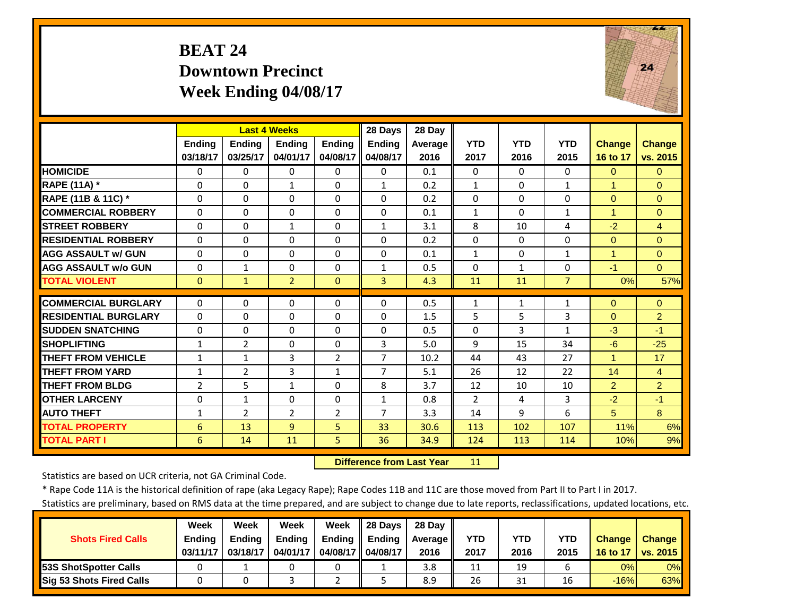#### **BEAT 24 Downtown PrecinctWeek Ending 04/08/17**



|                             |              |                | <b>Last 4 Weeks</b> |                | 28 Days        | 28 Day  |                |              |                |                      |                |
|-----------------------------|--------------|----------------|---------------------|----------------|----------------|---------|----------------|--------------|----------------|----------------------|----------------|
|                             | Ending       | <b>Ending</b>  | <b>Ending</b>       | <b>Ending</b>  | <b>Ending</b>  | Average | <b>YTD</b>     | <b>YTD</b>   | <b>YTD</b>     | <b>Change</b>        | <b>Change</b>  |
|                             | 03/18/17     | 03/25/17       | 04/01/17            | 04/08/17       | 04/08/17       | 2016    | 2017           | 2016         | 2015           | 16 to 17             | vs. 2015       |
| <b>HOMICIDE</b>             | $\Omega$     | $\Omega$       | $\Omega$            | $\Omega$       | 0              | 0.1     | $\Omega$       | $\Omega$     | $\Omega$       | $\Omega$             | $\Omega$       |
| <b>RAPE (11A) *</b>         | $\Omega$     | $\Omega$       | $\mathbf{1}$        | $\Omega$       | $\mathbf{1}$   | 0.2     | $\mathbf{1}$   | $\Omega$     | $\mathbf{1}$   | $\blacktriangleleft$ | $\Omega$       |
| RAPE (11B & 11C) *          | $\Omega$     | $\Omega$       | $\Omega$            | $\Omega$       | $\Omega$       | 0.2     | $\Omega$       | $\Omega$     | $\Omega$       | $\Omega$             | $\Omega$       |
| <b>COMMERCIAL ROBBERY</b>   | $\Omega$     | 0              | $\Omega$            | $\Omega$       | $\Omega$       | 0.1     | $\mathbf{1}$   | $\Omega$     | $\mathbf{1}$   | $\blacktriangleleft$ | $\Omega$       |
| <b>STREET ROBBERY</b>       | $\Omega$     | $\Omega$       | $\mathbf{1}$        | $\Omega$       | $\mathbf{1}$   | 3.1     | 8              | 10           | 4              | $-2$                 | $\overline{4}$ |
| <b>RESIDENTIAL ROBBERY</b>  | $\Omega$     | 0              | $\Omega$            | $\Omega$       | $\Omega$       | 0.2     | $\Omega$       | $\Omega$     | 0              | $\Omega$             | $\Omega$       |
| <b>AGG ASSAULT W/ GUN</b>   | $\Omega$     | 0              | $\mathbf 0$         | $\Omega$       | $\Omega$       | 0.1     | $\mathbf{1}$   | $\Omega$     | $\mathbf{1}$   | $\overline{1}$       | $\Omega$       |
| <b>AGG ASSAULT w/o GUN</b>  | $\Omega$     | $\mathbf{1}$   | $\Omega$            | 0              | $\mathbf{1}$   | 0.5     | $\Omega$       | $\mathbf{1}$ | 0              | $-1$                 | $\overline{0}$ |
| <b>TOTAL VIOLENT</b>        | $\mathbf{0}$ | $\mathbf{1}$   | $\overline{2}$      | $\Omega$       | 3              | 4.3     | 11             | 11           | $\overline{7}$ | 0%                   | 57%            |
| <b>COMMERCIAL BURGLARY</b>  | $\Omega$     | $\Omega$       | $\mathbf 0$         | 0              | $\Omega$       | 0.5     | 1              | $\mathbf{1}$ | 1              | $\mathbf{0}$         | $\Omega$       |
| <b>RESIDENTIAL BURGLARY</b> | $\Omega$     | 0              | $\Omega$            | $\Omega$       | $\Omega$       | 1.5     | 5              | 5            | 3              | $\Omega$             | $\overline{2}$ |
| <b>SUDDEN SNATCHING</b>     | 0            | $\Omega$       | 0                   | $\Omega$       | $\Omega$       | 0.5     | $\Omega$       | 3            | $\mathbf{1}$   | $-3$                 | $-1$           |
| <b>SHOPLIFTING</b>          | $\mathbf{1}$ | $\overline{2}$ | $\Omega$            | $\Omega$       | 3              | 5.0     | 9              | 15           | 34             | $-6$                 | $-25$          |
| <b>THEFT FROM VEHICLE</b>   | $\mathbf{1}$ | $\mathbf{1}$   | 3                   | 2              | $\overline{7}$ | 10.2    | 44             | 43           | 27             | 1                    | 17             |
| <b>THEFT FROM YARD</b>      | $\mathbf{1}$ | $\overline{2}$ | 3                   | $\mathbf{1}$   | $\overline{7}$ | 5.1     | 26             | 12           | 22             | 14                   | $\overline{4}$ |
| <b>THEFT FROM BLDG</b>      | 2            | 5              | $\mathbf{1}$        | $\Omega$       | 8              | 3.7     | 12             | 10           | 10             | $\overline{2}$       | $\overline{2}$ |
| <b>OTHER LARCENY</b>        | 0            | $\mathbf{1}$   | $\Omega$            | 0              | $\mathbf{1}$   | 0.8     | $\overline{2}$ | 4            | 3              | $-2$                 | $-1$           |
| <b>AUTO THEFT</b>           | $\mathbf{1}$ | 2              | $\overline{2}$      | $\overline{2}$ | $\overline{7}$ | 3.3     | 14             | 9            | 6              | 5                    | 8              |
| <b>TOTAL PROPERTY</b>       | 6            | 13             | $\overline{9}$      | 5              | 33             | 30.6    | 113            | 102          | 107            | 11%                  | 6%             |
| <b>TOTAL PART I</b>         | 6            | 14             | 11                  | 5              | 36             | 34.9    | 124            | 113          | 114            | 10%                  | 9%             |

 **Difference from Last Year**11

Statistics are based on UCR criteria, not GA Criminal Code.

\* Rape Code 11A is the historical definition of rape (aka Legacy Rape); Rape Codes 11B and 11C are those moved from Part II to Part I in 2017.

|                          | Week          | Week          | <b>Week</b>   | Week          | 28 Davs  | 28 Day     |            |      |            |               |                 |
|--------------------------|---------------|---------------|---------------|---------------|----------|------------|------------|------|------------|---------------|-----------------|
| <b>Shots Fired Calls</b> | <b>Ending</b> | <b>Ending</b> | <b>Ending</b> | <b>Ending</b> | Endina   | Average II | <b>YTD</b> | YTD  | <b>YTD</b> | <b>Change</b> | <b>Change</b>   |
|                          | 03/11/17      | 03/18/17      | 04/01/17      | 04/08/17 II   | 04/08/17 | 2016       | 2017       | 2016 | 2015       | 16 to 17      | <b>VS. 2015</b> |
| 53S ShotSpotter Calls    |               |               |               |               |          | 3.8        | 11         | 19   |            | 0%            | $0\%$           |
| Sig 53 Shots Fired Calls |               |               |               |               |          | 8.9        | 26         | 31   | 16         | $-16%$        | 63%             |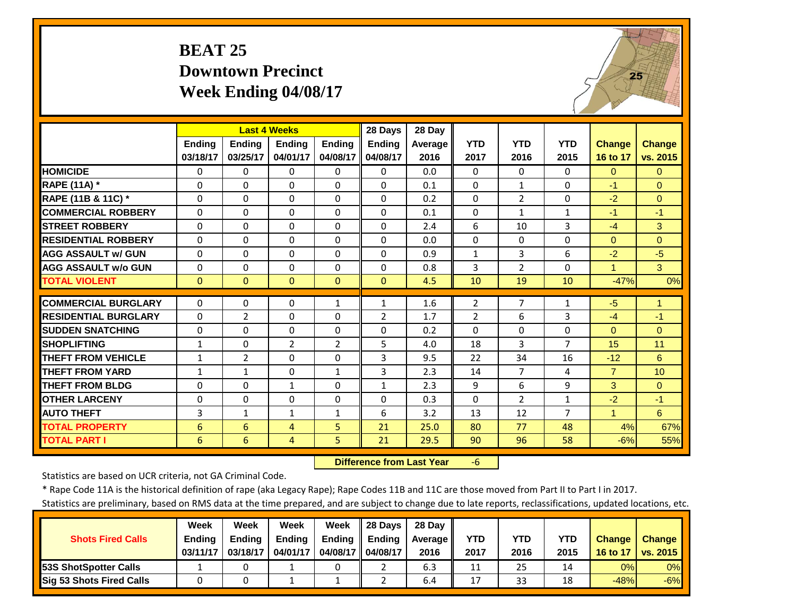#### **BEAT 25 Downtown PrecinctWeek Ending 04/08/17**



|                             |               | <b>Last 4 Weeks</b> |                |                | 28 Days        | 28 Day  |                |                |                |                |               |
|-----------------------------|---------------|---------------------|----------------|----------------|----------------|---------|----------------|----------------|----------------|----------------|---------------|
|                             | <b>Ending</b> | <b>Ending</b>       | <b>Endina</b>  | <b>Endina</b>  | <b>Ending</b>  | Average | <b>YTD</b>     | <b>YTD</b>     | <b>YTD</b>     | <b>Change</b>  | <b>Change</b> |
|                             | 03/18/17      | 03/25/17            | 04/01/17       | 04/08/17       | 04/08/17       | 2016    | 2017           | 2016           | 2015           | 16 to 17       | vs. 2015      |
| <b>HOMICIDE</b>             | $\Omega$      | $\Omega$            | $\Omega$       | $\Omega$       | $\Omega$       | 0.0     | $\Omega$       | $\Omega$       | 0              | $\Omega$       | $\Omega$      |
| RAPE (11A) *                | $\Omega$      | $\Omega$            | $\Omega$       | $\Omega$       | $\Omega$       | 0.1     | $\Omega$       | $\mathbf{1}$   | $\Omega$       | $-1$           | $\Omega$      |
| RAPE (11B & 11C) *          | $\Omega$      | $\Omega$            | $\Omega$       | $\Omega$       | $\Omega$       | 0.2     | $\Omega$       | $\overline{2}$ | 0              | $-2$           | $\Omega$      |
| <b>COMMERCIAL ROBBERY</b>   | $\Omega$      | $\Omega$            | $\Omega$       | $\Omega$       | $\Omega$       | 0.1     | 0              | $\mathbf{1}$   | $\mathbf{1}$   | $-1$           | $-1$          |
| <b>STREET ROBBERY</b>       | $\Omega$      | $\Omega$            | $\Omega$       | $\Omega$       | $\Omega$       | 2.4     | 6              | 10             | 3              | $-4$           | 3             |
| <b>RESIDENTIAL ROBBERY</b>  | $\Omega$      | $\Omega$            | $\Omega$       | $\Omega$       | $\Omega$       | 0.0     | $\Omega$       | $\Omega$       | 0              | $\Omega$       | $\Omega$      |
| <b>AGG ASSAULT w/ GUN</b>   | $\Omega$      | $\Omega$            | $\Omega$       | $\Omega$       | $\Omega$       | 0.9     | $\mathbf{1}$   | 3              | 6              | $-2$           | $-5$          |
| <b>AGG ASSAULT w/o GUN</b>  | 0             | $\Omega$            | $\Omega$       | $\Omega$       | $\Omega$       | 0.8     | 3              | $\overline{2}$ | 0              | 1              | 3             |
| <b>TOTAL VIOLENT</b>        | $\mathbf{0}$  | $\Omega$            | $\Omega$       | $\mathbf{0}$   | $\Omega$       | 4.5     | 10             | 19             | 10             | $-47%$         | 0%            |
| <b>COMMERCIAL BURGLARY</b>  | $\Omega$      | $\Omega$            | $\Omega$       | $\mathbf{1}$   | $\mathbf{1}$   | 1.6     | $\overline{2}$ | $\overline{7}$ | $\mathbf{1}$   | $-5$           | $\mathbf{1}$  |
| <b>RESIDENTIAL BURGLARY</b> | $\Omega$      | $\overline{2}$      | $\Omega$       | $\Omega$       | $\overline{2}$ | 1.7     | $\overline{2}$ | 6              | 3              | $-4$           | $-1$          |
| <b>SUDDEN SNATCHING</b>     | $\Omega$      | $\Omega$            | $\Omega$       | $\Omega$       | $\Omega$       | 0.2     | $\Omega$       | $\Omega$       | 0              | $\Omega$       | $\Omega$      |
| <b>SHOPLIFTING</b>          | 1             | $\Omega$            | $\overline{2}$ | $\overline{2}$ | 5.             | 4.0     | 18             | 3              | 7              | 15             | 11            |
| <b>THEFT FROM VEHICLE</b>   | 1             | $\overline{2}$      | $\Omega$       | $\Omega$       | 3              | 9.5     | 22             | 34             | 16             | $-12$          | 6             |
| <b>THEFT FROM YARD</b>      | 1             | $\mathbf{1}$        | $\Omega$       | $\mathbf{1}$   | 3              | 2.3     | 14             | $\overline{7}$ | 4              | $\overline{7}$ | 10            |
| <b>THEFT FROM BLDG</b>      | $\Omega$      | $\Omega$            | $\mathbf{1}$   | $\Omega$       | $\mathbf{1}$   | 2.3     | 9              | 6              | 9              | 3              | $\Omega$      |
| <b>OTHER LARCENY</b>        | $\Omega$      | $\Omega$            | $\Omega$       | $\Omega$       | $\Omega$       | 0.3     | $\Omega$       | $\overline{2}$ | $\mathbf{1}$   | $-2$           | $-1$          |
| <b>AUTO THEFT</b>           | 3             | $\mathbf{1}$        | $\mathbf{1}$   | $\mathbf{1}$   | 6              | 3.2     | 13             | 12             | $\overline{7}$ | $\mathbf{1}$   | 6             |
| <b>TOTAL PROPERTY</b>       | 6             | 6                   | 4              | 5              | 21             | 25.0    | 80             | 77             | 48             | 4%             | 67%           |
| <b>TOTAL PART I</b>         | 6             | 6                   | 4              | 5              | 21             | 29.5    | 90             | 96             | 58             | $-6%$          | 55%           |

 **Difference from Last Year**‐6

Statistics are based on UCR criteria, not GA Criminal Code.

\* Rape Code 11A is the historical definition of rape (aka Legacy Rape); Rape Codes 11B and 11C are those moved from Part II to Part I in 2017.

|                                 | Week          | Week          | Week          | Week          | 28 Days       | 28 Dav     |      |      |      |               |               |
|---------------------------------|---------------|---------------|---------------|---------------|---------------|------------|------|------|------|---------------|---------------|
| <b>Shots Fired Calls</b>        | <b>Ending</b> | <b>Ending</b> | <b>Ending</b> | <b>Ending</b> | <b>Ending</b> | Average II | YTD  | YTD  | YTD  | <b>Change</b> | <b>Change</b> |
|                                 | 03/11/17      | 03/18/17      | 04/01/17      | 04/08/17 I    | 04/08/17      | 2016       | 2017 | 2016 | 2015 | 16 to 17      | vs. 2015      |
| <b>153S ShotSpotter Calls</b>   |               |               |               |               |               | 6.3        | 11   | 25   | 14   | 0%            | $0\%$         |
| <b>Sig 53 Shots Fired Calls</b> |               |               |               |               |               | 6.4        | 17   | 33   | 18   | $-48%$        | $-6%$         |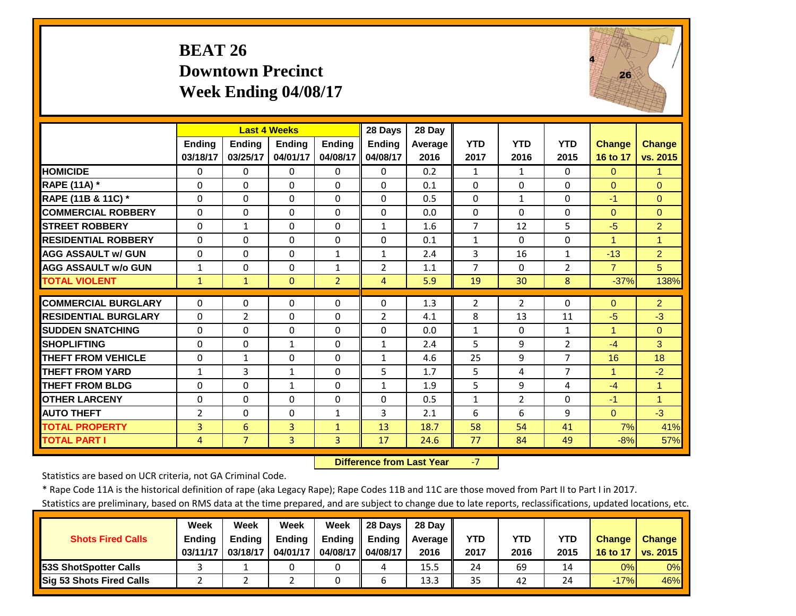#### **BEAT 26 Downtown Precinct Week Ending 04/08/17**



|                             |                | <b>Last 4 Weeks</b> |               |                | 28 Days        | 28 Day  |                |                |                |                |                      |
|-----------------------------|----------------|---------------------|---------------|----------------|----------------|---------|----------------|----------------|----------------|----------------|----------------------|
|                             | <b>Ending</b>  | <b>Ending</b>       | <b>Endina</b> | <b>Ending</b>  | <b>Endina</b>  | Average | <b>YTD</b>     | <b>YTD</b>     | <b>YTD</b>     | <b>Change</b>  | <b>Change</b>        |
|                             | 03/18/17       | 03/25/17            | 04/01/17      | 04/08/17       | 04/08/17       | 2016    | 2017           | 2016           | 2015           | 16 to 17       | vs. 2015             |
| <b>HOMICIDE</b>             | $\Omega$       | $\Omega$            | $\Omega$      | $\Omega$       | $\Omega$       | 0.2     | $\mathbf{1}$   | $\mathbf{1}$   | $\Omega$       | $\Omega$       | 1                    |
| <b>RAPE (11A) *</b>         | $\Omega$       | $\Omega$            | $\Omega$      | $\Omega$       | $\Omega$       | 0.1     | $\Omega$       | $\Omega$       | 0              | $\Omega$       | $\Omega$             |
| RAPE (11B & 11C) *          | $\Omega$       | $\Omega$            | $\Omega$      | $\Omega$       | $\Omega$       | 0.5     | $\Omega$       | $\mathbf{1}$   | $\Omega$       | $-1$           | $\Omega$             |
| <b>COMMERCIAL ROBBERY</b>   | $\Omega$       | $\Omega$            | $\Omega$      | $\Omega$       | $\Omega$       | 0.0     | $\Omega$       | $\Omega$       | 0              | $\Omega$       | $\Omega$             |
| <b>STREET ROBBERY</b>       | 0              | $\mathbf{1}$        | $\mathbf 0$   | $\mathbf 0$    | $\mathbf{1}$   | 1.6     | $\overline{7}$ | 12             | 5              | $-5$           | $\overline{2}$       |
| <b>RESIDENTIAL ROBBERY</b>  | $\Omega$       | $\Omega$            | $\Omega$      | $\Omega$       | $\Omega$       | 0.1     | $\mathbf{1}$   | $\Omega$       | 0              | 1              | $\overline{1}$       |
| <b>AGG ASSAULT w/ GUN</b>   | $\Omega$       | $\Omega$            | $\Omega$      | $\mathbf{1}$   | 1              | 2.4     | 3              | 16             | $\mathbf{1}$   | $-13$          | $\overline{2}$       |
| <b>AGG ASSAULT w/o GUN</b>  | 1              | $\Omega$            | $\Omega$      | $\mathbf{1}$   | $\overline{2}$ | 1.1     | $\overline{7}$ | $\Omega$       | $\overline{2}$ | $\overline{7}$ | 5                    |
| <b>TOTAL VIOLENT</b>        | $\mathbf{1}$   | $\mathbf{1}$        | $\Omega$      | $\overline{2}$ | 4              | 5.9     | 19             | 30             | 8              | $-37%$         | 138%                 |
| <b>COMMERCIAL BURGLARY</b>  | $\Omega$       | $\Omega$            | 0             | 0              | 0              | 1.3     | $\overline{2}$ | $\overline{2}$ | 0              | $\Omega$       | $\overline{2}$       |
| <b>RESIDENTIAL BURGLARY</b> | $\Omega$       | $\overline{2}$      | $\Omega$      | $\Omega$       | $\overline{2}$ | 4.1     | 8              | 13             | 11             | $-5$           | $-3$                 |
| <b>SUDDEN SNATCHING</b>     | $\Omega$       | $\Omega$            | $\Omega$      | $\Omega$       | $\Omega$       | 0.0     | $\mathbf{1}$   | $\Omega$       | $\mathbf{1}$   | 1              | $\Omega$             |
| <b>SHOPLIFTING</b>          | $\Omega$       | $\Omega$            | $\mathbf{1}$  | $\Omega$       | $\mathbf{1}$   | 2.4     | 5              | 9              | $\overline{2}$ | $-4$           | 3                    |
| <b>THEFT FROM VEHICLE</b>   | $\Omega$       | $\mathbf{1}$        | $\Omega$      | $\Omega$       | $\mathbf{1}$   | 4.6     | 25             | 9              | $\overline{7}$ | 16             | 18                   |
| <b>THEFT FROM YARD</b>      | $\mathbf{1}$   | 3                   | $\mathbf{1}$  | $\Omega$       | 5              | 1.7     | 5              | 4              | $\overline{7}$ | 1              | $-2$                 |
| <b>THEFT FROM BLDG</b>      | $\Omega$       | $\Omega$            | $\mathbf{1}$  | $\Omega$       | $\mathbf{1}$   | 1.9     | 5              | 9              | 4              | $-4$           | $\blacktriangleleft$ |
| <b>OTHER LARCENY</b>        | $\Omega$       | $\Omega$            | $\Omega$      | $\Omega$       | $\Omega$       | 0.5     | $\mathbf{1}$   | $\overline{2}$ | $\Omega$       | $-1$           | $\overline{1}$       |
| <b>AUTO THEFT</b>           | $\overline{2}$ | $\Omega$            | $\Omega$      | $\mathbf{1}$   | 3              | 2.1     | 6              | 6              | 9              | $\Omega$       | $-3$                 |
| <b>TOTAL PROPERTY</b>       | 3              | 6                   | 3             | $\mathbf{1}$   | 13             | 18.7    | 58             | 54             | 41             | 7%             | 41%                  |
| <b>TOTAL PART I</b>         | 4              | $\overline{7}$      | 3             | 3              | 17             | 24.6    | 77             | 84             | 49             | $-8%$          | 57%                  |
|                             |                |                     |               |                |                |         |                |                |                |                |                      |

 **Difference from Last Year** $-7$ 

Statistics are based on UCR criteria, not GA Criminal Code.

\* Rape Code 11A is the historical definition of rape (aka Legacy Rape); Rape Codes 11B and 11C are those moved from Part II to Part I in 2017.

|                          | Week          | Week          | <b>Week</b>   | Week          | 28 Davs  | 28 Day     |            |      |            |               |                 |
|--------------------------|---------------|---------------|---------------|---------------|----------|------------|------------|------|------------|---------------|-----------------|
| <b>Shots Fired Calls</b> | <b>Ending</b> | <b>Ending</b> | <b>Ending</b> | <b>Ending</b> | Endina   | Average II | <b>YTD</b> | YTD  | <b>YTD</b> | <b>Change</b> | <b>Change</b>   |
|                          | 03/11/17      | 03/18/17      | 04/01/17      | 04/08/17 II   | 04/08/17 | 2016       | 2017       | 2016 | 2015       | 16 to 17      | <b>VS. 2015</b> |
| 53S ShotSpotter Calls    |               |               |               |               | 4        | 15.5       | 24         | 69   | 14         | 0%            | $0\%$           |
| Sig 53 Shots Fired Calls |               |               |               |               |          | 13.3       | 35         | 42   | 24         | $-17%$        | 46%             |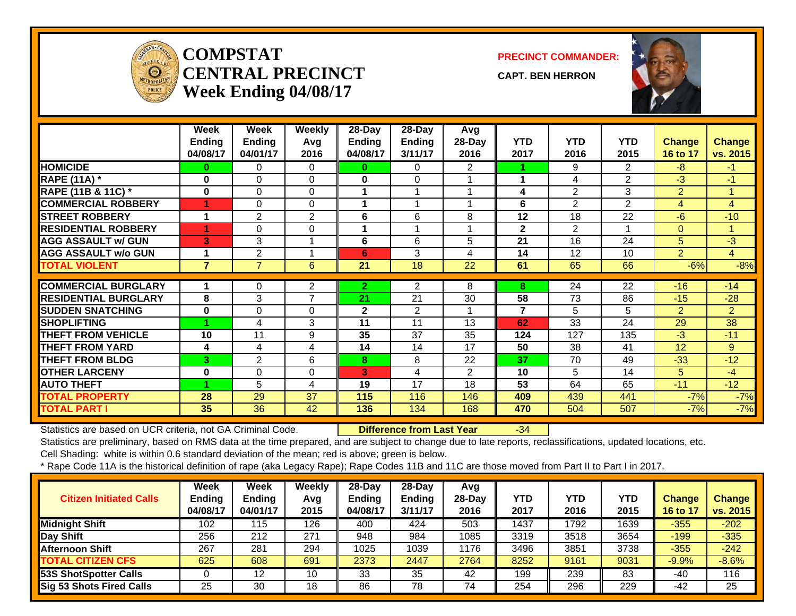

#### **COMPSTATCENTRAL PRECINCTWeek Ending 04/08/17**

**PRECINCT COMMANDER:**

**CAPT. BEN HERRON**



|                             | Week           | Week           | <b>Weekly</b>        | 28-Day        | $28 - Day$     | Avg            |              |                |                 |                |                |
|-----------------------------|----------------|----------------|----------------------|---------------|----------------|----------------|--------------|----------------|-----------------|----------------|----------------|
|                             | <b>Ending</b>  | <b>Ending</b>  | Avg                  | <b>Ending</b> | Ending         | 28-Day         | <b>YTD</b>   | <b>YTD</b>     | <b>YTD</b>      | <b>Change</b>  | <b>Change</b>  |
|                             | 04/08/17       | 04/01/17       | 2016                 | 04/08/17      | 3/11/17        | 2016           | 2017         | 2016           | 2015            | 16 to 17       | vs. 2015       |
| <b>HOMICIDE</b>             | 0              | 0              | 0                    | 0             | 0              | 2              |              | 9              | 2               | $-8$           | $-1$           |
| <b>RAPE (11A) *</b>         | $\bf{0}$       | $\Omega$       | $\Omega$             | 0             | $\Omega$       |                | 1            | 4              | $\overline{2}$  | $-3$           | $-1$           |
| RAPE (11B & 11C) *          | $\bf{0}$       | $\Omega$       | $\Omega$             |               | 1              |                | 4            | $\overline{2}$ | 3               | $\overline{2}$ | 1              |
| <b>COMMERCIAL ROBBERY</b>   | 1              | 0              | $\Omega$             | 1             | 1              |                | 6            | $\overline{2}$ | 2               | $\overline{4}$ | $\overline{4}$ |
| <b>STREET ROBBERY</b>       | 1              | $\overline{2}$ | $\overline{2}$       | 6             | 6              | 8              | 12           | 18             | 22              | $-6$           | $-10$          |
| <b>RESIDENTIAL ROBBERY</b>  | и              | $\Omega$       | $\Omega$             | 1             | 1              |                | $\mathbf{2}$ | $\overline{2}$ |                 | $\overline{0}$ | 1              |
| <b>AGG ASSAULT w/ GUN</b>   | 3              | 3              | 1                    | 6             | 6              | 5              | 21           | 16             | 24              | 5              | $-3$           |
| <b>AGG ASSAULT w/o GUN</b>  |                | $\overline{2}$ | $\blacktriangleleft$ | 6             | 3              | 4              | 14           | 12             | 10              | $\overline{2}$ | $\overline{4}$ |
| <b>TOTAL VIOLENT</b>        | $\overline{7}$ | $\overline{7}$ | 6                    | 21            | 18             | 22             | 61           | 65             | 66              | $-6%$          | $-8%$          |
|                             |                |                |                      |               |                |                |              |                |                 |                |                |
| <b>COMMERCIAL BURGLARY</b>  | 1              | 0              | 2                    | $\mathbf{2}$  | $\overline{2}$ | 8              | 8            | 24             | $\overline{22}$ | $-16$          | $-14$          |
| <b>RESIDENTIAL BURGLARY</b> | 8              | 3              | 7                    | 21            | 21             | 30             | 58           | 73             | 86              | $-15$          | $-28$          |
| <b>SUDDEN SNATCHING</b>     | 0              | $\Omega$       | $\Omega$             | $\mathbf{2}$  | 2              |                | 7            | 5              | 5               | $\overline{2}$ | $\overline{2}$ |
| <b>SHOPLIFTING</b>          |                | 4              | 3                    | 11            | 11             | 13             | 62           | 33             | 24              | 29             | 38             |
| <b>THEFT FROM VEHICLE</b>   | 10             | 11             | 9                    | 35            | 37             | 35             | 124          | 127            | 135             | $-3$           | $-11$          |
| <b>THEFT FROM YARD</b>      | 4              | 4              | 4                    | 14            | 14             | 17             | 50           | 38             | 41              | 12             | 9              |
| <b>THEFT FROM BLDG</b>      | 3              | $\overline{2}$ | 6                    | 8             | 8              | 22             | 37           | 70             | 49              | $-33$          | $-12$          |
| <b>OTHER LARCENY</b>        | 0              | 0              | $\mathbf 0$          | 3             | 4              | $\overline{2}$ | 10           | 5              | 14              | 5 <sup>5</sup> | $-4$           |
| <b>AUTO THEFT</b>           |                | 5              | 4                    | 19            | 17             | 18             | 53           | 64             | 65              | $-11$          | $-12$          |
| <b>TOTAL PROPERTY</b>       | 28             | 29             | 37                   | 115           | 116            | 146            | 409          | 439            | 441             | $-7%$          | $-7%$          |
| <b>TOTAL PART I</b>         | 35             | 36             | 42                   | 136           | 134            | 168            | 470          | 504            | 507             | $-7%$          | $-7%$          |

Statistics are based on UCR criteria, not GA Criminal Code. **Difference from Last Year** -34

Statistics are preliminary, based on RMS data at the time prepared, and are subject to change due to late reports, reclassifications, updated locations, etc.

Cell Shading: white is within 0.6 standard deviation of the mean; red is above; green is below.

| <b>Citizen Initiated Calls</b>  | Week<br><b>Ending</b><br>04/08/17 | <b>Week</b><br><b>Ending</b><br>04/01/17 | <b>Weekly</b><br>Avg<br>2015 | $28$ -Day<br><b>Ending</b><br>04/08/17 | 28-Day<br><b>Ending</b><br>3/11/17 | Avg<br>$28$ -Day<br>2016 | YTD<br>2017 | <b>YTD</b><br>2016 | YTD<br>2015 | Change<br>16 to 17 | <b>Change</b><br>vs. 2015 |
|---------------------------------|-----------------------------------|------------------------------------------|------------------------------|----------------------------------------|------------------------------------|--------------------------|-------------|--------------------|-------------|--------------------|---------------------------|
| <b>Midnight Shift</b>           | 102                               | 115                                      | 126                          | 400                                    | 424                                | 503                      | 1437        | 1792               | 1639        | $-355$             | $-202$                    |
| Day Shift                       | 256                               | 212                                      | 271                          | 948                                    | 984                                | 1085                     | 3319        | 3518               | 3654        | $-199$             | $-335$                    |
| Afternoon Shift                 | 267                               | 281                                      | 294                          | 1025                                   | 1039                               | 1176                     | 3496        | 3851               | 3738        | $-355$             | $-242$                    |
| <b>TOTAL CITIZEN CFS</b>        | 625                               | 608                                      | 691                          | 2373                                   | 2447                               | 2764                     | 8252        | 9161               | 9031        | $-9.9%$            | $-8.6%$                   |
| 53S ShotSpotter Calls           |                                   | 12                                       | 10                           | 33                                     | 35                                 | 42                       | 199         | 239                | 83          | -40                | 116                       |
| <b>Sig 53 Shots Fired Calls</b> | 25                                | 30                                       | 18                           | 86                                     | 78                                 | 74                       | 254         | 296                | 229         | -42                | 25                        |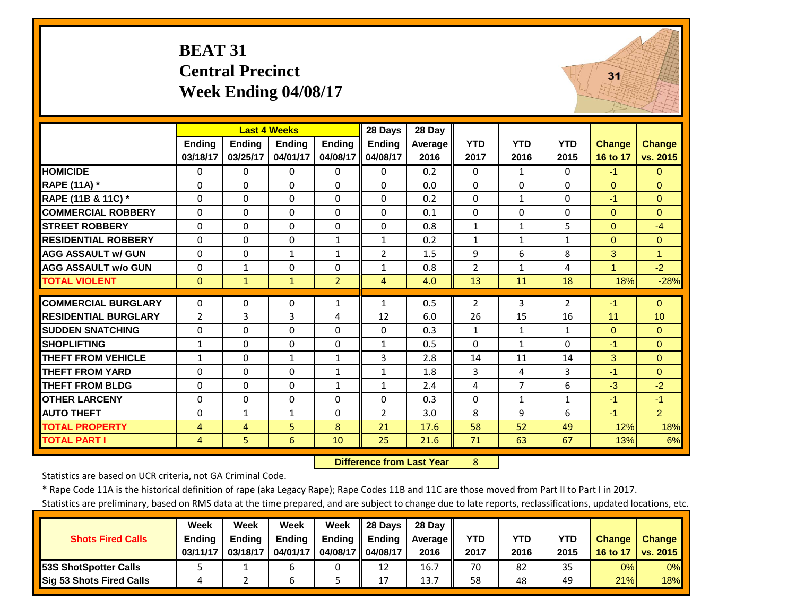#### **BEAT 31 Central Precinct Week Ending 04/08/17**



|                             |                   |               | <b>Last 4 Weeks</b>      |                | 28 Days           | 28 Day     |                |                     |                |                      |                      |
|-----------------------------|-------------------|---------------|--------------------------|----------------|-------------------|------------|----------------|---------------------|----------------|----------------------|----------------------|
|                             | <b>Ending</b>     | <b>Ending</b> | <b>Endina</b>            | <b>Ending</b>  | <b>Ending</b>     | Average    | <b>YTD</b>     | <b>YTD</b>          | <b>YTD</b>     | <b>Change</b>        | <b>Change</b>        |
|                             | 03/18/17          | 03/25/17      | 04/01/17                 | 04/08/17       | 04/08/17          | 2016       | 2017           | 2016                | 2015           | 16 to 17             | vs. 2015             |
| <b>HOMICIDE</b>             | $\Omega$          | 0             | 0                        | $\Omega$       | 0                 | 0.2        | 0              | $\mathbf{1}$        | 0              | $-1$                 | $\Omega$             |
| <b>RAPE (11A)</b> *         | $\Omega$          | $\Omega$      | $\Omega$                 | $\Omega$       | $\Omega$          | 0.0        | $\Omega$       | $\Omega$            | 0              | $\Omega$             | $\Omega$             |
| RAPE (11B & 11C) *          | $\Omega$          | $\Omega$      | $\mathbf 0$              | $\Omega$       | $\Omega$          | 0.2        | $\Omega$       | $\mathbf{1}$        | 0              | $-1$                 | $\Omega$             |
| <b>COMMERCIAL ROBBERY</b>   | $\Omega$          | $\Omega$      | $\Omega$                 | $\Omega$       | $\Omega$          | 0.1        | $\Omega$       | $\Omega$            | $\Omega$       | $\Omega$             | $\Omega$             |
| <b>STREET ROBBERY</b>       | $\Omega$          | $\Omega$      | $\Omega$                 | $\Omega$       | $\Omega$          | 0.8        | $\mathbf{1}$   | $\mathbf{1}$        | 5              | $\Omega$             | $-4$                 |
| <b>RESIDENTIAL ROBBERY</b>  | $\Omega$          | $\Omega$      | $\Omega$                 | $\mathbf{1}$   | $\mathbf{1}$      | 0.2        | $\mathbf{1}$   | $\mathbf{1}$        | $\mathbf{1}$   | $\Omega$             | $\Omega$             |
| <b>AGG ASSAULT w/ GUN</b>   | $\Omega$          | $\Omega$      | 1                        | $\mathbf{1}$   | 2                 | 1.5        | 9              | 6                   | 8              | 3                    | 1                    |
| <b>AGG ASSAULT w/o GUN</b>  | $\Omega$          | $\mathbf{1}$  | $\Omega$                 | $\Omega$       | $\mathbf{1}$      | 0.8        | $\overline{2}$ | $\mathbf{1}$        | 4              | $\blacktriangleleft$ | $-2$                 |
| <b>TOTAL VIOLENT</b>        | $\mathbf{0}$      | $\mathbf{1}$  | $\mathbf{1}$             | $\overline{2}$ | 4                 | 4.0        | 13             | 11                  | 18             | 18%                  | $-28%$               |
| <b>COMMERCIAL BURGLARY</b>  | $\Omega$          | $\Omega$      | $\mathbf 0$              | $\mathbf{1}$   | 1                 | 0.5        | 2              | 3                   | $\overline{2}$ | $-1$                 | $\mathbf{0}$         |
| <b>RESIDENTIAL BURGLARY</b> | $\overline{2}$    | 3             | $\overline{3}$           | 4              | 12                | 6.0        | 26             | 15                  | 16             | 11                   | 10                   |
| <b>SUDDEN SNATCHING</b>     | 0                 | $\Omega$      | 0                        | $\Omega$       | $\Omega$          | 0.3        | $\mathbf{1}$   | $\mathbf{1}$        | $\mathbf{1}$   | $\Omega$             | $\Omega$             |
| <b>SHOPLIFTING</b>          |                   | $\Omega$      |                          |                |                   |            | $\Omega$       |                     | 0              | $-1$                 |                      |
| <b>THEFT FROM VEHICLE</b>   | 1<br>$\mathbf{1}$ | $\Omega$      | $\Omega$<br>$\mathbf{1}$ | $\Omega$<br>1  | $\mathbf{1}$<br>3 | 0.5<br>2.8 | 14             | $\mathbf{1}$<br>11  | 14             | 3                    | $\Omega$<br>$\Omega$ |
| <b>THEFT FROM YARD</b>      | $\Omega$          | $\Omega$      | $\Omega$                 |                |                   |            |                |                     | 3              | $-1$                 | $\Omega$             |
|                             |                   | $\Omega$      |                          | 1              | $\mathbf{1}$      | 1.8        | 3              | 4<br>$\overline{7}$ | 6              | $-3$                 |                      |
| <b>THEFT FROM BLDG</b>      | 0                 |               | $\Omega$                 | $\mathbf{1}$   | $\mathbf{1}$      | 2.4        | 4              |                     |                |                      | $-2$                 |
| <b>OTHER LARCENY</b>        | $\Omega$          | $\Omega$      | $\Omega$                 | $\Omega$       | $\Omega$          | 0.3        | $\Omega$       | $\mathbf{1}$        | $\mathbf{1}$   | $-1$                 | $-1$                 |
| <b>AUTO THEFT</b>           | 0                 | $\mathbf{1}$  | $\mathbf{1}$             | $\Omega$       | $\overline{2}$    | 3.0        | 8              | 9                   | 6              | $-1$                 | $\overline{2}$       |
| <b>TOTAL PROPERTY</b>       | $\overline{4}$    | 4             | 5                        | 8              | 21                | 17.6       | 58             | 52                  | 49             | 12%                  | 18%                  |
| <b>TOTAL PART I</b>         | $\overline{4}$    | 5             | 6                        | 10             | 25                | 21.6       | 71             | 63                  | 67             | 13%                  | 6%                   |

 **Difference from Last Year**8

Statistics are based on UCR criteria, not GA Criminal Code.

\* Rape Code 11A is the historical definition of rape (aka Legacy Rape); Rape Codes 11B and 11C are those moved from Part II to Part I in 2017.

|                                 | <b>Week</b>   | Week          | <b>Week</b>   | Week          | 28 Davs       | 28 Day     |      |      |      |               |               |
|---------------------------------|---------------|---------------|---------------|---------------|---------------|------------|------|------|------|---------------|---------------|
| <b>Shots Fired Calls</b>        | <b>Ending</b> | <b>Ending</b> | <b>Ending</b> | <b>Ending</b> | <b>Ending</b> | Average II | YTD  | YTD  | YTD  | <b>Change</b> | <b>Change</b> |
|                                 | 03/11/17      | 03/18/17      | 04/01/17      | 04/08/17 II   | 04/08/17      | 2016       | 2017 | 2016 | 2015 | 16 to 17      | vs. 2015      |
| <b>153S ShotSpotter Calls</b>   |               |               |               |               | 12            | 16.7       | 70   | 82   | 35   | 0%            | 0%            |
| <b>Sig 53 Shots Fired Calls</b> |               |               |               |               | ⊥             | 13.7       | 58   | 48   | 49   | 21%           | <b>18%</b>    |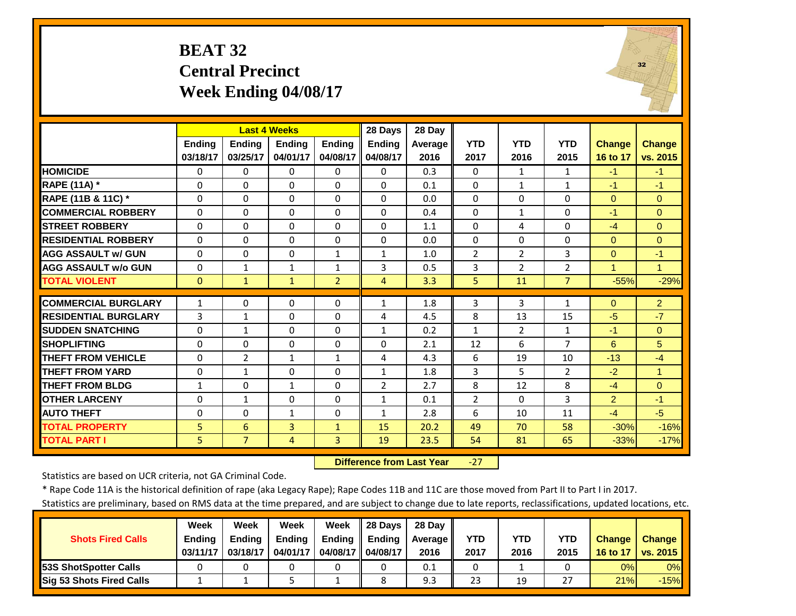# **BEAT 32 Central Precinct Week Ending 04/08/17**



|                             |               | <b>Last 4 Weeks</b> |               |                | 28 Days        | 28 Day  |                |                |                |                |                      |
|-----------------------------|---------------|---------------------|---------------|----------------|----------------|---------|----------------|----------------|----------------|----------------|----------------------|
|                             | <b>Ending</b> | <b>Ending</b>       | <b>Endina</b> | <b>Ending</b>  | <b>Ending</b>  | Average | <b>YTD</b>     | <b>YTD</b>     | <b>YTD</b>     | <b>Change</b>  | <b>Change</b>        |
|                             | 03/18/17      | 03/25/17            | 04/01/17      | 04/08/17       | 04/08/17       | 2016    | 2017           | 2016           | 2015           | 16 to 17       | vs. 2015             |
| <b>HOMICIDE</b>             | $\Omega$      | $\Omega$            | $\Omega$      | $\Omega$       | $\Omega$       | 0.3     | $\Omega$       | $\mathbf{1}$   | 1              | $-1$           | $-1$                 |
| <b>RAPE (11A) *</b>         | $\Omega$      | $\Omega$            | $\Omega$      | $\Omega$       | $\Omega$       | 0.1     | $\Omega$       | $\mathbf{1}$   | $\mathbf{1}$   | $-1$           | $-1$                 |
| RAPE (11B & 11C) *          | $\Omega$      | $\Omega$            | $\Omega$      | $\Omega$       | $\Omega$       | 0.0     | $\Omega$       | $\Omega$       | $\Omega$       | $\Omega$       | $\Omega$             |
| <b>COMMERCIAL ROBBERY</b>   | $\Omega$      | $\Omega$            | $\Omega$      | $\Omega$       | $\Omega$       | 0.4     | $\Omega$       | $\mathbf{1}$   | $\Omega$       | $-1$           | $\Omega$             |
| <b>STREET ROBBERY</b>       | 0             | $\Omega$            | $\Omega$      | $\mathbf 0$    | $\Omega$       | 1.1     | 0              | 4              | 0              | $-4$           | $\Omega$             |
| <b>RESIDENTIAL ROBBERY</b>  | $\Omega$      | $\Omega$            | $\Omega$      | $\Omega$       | $\Omega$       | 0.0     | $\Omega$       | $\Omega$       | $\Omega$       | $\Omega$       | $\Omega$             |
| <b>AGG ASSAULT w/ GUN</b>   | $\Omega$      | $\Omega$            | $\Omega$      | $\mathbf{1}$   | $\mathbf{1}$   | 1.0     | $\overline{2}$ | $\overline{2}$ | 3              | $\Omega$       | $-1$                 |
| <b>AGG ASSAULT w/o GUN</b>  | $\Omega$      | 1                   | 1             | $\mathbf{1}$   | 3              | 0.5     | 3              | $\overline{2}$ | $\overline{2}$ | 1              | 1                    |
| <b>TOTAL VIOLENT</b>        | $\mathbf{0}$  | $\mathbf{1}$        | 1             | $\overline{2}$ | 4              | 3.3     | 5              | 11             | $\overline{7}$ | $-55%$         | $-29%$               |
| <b>COMMERCIAL BURGLARY</b>  | 1             | $\Omega$            | $\Omega$      | $\Omega$       | $\mathbf{1}$   | 1.8     | 3              | 3              | $\mathbf{1}$   | $\Omega$       | $\overline{2}$       |
| <b>RESIDENTIAL BURGLARY</b> | 3             | 1                   | $\Omega$      | $\Omega$       | 4              | 4.5     | 8              | 13             | 15             | $-5$           | $-7$                 |
| <b>SUDDEN SNATCHING</b>     | $\Omega$      | 1                   | $\Omega$      | $\Omega$       | $\mathbf{1}$   | 0.2     | $\mathbf{1}$   | $\overline{2}$ | 1              | $-1$           | $\Omega$             |
| <b>SHOPLIFTING</b>          | $\Omega$      | $\Omega$            | $\Omega$      | $\Omega$       | $\Omega$       | 2.1     | 12             | 6              | 7              | 6              | 5                    |
| <b>THEFT FROM VEHICLE</b>   | $\Omega$      | $\overline{2}$      | $\mathbf{1}$  | $\mathbf{1}$   | 4              | 4.3     | 6              | 19             | 10             | $-13$          | $-4$                 |
| <b>THEFT FROM YARD</b>      | $\Omega$      | $\mathbf{1}$        | $\Omega$      | $\Omega$       | $\mathbf{1}$   | 1.8     | 3              | 5.             | $\overline{2}$ | $-2$           | $\blacktriangleleft$ |
| <b>THEFT FROM BLDG</b>      | $\mathbf{1}$  | $\Omega$            | $\mathbf{1}$  | $\Omega$       | $\overline{2}$ | 2.7     | 8              | 12             | 8              | $-4$           | $\Omega$             |
| <b>OTHER LARCENY</b>        | $\Omega$      | $\mathbf{1}$        | $\Omega$      | $\Omega$       | $\mathbf{1}$   | 0.1     | $\overline{2}$ | $\Omega$       | 3              | $\overline{2}$ | $-1$                 |
| <b>AUTO THEFT</b>           | 0             | $\Omega$            | $\mathbf{1}$  | $\mathbf 0$    | $\mathbf{1}$   | 2.8     | 6              | 10             | 11             | $-4$           | $-5$                 |
| <b>TOTAL PROPERTY</b>       | 5             | 6                   | 3             | $\mathbf{1}$   | 15             | 20.2    | 49             | 70             | 58             | $-30%$         | $-16%$               |
| <b>TOTAL PART I</b>         | 5             | $\overline{7}$      | 4             | 3              | 19             | 23.5    | 54             | 81             | 65             | $-33%$         | $-17%$               |
|                             |               |                     |               |                |                |         |                |                |                |                |                      |

 **Difference from Last Year**‐27

Statistics are based on UCR criteria, not GA Criminal Code.

\* Rape Code 11A is the historical definition of rape (aka Legacy Rape); Rape Codes 11B and 11C are those moved from Part II to Part I in 2017.

|                               | Week          | Week          | <b>Week</b>   | Week          | 28 Davs  | 28 Day     |            |      |      |               |                 |
|-------------------------------|---------------|---------------|---------------|---------------|----------|------------|------------|------|------|---------------|-----------------|
| <b>Shots Fired Calls</b>      | <b>Ending</b> | <b>Endina</b> | <b>Ending</b> | <b>Ending</b> | Endina   | Average II | <b>YTD</b> | YTD  | YTD  | <b>Change</b> | <b>Change</b>   |
|                               | 03/11/17      | 03/18/17      | 04/01/17      | 04/08/17      | 04/08/17 | 2016       | 2017       | 2016 | 2015 | 16 to 17      | <b>vs. 2015</b> |
| <b>153S ShotSpotter Calls</b> |               |               |               |               |          | 0.1        |            |      |      | 0%            | $0\%$           |
| Sig 53 Shots Fired Calls      |               |               |               |               |          | 9.3        | 23         | 19   | 27   | 21%           | $-15%$          |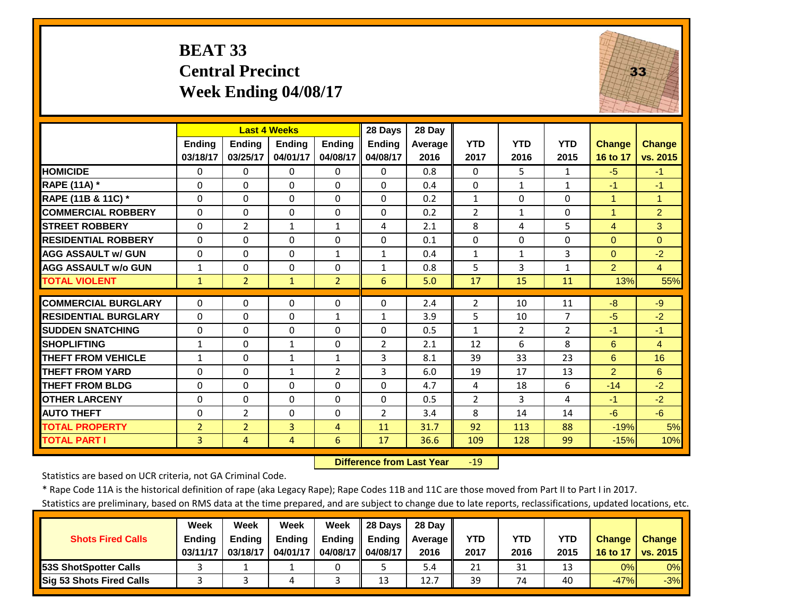#### **BEAT 33 Central Precinct Week Ending 04/08/17**



|                             |                | <b>Last 4 Weeks</b> |                |                | 28 Days        | 28 Day         |                |                |                |                      |                |
|-----------------------------|----------------|---------------------|----------------|----------------|----------------|----------------|----------------|----------------|----------------|----------------------|----------------|
|                             | Ending         | <b>Ending</b>       | <b>Ending</b>  | <b>Endina</b>  | <b>Ending</b>  | <b>Average</b> | <b>YTD</b>     | <b>YTD</b>     | <b>YTD</b>     | <b>Change</b>        | <b>Change</b>  |
|                             | 03/18/17       | 03/25/17            | 04/01/17       | 04/08/17       | 04/08/17       | 2016           | 2017           | 2016           | 2015           | 16 to 17             | vs. 2015       |
| <b>HOMICIDE</b>             | 0              | 0                   | 0              | $\Omega$       | $\Omega$       | 0.8            | $\Omega$       | 5.             | $\mathbf{1}$   | $-5$                 | $-1$           |
| <b>RAPE (11A) *</b>         | $\Omega$       | $\Omega$            | $\Omega$       | $\Omega$       | $\Omega$       | 0.4            | $\Omega$       | $\mathbf{1}$   | $\mathbf{1}$   | $-1$                 | $-1$           |
| RAPE (11B & 11C) *          | $\Omega$       | $\Omega$            | $\Omega$       | $\Omega$       | $\Omega$       | 0.2            | $\mathbf{1}$   | $\Omega$       | $\Omega$       | $\blacktriangleleft$ | $\overline{1}$ |
| <b>COMMERCIAL ROBBERY</b>   | $\Omega$       | 0                   | $\Omega$       | $\Omega$       | $\Omega$       | 0.2            | 2              | $\mathbf{1}$   | 0              | $\overline{1}$       | $\overline{2}$ |
| <b>STREET ROBBERY</b>       | $\Omega$       | $\overline{2}$      | 1              | $\mathbf{1}$   | 4              | 2.1            | 8              | 4              | 5              | $\overline{4}$       | 3              |
| <b>RESIDENTIAL ROBBERY</b>  | $\Omega$       | 0                   | $\Omega$       | $\Omega$       | $\Omega$       | 0.1            | $\Omega$       | $\Omega$       | 0              | $\Omega$             | $\Omega$       |
| <b>AGG ASSAULT W/ GUN</b>   | $\Omega$       | 0                   | $\Omega$       | $\mathbf{1}$   | $\mathbf{1}$   | 0.4            | $\mathbf{1}$   | $\mathbf{1}$   | 3              | $\Omega$             | $-2$           |
| <b>AGG ASSAULT w/o GUN</b>  | $\mathbf{1}$   | 0                   | $\Omega$       | $\Omega$       | $\mathbf{1}$   | 0.8            | 5              | 3              | $\mathbf{1}$   | 2                    | $\overline{4}$ |
| <b>TOTAL VIOLENT</b>        | $\mathbf{1}$   | $\overline{2}$      | 1              | $\overline{2}$ | 6              | 5.0            | 17             | 15             | 11             | 13%                  | 55%            |
| <b>COMMERCIAL BURGLARY</b>  | $\Omega$       | 0                   | 0              | 0              | 0              | 2.4            | 2              | 10             | 11             | $-8$                 | $-9$           |
| <b>RESIDENTIAL BURGLARY</b> | $\Omega$       | 0                   | $\mathbf 0$    | 1              | 1              | 3.9            | 5              | 10             | $\overline{7}$ | $-5$                 | $-2$           |
| <b>SUDDEN SNATCHING</b>     | $\Omega$       | 0                   | $\Omega$       | $\Omega$       | $\Omega$       | 0.5            | 1              | $\overline{2}$ | $\overline{2}$ | $-1$                 | $-1$           |
| <b>SHOPLIFTING</b>          | $\mathbf{1}$   | 0                   | $\mathbf{1}$   | $\Omega$       | $\overline{2}$ | 2.1            | 12             | 6              | 8              | 6                    | $\overline{4}$ |
| <b>THEFT FROM VEHICLE</b>   | 1              | 0                   | $\mathbf{1}$   | $\mathbf{1}$   | 3              | 8.1            | 39             | 33             | 23             | 6                    | 16             |
| <b>THEFT FROM YARD</b>      | $\Omega$       | $\Omega$            | $\mathbf{1}$   | $\overline{2}$ | 3              | 6.0            | 19             | 17             | 13             | 2                    | 6              |
| <b>THEFT FROM BLDG</b>      | $\Omega$       | $\Omega$            | $\Omega$       | $\Omega$       | $\Omega$       | 4.7            | 4              | 18             | 6              | $-14$                | $-2$           |
| <b>OTHER LARCENY</b>        | $\Omega$       | 0                   | $\Omega$       | $\Omega$       | $\Omega$       | 0.5            | $\overline{2}$ | 3              | 4              | $-1$                 | $-2$           |
| <b>AUTO THEFT</b>           | $\Omega$       | $\overline{2}$      | $\Omega$       | $\Omega$       | $\overline{2}$ | 3.4            | 8              | 14             | 14             | $-6$                 | $-6$           |
| <b>TOTAL PROPERTY</b>       | $\overline{2}$ | $\overline{2}$      | $\overline{3}$ | 4              | 11             | 31.7           | 92             | 113            | 88             | $-19%$               | 5%             |
| <b>TOTAL PART I</b>         | $\overline{3}$ | 4                   | 4              | 6              | 17             | 36.6           | 109            | 128            | 99             | $-15%$               | 10%            |

 **Difference from Last Year** $-19$ 

Statistics are based on UCR criteria, not GA Criminal Code.

\* Rape Code 11A is the historical definition of rape (aka Legacy Rape); Rape Codes 11B and 11C are those moved from Part II to Part I in 2017.

|                               | Week          | Week          | Week          | Week          | 28 Davs       | 28 Dav     |            |      |      |               |                 |
|-------------------------------|---------------|---------------|---------------|---------------|---------------|------------|------------|------|------|---------------|-----------------|
| <b>Shots Fired Calls</b>      | <b>Ending</b> | <b>Endina</b> | <b>Ending</b> | <b>Ending</b> | <b>Ending</b> | Average II | <b>YTD</b> | YTD  | YTD  | <b>Change</b> | <b>Change</b>   |
|                               | 03/11/17      | 03/18/17      | 04/01/17      | 04/08/17 II   | 04/08/17      | 2016       | 2017       | 2016 | 2015 | 16 to 17      | <b>vs. 2015</b> |
| <b>153S ShotSpotter Calls</b> |               |               |               |               |               | 5.4        | 21         | 31   | 13   | 0%            | $0\%$           |
| Sig 53 Shots Fired Calls      |               |               | 4             |               | 13            | 12.7       | 39         | 74   | 40   | $-47%$        | $-3%$           |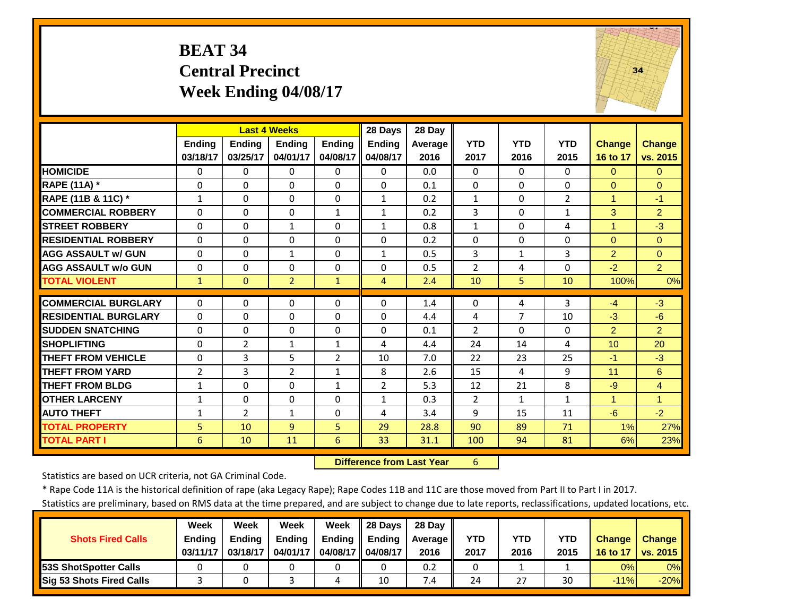#### **BEAT 34 Central Precinct Week Ending 04/08/17**



|                             |                |                | <b>Last 4 Weeks</b> |                      | 28 Days           | 28 Day  |                |                    |                |                |                |
|-----------------------------|----------------|----------------|---------------------|----------------------|-------------------|---------|----------------|--------------------|----------------|----------------|----------------|
|                             | <b>Endina</b>  | <b>Ending</b>  | <b>Endina</b>       | <b>Endina</b>        | <b>Ending</b>     | Average | <b>YTD</b>     | <b>YTD</b>         | <b>YTD</b>     | <b>Change</b>  | <b>Change</b>  |
|                             | 03/18/17       | 03/25/17       | 04/01/17            | 04/08/17             | 04/08/17          | 2016    | 2017           | 2016               | 2015           | 16 to 17       | vs. 2015       |
| <b>HOMICIDE</b>             | $\Omega$       | $\Omega$       | $\Omega$            | $\Omega$             | $\Omega$          | 0.0     | $\Omega$       | $\Omega$           | 0              | $\Omega$       | $\Omega$       |
| <b>RAPE (11A) *</b>         | $\Omega$       | $\Omega$       | $\Omega$            | $\Omega$             | $\Omega$          | 0.1     | $\Omega$       | $\Omega$           | $\Omega$       | $\Omega$       | $\Omega$       |
| RAPE (11B & 11C) *          | $\mathbf{1}$   | $\Omega$       | $\Omega$            | $\Omega$             | $\mathbf{1}$      | 0.2     | $1\,$          | $\Omega$           | $\overline{2}$ | $\mathbf{1}$   | $-1$           |
| <b>COMMERCIAL ROBBERY</b>   | $\Omega$       | $\Omega$       | $\Omega$            | $\mathbf{1}$         | $\mathbf{1}$      | 0.2     | 3              | $\Omega$           | $\mathbf{1}$   | 3              | $\overline{2}$ |
| <b>STREET ROBBERY</b>       | $\Omega$       | $\Omega$       | $\mathbf{1}$        | $\Omega$             | $\mathbf{1}$      | 0.8     | $\mathbf{1}$   | $\Omega$           | 4              | $\overline{1}$ | $-3$           |
| <b>RESIDENTIAL ROBBERY</b>  | $\Omega$       | $\Omega$       | 0                   | $\Omega$             | $\Omega$          | 0.2     | $\Omega$       | $\Omega$           | 0              | $\Omega$       | $\Omega$       |
| <b>AGG ASSAULT w/ GUN</b>   | $\Omega$       | $\Omega$       | 1                   | $\mathbf 0$          | 1                 | 0.5     | 3              | 1                  | 3              | $\overline{2}$ | $\mathbf{0}$   |
| <b>AGG ASSAULT w/o GUN</b>  | $\Omega$       | $\Omega$       | $\Omega$            | $\Omega$             | $\Omega$          | 0.5     | $\overline{2}$ | 4                  | 0              | $-2$           | $\overline{2}$ |
| <b>TOTAL VIOLENT</b>        | $\mathbf{1}$   | $\Omega$       | $\overline{2}$      | $\mathbf{1}$         | 4                 | 2.4     | 10             | 5                  | 10             | 100%           | 0%             |
| <b>COMMERCIAL BURGLARY</b>  | 0              | $\Omega$       | $\Omega$            | $\Omega$             | $\Omega$          | 1.4     | 0              | 4                  | 3              | $-4$           | $-3$           |
| <b>RESIDENTIAL BURGLARY</b> | $\Omega$       | $\Omega$       | $\Omega$            | $\Omega$             | $\Omega$          | 4.4     | 4              | $\overline{7}$     | 10             | $-3$           | $-6$           |
| <b>SUDDEN SNATCHING</b>     | 0              | 0              | $\Omega$            | $\Omega$             | $\Omega$          | 0.1     | $\overline{2}$ | $\Omega$           | 0              | $\overline{2}$ | $\overline{2}$ |
| <b>SHOPLIFTING</b>          | 0              | $\overline{2}$ | $\mathbf{1}$        | $\mathbf{1}$         | 4                 | 4.4     | 24             | 14                 | 4              | 10             | 20             |
| <b>THEFT FROM VEHICLE</b>   | $\Omega$       | 3              | 5                   | $\overline{2}$       | 10                | 7.0     | 22             | 23                 | 25             | $-1$           | $-3$           |
| <b>THEFT FROM YARD</b>      | $\overline{2}$ | 3              | $\overline{2}$      | $\mathbf{1}$         | 8                 | 2.6     | 15             | 4                  | 9              | 11             | 6              |
| <b>THEFT FROM BLDG</b>      | $\mathbf{1}$   | $\Omega$       | $\Omega$            | $\mathbf{1}$         | $\overline{2}$    | 5.3     | 12             | 21                 | 8              | $-9$           | $\overline{4}$ |
| <b>OTHER LARCENY</b>        |                | $\Omega$       | $\Omega$            |                      |                   | 0.3     | $\overline{2}$ |                    | $\mathbf{1}$   | $\mathbf{1}$   | $\overline{1}$ |
| <b>AUTO THEFT</b>           | $\mathbf{1}$   | $\overline{2}$ | $\mathbf{1}$        | $\Omega$<br>$\Omega$ | $\mathbf{1}$<br>4 | 3.4     |                | $\mathbf{1}$<br>15 | 11             | $-6$           | $-2$           |
|                             | $\mathbf{1}$   |                |                     |                      |                   |         | 9              |                    |                |                |                |
| <b>TOTAL PROPERTY</b>       | 5              | 10             | $\overline{9}$      | $\overline{5}$       | 29                | 28.8    | 90             | 89                 | 71             | 1%             | 27%            |
| <b>TOTAL PART I</b>         | 6              | 10             | 11                  | 6                    | 33                | 31.1    | 100            | 94                 | 81             | 6%             | 23%            |

 **Difference from Last Year**r 6

Statistics are based on UCR criteria, not GA Criminal Code.

\* Rape Code 11A is the historical definition of rape (aka Legacy Rape); Rape Codes 11B and 11C are those moved from Part II to Part I in 2017.

|                                 | Week          | Week          | Week          | Week          | 28 Davs       | 28 Day     |      |      |      |               |               |
|---------------------------------|---------------|---------------|---------------|---------------|---------------|------------|------|------|------|---------------|---------------|
| <b>Shots Fired Calls</b>        | <b>Ending</b> | <b>Ending</b> | <b>Ending</b> | <b>Ending</b> | <b>Ending</b> | Average II | YTD  | YTD  | YTD  | <b>Change</b> | <b>Change</b> |
|                                 | 03/11/17      | 03/18/17      | 04/01/17      | 04/08/17      | 04/08/17      | 2016       | 2017 | 2016 | 2015 | 16 to 17      | vs. 2015      |
| <b>153S ShotSpotter Calls</b>   |               |               |               |               |               | 0.2        |      |      |      | 0%            | $0\%$         |
| <b>Sig 53 Shots Fired Calls</b> |               |               |               | 4             | 10            | 7.4        | 24   | 27   | 30   | $-11%$        | $-20%$        |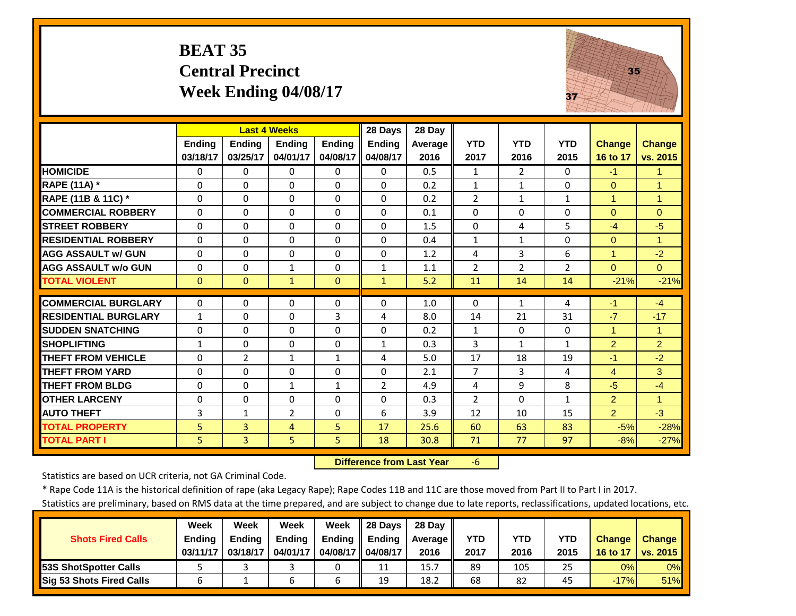# **BEAT 35 Central Precinct Week Ending 04/08/17**



|                             |                | <b>Last 4 Weeks</b> |                |               | 28 Days        | 28 Day  |                |                |                |                |                      |
|-----------------------------|----------------|---------------------|----------------|---------------|----------------|---------|----------------|----------------|----------------|----------------|----------------------|
|                             | Ending         | <b>Ending</b>       | <b>Ending</b>  | <b>Ending</b> | <b>Ending</b>  | Average | <b>YTD</b>     | <b>YTD</b>     | <b>YTD</b>     | <b>Change</b>  | <b>Change</b>        |
|                             | 03/18/17       | 03/25/17            | 04/01/17       | 04/08/17      | 04/08/17       | 2016    | 2017           | 2016           | 2015           | 16 to 17       | vs. 2015             |
| <b>HOMICIDE</b>             | $\Omega$       | 0                   | $\Omega$       | 0             | 0              | 0.5     | 1              | $\overline{2}$ | $\Omega$       | $-1$           | $\blacktriangleleft$ |
| RAPE (11A) *                | $\Omega$       | 0                   | $\Omega$       | $\Omega$      | $\Omega$       | 0.2     | $\mathbf{1}$   | $\mathbf{1}$   | 0              | $\Omega$       | $\overline{1}$       |
| RAPE (11B & 11C) *          | $\Omega$       | $\Omega$            | $\Omega$       | $\Omega$      | $\Omega$       | 0.2     | $\overline{2}$ | $\mathbf{1}$   | $\mathbf{1}$   | $\mathbf{1}$   | $\overline{1}$       |
| <b>COMMERCIAL ROBBERY</b>   | $\Omega$       | $\Omega$            | $\mathbf 0$    | $\Omega$      | 0              | 0.1     | $\Omega$       | $\Omega$       | $\Omega$       | $\mathbf{0}$   | $\mathbf{0}$         |
| <b>STREET ROBBERY</b>       | $\Omega$       | $\Omega$            | $\Omega$       | $\Omega$      | $\Omega$       | 1.5     | $\Omega$       | 4              | 5              | $-4$           | $-5$                 |
| <b>RESIDENTIAL ROBBERY</b>  | $\Omega$       | 0                   | $\mathbf 0$    | $\Omega$      | $\Omega$       | 0.4     | $\mathbf{1}$   | $\mathbf{1}$   | 0              | $\mathbf{0}$   | $\blacktriangleleft$ |
| <b>AGG ASSAULT w/ GUN</b>   | $\Omega$       | 0                   | $\mathbf 0$    | $\Omega$      | $\Omega$       | 1.2     | 4              | 3              | 6              | $\mathbf{1}$   | $-2$                 |
| <b>AGG ASSAULT w/o GUN</b>  | $\Omega$       | 0                   | $\mathbf{1}$   | $\Omega$      | $\mathbf{1}$   | 1.1     | $\overline{2}$ | $\overline{2}$ | $\overline{2}$ | $\Omega$       | $\overline{0}$       |
| <b>TOTAL VIOLENT</b>        | $\mathbf{0}$   | $\overline{0}$      | $\mathbf{1}$   | $\Omega$      | $\mathbf{1}$   | 5.2     | 11             | 14             | 14             | $-21%$         | $-21%$               |
| <b>COMMERCIAL BURGLARY</b>  | $\Omega$       | 0                   | 0              | $\Omega$      | $\Omega$       | 1.0     | $\Omega$       | $\mathbf{1}$   | 4              | $-1$           | $-4$                 |
| <b>RESIDENTIAL BURGLARY</b> | $\mathbf{1}$   | 0                   | $\mathbf 0$    | 3             | 4              | 8.0     | 14             | 21             | 31             | $-7$           | $-17$                |
| <b>SUDDEN SNATCHING</b>     | $\Omega$       | 0                   | $\Omega$       | $\Omega$      | $\Omega$       | 0.2     | 1              | $\Omega$       | $\Omega$       | $\mathbf 1$    | $\blacktriangleleft$ |
| <b>SHOPLIFTING</b>          | $\mathbf{1}$   | 0                   | $\Omega$       | $\Omega$      | $\mathbf{1}$   | 0.3     | 3              | $\mathbf{1}$   | 1              | $\overline{2}$ | 2                    |
| <b>THEFT FROM VEHICLE</b>   | $\Omega$       | $\overline{2}$      | $\mathbf{1}$   | $\mathbf{1}$  | 4              | 5.0     | 17             | 18             | 19             | $-1$           | $-2$                 |
| <b>THEFT FROM YARD</b>      | $\Omega$       | 0                   | $\Omega$       | $\Omega$      | $\Omega$       | 2.1     | $\overline{7}$ | 3              | 4              | $\overline{4}$ | 3                    |
| <b>THEFT FROM BLDG</b>      | $\Omega$       | 0                   | $\mathbf{1}$   | $\mathbf{1}$  | $\overline{2}$ | 4.9     | 4              | 9              | 8              | $-5$           | $-4$                 |
| <b>OTHER LARCENY</b>        | $\Omega$       | 0                   | $\mathbf 0$    | $\Omega$      | $\Omega$       | 0.3     | $\overline{2}$ | $\Omega$       | $\mathbf{1}$   | $\overline{2}$ | $\overline{1}$       |
| <b>AUTO THEFT</b>           | 3              | $\mathbf{1}$        | $\overline{2}$ | $\Omega$      | 6              | 3.9     | 12             | 10             | 15             | $\overline{2}$ | $-3$                 |
| <b>TOTAL PROPERTY</b>       | $\overline{5}$ | 3                   | 4              | 5.            | 17             | 25.6    | 60             | 63             | 83             | $-5%$          | $-28%$               |
| <b>TOTAL PART I</b>         | 5.             | $\overline{3}$      | 5              | 5             | 18             | 30.8    | 71             | 77             | 97             | $-8%$          | $-27%$               |

 **Difference from Last Year**‐6

Statistics are based on UCR criteria, not GA Criminal Code.

\* Rape Code 11A is the historical definition of rape (aka Legacy Rape); Rape Codes 11B and 11C are those moved from Part II to Part I in 2017.

|                               | Week          | Week          | <b>Week</b>   | Week          | 28 Davs       | 28 Dav     |            |      |      |               |                 |
|-------------------------------|---------------|---------------|---------------|---------------|---------------|------------|------------|------|------|---------------|-----------------|
| <b>Shots Fired Calls</b>      | <b>Endina</b> | <b>Endina</b> | <b>Ending</b> | <b>Ending</b> | <b>Endina</b> | Average II | <b>YTD</b> | YTD  | YTD  | <b>Change</b> | <b>Change</b>   |
|                               | 03/11/17      | 03/18/17      | 04/01/17      | 04/08/17      | 04/08/17      | 2016       | 2017       | 2016 | 2015 | 16 to 17      | <b>vs. 2015</b> |
| <b>153S ShotSpotter Calls</b> |               |               |               |               | 11<br>ᆠᆂ      | 15.7       | 89         | 105  | 25   | 0%            | $0\%$           |
| Sig 53 Shots Fired Calls      |               |               |               |               | 19            | 18.2       | 68         | 82   | 45   | $-17%$        | 51%             |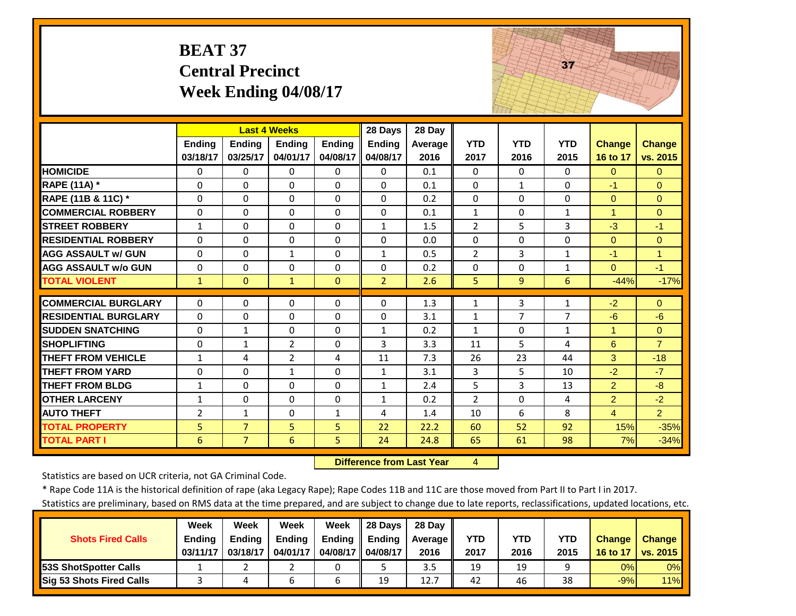# **BEAT 37 Central Precinct Week Ending 04/08/17**



|                             |                | <b>Last 4 Weeks</b> |                                  |              | 28 Days                      | 28 Day     |                |              |              |                      |                        |
|-----------------------------|----------------|---------------------|----------------------------------|--------------|------------------------------|------------|----------------|--------------|--------------|----------------------|------------------------|
|                             | <b>Ending</b>  | Ending              | <b>Ending</b>                    | Ending       | Ending                       | Average    | <b>YTD</b>     | <b>YTD</b>   | <b>YTD</b>   | <b>Change</b>        | <b>Change</b>          |
|                             | 03/18/17       | 03/25/17            | 04/01/17                         | 04/08/17     | 04/08/17                     | 2016       | 2017           | 2016         | 2015         | 16 to 17             | vs. 2015               |
| <b>HOMICIDE</b>             | $\mathbf{0}$   | 0                   | $\Omega$                         | $\Omega$     | $\Omega$                     | 0.1        | $\Omega$       | $\Omega$     | $\Omega$     | $\Omega$             | $\Omega$               |
| <b>RAPE (11A) *</b>         | $\Omega$       | $\Omega$            | $\Omega$                         | $\Omega$     | $\Omega$                     | 0.1        | $\Omega$       | $\mathbf{1}$ | $\Omega$     | $-1$                 | $\Omega$               |
| RAPE (11B & 11C) *          | $\Omega$       | $\Omega$            | $\Omega$                         | $\Omega$     | $\Omega$                     | 0.2        | $\Omega$       | $\Omega$     | $\Omega$     | $\Omega$             | $\Omega$               |
| <b>COMMERCIAL ROBBERY</b>   | $\Omega$       | $\Omega$            | $\Omega$                         | $\Omega$     | $\Omega$                     | 0.1        | $\mathbf{1}$   | $\Omega$     | $\mathbf{1}$ | $\blacktriangleleft$ | $\Omega$               |
| <b>STREET ROBBERY</b>       | $\mathbf{1}$   | $\Omega$            | $\Omega$                         | $\Omega$     | $\mathbf{1}$                 | 1.5        | $\overline{2}$ | 5            | 3            | $-3$                 | $-1$                   |
| <b>RESIDENTIAL ROBBERY</b>  | $\Omega$       | 0                   | $\Omega$                         | $\Omega$     | $\Omega$                     | 0.0        | $\Omega$       | $\Omega$     | $\Omega$     | $\Omega$             | $\Omega$               |
| <b>AGG ASSAULT w/ GUN</b>   | $\Omega$       | 0                   | 1                                | $\Omega$     | $\mathbf{1}$                 | 0.5        | $\overline{2}$ | 3            | $\mathbf{1}$ | $-1$                 | 1                      |
| <b>AGG ASSAULT w/o GUN</b>  | $\Omega$       | 0                   | $\Omega$                         | $\Omega$     | $\Omega$                     | 0.2        | $\Omega$       | $\Omega$     | 1            | $\Omega$             | $-1$                   |
| <b>TOTAL VIOLENT</b>        | $\mathbf{1}$   | $\Omega$            | $\mathbf{1}$                     | $\Omega$     | $\overline{2}$               | 2.6        | 5              | 9            | 6            | $-44%$               | $-17%$                 |
| <b>COMMERCIAL BURGLARY</b>  | $\Omega$       | 0                   | $\Omega$                         | $\Omega$     | $\Omega$                     | 1.3        | $\mathbf{1}$   | 3            | 1            | $-2$                 | $\Omega$               |
| <b>RESIDENTIAL BURGLARY</b> | $\Omega$       | 0                   | $\Omega$                         | $\Omega$     | $\Omega$                     | 3.1        | $\mathbf{1}$   | 7            | 7            | $-6$                 | $-6$                   |
| <b>SUDDEN SNATCHING</b>     | $\Omega$       | $\mathbf{1}$        | $\Omega$                         | $\Omega$     | $\mathbf{1}$                 | 0.2        | $\mathbf{1}$   | $\Omega$     | $\mathbf{1}$ | 1                    | $\Omega$               |
| <b>SHOPLIFTING</b>          | $\Omega$       |                     |                                  | $\Omega$     | 3                            |            | 11             |              | 4            | 6                    | $\overline{7}$         |
| <b>THEFT FROM VEHICLE</b>   | $\mathbf{1}$   | 1<br>4              | $\overline{2}$<br>$\overline{2}$ | 4            | 11                           | 3.3<br>7.3 | 26             | 5<br>23      | 44           | 3                    | $-18$                  |
| <b>THEFT FROM YARD</b>      | $\Omega$       | 0                   |                                  | $\Omega$     |                              | 3.1        | 3              | 5.           | 10           | $-2$                 | $-7$                   |
| <b>THEFT FROM BLDG</b>      | 1              | 0                   | $\mathbf{1}$<br>$\Omega$         | $\Omega$     | $\mathbf{1}$<br>$\mathbf{1}$ | 2.4        | 5              | 3            | 13           | $\overline{2}$       | $-8$                   |
| <b>OTHER LARCENY</b>        |                | $\Omega$            | $\Omega$                         |              |                              | 0.2        | $\overline{2}$ | $\Omega$     | 4            |                      |                        |
|                             | $\mathbf{1}$   |                     | $\Omega$                         | $\Omega$     | $\mathbf{1}$                 | 1.4        | 10             | 6            | 8            | $\overline{2}$       | $-2$<br>$\overline{2}$ |
| <b>AUTO THEFT</b>           | $\overline{2}$ | $\mathbf{1}$        |                                  | $\mathbf{1}$ | 4                            |            |                |              |              | $\overline{4}$       |                        |
| <b>TOTAL PROPERTY</b>       | 5              | $\overline{7}$      | 5                                | 5            | 22                           | 22.2       | 60             | 52           | 92           | 15%                  | $-35%$                 |
| <b>TOTAL PART I</b>         | 6              | $\overline{7}$      | 6                                | 5            | 24                           | 24.8       | 65             | 61           | 98           | 7%                   | $-34%$                 |

 **Difference from Last Year**

4

Statistics are based on UCR criteria, not GA Criminal Code.

\* Rape Code 11A is the historical definition of rape (aka Legacy Rape); Rape Codes 11B and 11C are those moved from Part II to Part I in 2017.

|                               | Week          | Week          | Week     | Week          | 28 Days       | 28 Dav     |      |      |            |               |               |
|-------------------------------|---------------|---------------|----------|---------------|---------------|------------|------|------|------------|---------------|---------------|
| <b>Shots Fired Calls</b>      | <b>Ending</b> | <b>Endina</b> | Ending   | <b>Ending</b> | <b>Ending</b> | Average II | YTD  | YTD  | <b>YTD</b> | <b>Change</b> | <b>Change</b> |
|                               | 03/11/17      | 03/18/17      | 04/01/17 | 04/08/17      | 04/08/17      | 2016       | 2017 | 2016 | 2015       | 16 to 17      | vs. 2015      |
| <b>153S ShotSpotter Calls</b> |               |               |          |               |               | 3.5        | 19   | 19   |            | 0%            | 0%            |
| Sig 53 Shots Fired Calls      |               |               | ь        | o             | 19            | 12.7       | 42   | 46   | 38         | $-9%$         | 11%           |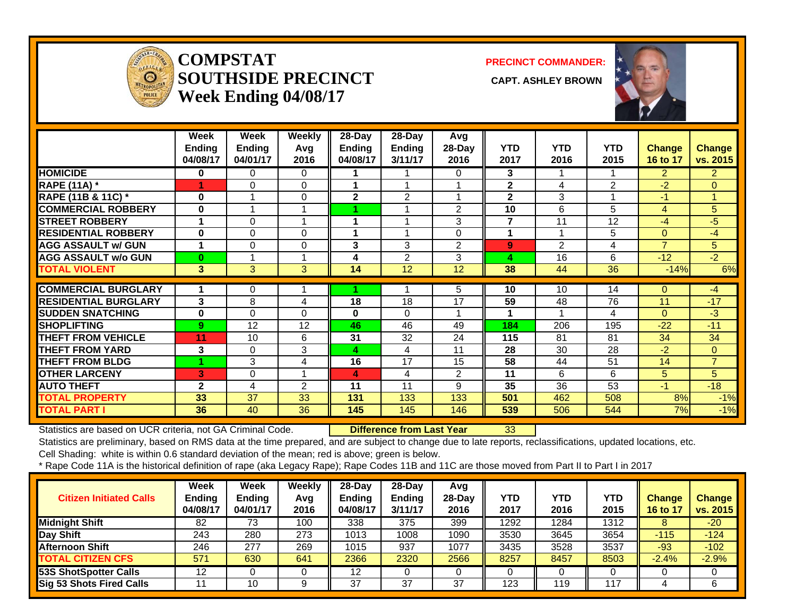

#### **COMPSTATSOUTHSIDE PRECINCT** CAPT. ASHLEY BROWN **Week Ending 04/08/17**

**PRECINCT COMMANDER:**



|                             | Week          | Week           | Weekly   | 28-Day        | 28-Day        | Avg            |                |                |            |                |                |
|-----------------------------|---------------|----------------|----------|---------------|---------------|----------------|----------------|----------------|------------|----------------|----------------|
|                             | <b>Ending</b> | <b>Ending</b>  | Avg      | <b>Ending</b> | <b>Ending</b> | $28-Dav$       | <b>YTD</b>     | <b>YTD</b>     | <b>YTD</b> | Change         | <b>Change</b>  |
|                             | 04/08/17      | 04/01/17       | 2016     | 04/08/17      | 3/11/17       | 2016           | 2017           | 2016           | 2015       | 16 to 17       | vs. 2015       |
| <b>HOMICIDE</b>             | 0             | 0              | 0        |               |               | 0              | 3              |                |            | $\overline{2}$ | $\mathbf{2}$   |
| <b>RAPE (11A)</b> *         | 1             | $\Omega$       | $\Omega$ | 1             | 1             |                | $\mathbf{2}$   | 4              | 2          | $-2$           | $\Omega$       |
| RAPE (11B & 11C) *          | 0             |                | $\Omega$ | $\mathbf{2}$  | 2             |                | $\mathbf{2}$   | 3              |            | $-1$           |                |
| <b>COMMERCIAL ROBBERY</b>   | 0             | $\overline{A}$ | 1        |               | 1             | $\overline{2}$ | 10             | 6              | 5          | 4              | 5              |
| <b>STREET ROBBERY</b>       | 1             | $\Omega$       | 1        | 1             | 1             | 3              | $\overline{7}$ | 11             | 12         | $-4$           | $-5$           |
| <b>RESIDENTIAL ROBBERY</b>  | $\bf{0}$      | $\Omega$       | $\Omega$ |               | 1             | 0              |                |                | 5          | $\Omega$       | $-4$           |
| <b>AGG ASSAULT w/ GUN</b>   | 1             | $\Omega$       | $\Omega$ | 3             | 3             | $\overline{2}$ | 9              | $\overline{2}$ | 4          | $\overline{7}$ | 5              |
| <b>AGG ASSAULT w/o GUN</b>  | $\bf{0}$      |                | 1        | 4             | 2             | 3              | 4              | 16             | 6          | $-12$          | $-2$           |
| <b>TOTAL VIOLENT</b>        | 3             | 3              | 3        | 14            | 12            | 12             | 38             | 44             | 36         | $-14%$         | 6%             |
| <b>COMMERCIAL BURGLARY</b>  |               |                |          |               |               |                | 10             | 10             | 14         | $\Omega$       | $-4$           |
|                             |               | 0              |          |               |               | 5              |                |                |            |                |                |
| <b>RESIDENTIAL BURGLARY</b> | 3             | 8              | 4        | 18            | 18            | 17             | 59             | 48             | 76         | 11             | $-17$          |
| <b>SUDDEN SNATCHING</b>     | 0             | $\Omega$       | $\Omega$ | 0             | $\Omega$      |                |                |                | 4          | $\Omega$       | $-3$           |
| <b>SHOPLIFTING</b>          | 9             | 12             | 12       | 46            | 46            | 49             | 184            | 206            | 195        | $-22$          | $-11$          |
| <b>THEFT FROM VEHICLE</b>   | 11            | 10             | 6        | 31            | 32            | 24             | 115            | 81             | 81         | 34             | 34             |
| <b>THEFT FROM YARD</b>      | 3             | 0              | 3        | 4             | 4             | 11             | 28             | 30             | 28         | $-2$           | $\overline{0}$ |
| <b>THEFT FROM BLDG</b>      |               | 3              | 4        | 16            | 17            | 15             | 58             | 44             | 51         | 14             | $\overline{7}$ |
| <b>OTHER LARCENY</b>        | 3             | 0              |          | 4             | 4             | 2              | 11             | 6              | 6          | 5              | 5              |
| <b>AUTO THEFT</b>           | $\mathbf{2}$  | 4              | 2        | 11            | 11            | 9              | 35             | 36             | 53         | $-1$           | $-18$          |
| <b>TOTAL PROPERTY</b>       | 33            | 37             | 33       | 131           | 133           | 133            | 501            | 462            | 508        | 8%             | $-1%$          |
|                             |               |                |          |               |               |                |                |                |            |                | $-1%$<br>7%    |

Statistics are based on UCR criteria, not GA Criminal Code. **Difference from Last Year** 33

Statistics are preliminary, based on RMS data at the time prepared, and are subject to change due to late reports, reclassifications, updated locations, etc.

Cell Shading: white is within 0.6 standard deviation of the mean; red is above; green is below.

| <b>Citizen Initiated Calls</b> | Week<br><b>Ending</b><br>04/08/17 | <b>Week</b><br><b>Ending</b><br>04/01/17 | Weekly<br>Avg<br>2016 | $28$ -Dav<br><b>Ending</b><br>04/08/17 | $28-Dav$<br><b>Ending</b><br>3/11/17 | Avg<br>$28-Day$<br>2016 | YTD<br>2017 | YTD<br>2016 | <b>YTD</b><br>2015 | <b>Change</b><br>16 to 17 | <b>Change</b><br>vs. 2015 |
|--------------------------------|-----------------------------------|------------------------------------------|-----------------------|----------------------------------------|--------------------------------------|-------------------------|-------------|-------------|--------------------|---------------------------|---------------------------|
| <b>Midnight Shift</b>          | 82                                | 73                                       | 100                   | 338                                    | 375                                  | 399                     | 1292        | 1284        | 1312               |                           | $-20$                     |
| Day Shift                      | 243                               | 280                                      | 273                   | 1013                                   | 1008                                 | 1090                    | 3530        | 3645        | 3654               | $-115$                    | $-124$                    |
| <b>Afternoon Shift</b>         | 246                               | 277                                      | 269                   | 1015                                   | 937                                  | 1077                    | 3435        | 3528        | 3537               | $-93$                     | $-102$                    |
| <b>TOTAL CITIZEN CFS</b>       | 571                               | 630                                      | 641                   | 2366                                   | 2320                                 | 2566                    | 8257        | 8457        | 8503               | $-2.4%$                   | $-2.9%$                   |
| <b>53S ShotSpotter Calls</b>   | 12                                |                                          | υ                     | 12                                     |                                      |                         |             |             |                    |                           |                           |
| Sig 53 Shots Fired Calls       |                                   | 10                                       | 9                     | 37                                     | 37                                   | 37                      | 123         | 119         | 117                |                           | 6                         |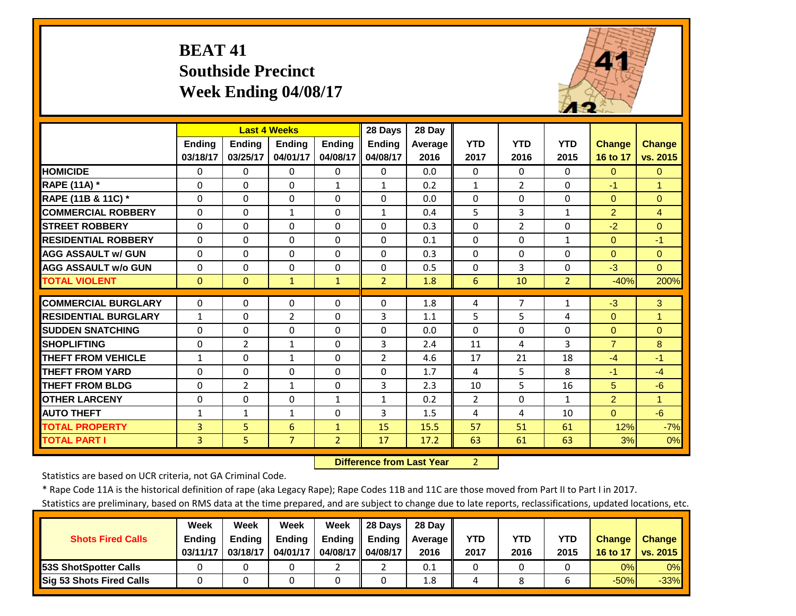# **BEAT 41 Southside Precinct Week Ending 04/08/17**



|                             |                |                | <b>Last 4 Weeks</b> |                | 28 Days        | 28 Day  |                |                |                |                |                      |
|-----------------------------|----------------|----------------|---------------------|----------------|----------------|---------|----------------|----------------|----------------|----------------|----------------------|
|                             | <b>Ending</b>  | <b>Endina</b>  | <b>Endina</b>       | <b>Endina</b>  | <b>Ending</b>  | Average | <b>YTD</b>     | <b>YTD</b>     | <b>YTD</b>     | <b>Change</b>  | <b>Change</b>        |
|                             | 03/18/17       | 03/25/17       | 04/01/17            | 04/08/17       | 04/08/17       | 2016    | 2017           | 2016           | 2015           | 16 to 17       | vs. 2015             |
| <b>HOMICIDE</b>             | $\Omega$       | $\Omega$       | $\Omega$            | $\Omega$       | $\Omega$       | 0.0     | $\Omega$       | $\Omega$       | 0              | $\Omega$       | $\Omega$             |
| RAPE (11A) *                | $\Omega$       | 0              | $\Omega$            | $\mathbf{1}$   | $\mathbf{1}$   | 0.2     | $\mathbf{1}$   | $\overline{2}$ | 0              | $-1$           | $\overline{1}$       |
| RAPE (11B & 11C) *          | $\mathbf 0$    | $\Omega$       | 0                   | $\Omega$       | $\Omega$       | 0.0     | $\Omega$       | $\Omega$       | $\Omega$       | $\mathbf{0}$   | $\mathbf{0}$         |
| <b>COMMERCIAL ROBBERY</b>   | $\Omega$       | $\Omega$       | $\mathbf{1}$        | $\Omega$       | $\mathbf{1}$   | 0.4     | 5              | 3              | $\mathbf{1}$   | $\overline{2}$ | $\overline{4}$       |
| <b>STREET ROBBERY</b>       | $\Omega$       | $\Omega$       | $\Omega$            | $\Omega$       | $\Omega$       | 0.3     | $\Omega$       | $\overline{2}$ | $\Omega$       | $-2$           | $\Omega$             |
| <b>RESIDENTIAL ROBBERY</b>  | $\Omega$       | $\Omega$       | $\Omega$            | $\Omega$       | $\Omega$       | 0.1     | $\Omega$       | $\Omega$       | $\mathbf{1}$   | $\Omega$       | $-1$                 |
| <b>AGG ASSAULT w/ GUN</b>   | $\Omega$       | 0              | $\Omega$            | $\Omega$       | $\Omega$       | 0.3     | $\Omega$       | $\Omega$       | 0              | $\mathbf{0}$   | $\Omega$             |
| <b>AGG ASSAULT w/o GUN</b>  | $\Omega$       | 0              | $\Omega$            | $\Omega$       | $\Omega$       | 0.5     | $\Omega$       | 3              | 0              | $-3$           | $\overline{0}$       |
| <b>TOTAL VIOLENT</b>        | $\mathbf{0}$   | $\Omega$       | 1                   | $\mathbf{1}$   | $\overline{2}$ | 1.8     | 6              | 10             | $\overline{2}$ | $-40%$         | 200%                 |
| <b>COMMERCIAL BURGLARY</b>  | $\Omega$       | 0              | $\mathbf 0$         | 0              | $\Omega$       | 1.8     |                | 7              |                | $-3$           | 3                    |
|                             |                |                |                     |                |                |         | 4              |                | 1              |                |                      |
| <b>RESIDENTIAL BURGLARY</b> | $\mathbf{1}$   | $\Omega$       | $\overline{2}$      | $\Omega$       | 3              | 1.1     | 5              | 5              | 4              | $\Omega$       | $\blacktriangleleft$ |
| <b>SUDDEN SNATCHING</b>     | 0              | 0              | $\Omega$            | $\Omega$       | $\Omega$       | 0.0     | $\Omega$       | $\Omega$       | 0              | $\Omega$       | $\Omega$             |
| <b>SHOPLIFTING</b>          | $\Omega$       | $\overline{2}$ | $\mathbf{1}$        | $\Omega$       | 3              | 2.4     | 11             | 4              | 3              | $\overline{7}$ | 8                    |
| <b>THEFT FROM VEHICLE</b>   | $\mathbf{1}$   | 0              | $\mathbf{1}$        | 0              | 2              | 4.6     | 17             | 21             | 18             | $-4$           | $-1$                 |
| <b>THEFT FROM YARD</b>      | $\Omega$       | $\Omega$       | $\Omega$            | 0              | $\Omega$       | 1.7     | 4              | 5.             | 8              | $-1$           | $-4$                 |
| <b>THEFT FROM BLDG</b>      | 0              | $\overline{2}$ | $\mathbf{1}$        | $\Omega$       | 3              | 2.3     | 10             | 5              | 16             | 5              | $-6$                 |
| <b>OTHER LARCENY</b>        | $\Omega$       | $\Omega$       | 0                   | $\mathbf{1}$   | $\mathbf{1}$   | 0.2     | $\overline{2}$ | $\Omega$       | $\mathbf{1}$   | $\overline{2}$ | $\blacktriangleleft$ |
| <b>AUTO THEFT</b>           | $\mathbf{1}$   | $\mathbf{1}$   | $\mathbf{1}$        | $\Omega$       | 3              | 1.5     | 4              | 4              | 10             | $\Omega$       | $-6$                 |
| <b>TOTAL PROPERTY</b>       | 3              | 5              | 6                   | $\mathbf{1}$   | 15             | 15.5    | 57             | 51             | 61             | 12%            | $-7%$                |
| <b>TOTAL PART I</b>         | $\overline{3}$ | 5              | $\overline{7}$      | $\overline{2}$ | 17             | 17.2    | 63             | 61             | 63             | 3%             | 0%                   |

 **Difference from Last Year**2

Statistics are based on UCR criteria, not GA Criminal Code.

\* Rape Code 11A is the historical definition of rape (aka Legacy Rape); Rape Codes 11B and 11C are those moved from Part II to Part I in 2017.

|                                 | Week          | Week          | Week          | Week          | 28 Davs       | 28 Dav     |      |      |      |               |               |
|---------------------------------|---------------|---------------|---------------|---------------|---------------|------------|------|------|------|---------------|---------------|
| <b>Shots Fired Calls</b>        | <b>Ending</b> | <b>Ending</b> | <b>Ending</b> | <b>Ending</b> | <b>Ending</b> | Average II | YTD  | YTD  | YTD  | <b>Change</b> | <b>Change</b> |
|                                 | 03/11/17      | 03/18/17      | 04/01/17      | 04/08/17 II   | 04/08/17      | 2016       | 2017 | 2016 | 2015 | 16 to 17      | vs. 2015      |
| <b>153S ShotSpotter Calls</b>   |               |               |               |               |               | 0.1        |      |      |      | 0%            | $0\%$         |
| <b>Sig 53 Shots Fired Calls</b> |               |               |               |               |               | 1.8        |      |      |      | $-50%$        | $-33%$        |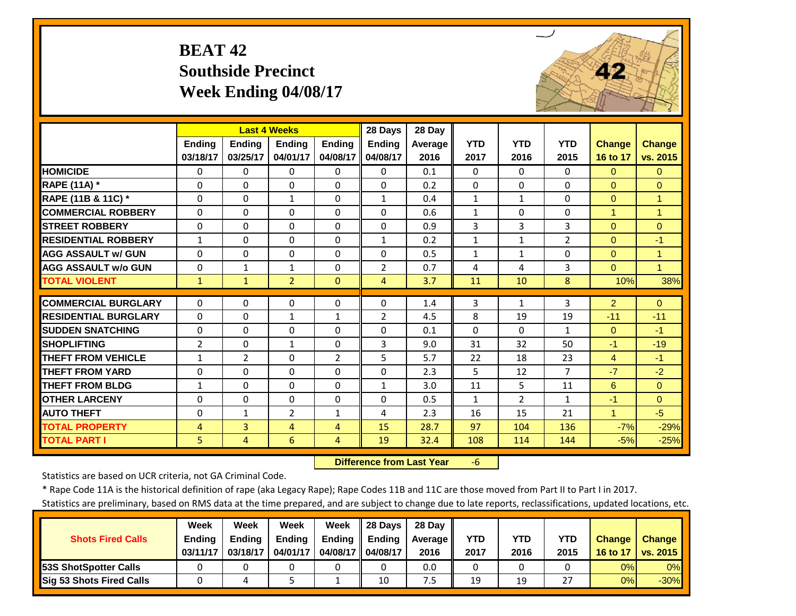# **BEAT 42 Southside Precinct Week Ending 04/08/17**



|                             |                | <b>Last 4 Weeks</b> |                |                          | 28 Days                    | 28 Day     |              |                |                    |                      |                      |
|-----------------------------|----------------|---------------------|----------------|--------------------------|----------------------------|------------|--------------|----------------|--------------------|----------------------|----------------------|
|                             | Ending         | <b>Ending</b>       | <b>Ending</b>  | <b>Ending</b>            | Ending                     | Average    | <b>YTD</b>   | <b>YTD</b>     | <b>YTD</b>         | <b>Change</b>        | <b>Change</b>        |
|                             | 03/18/17       | 03/25/17            | 04/01/17       | 04/08/17                 | 04/08/17                   | 2016       | 2017         | 2016           | 2015               | 16 to 17             | vs. 2015             |
| <b>HOMICIDE</b>             | $\Omega$       | $\Omega$            | $\Omega$       | 0                        | $\Omega$                   | 0.1        | $\Omega$     | $\Omega$       | $\Omega$           | $\Omega$             | $\Omega$             |
| RAPE (11A) *                | $\Omega$       | $\Omega$            | $\Omega$       | $\Omega$                 | $\Omega$                   | 0.2        | $\Omega$     | $\Omega$       | 0                  | $\Omega$             | $\Omega$             |
| RAPE (11B & 11C) *          | $\Omega$       | $\Omega$            | $\mathbf{1}$   | $\Omega$                 | $\mathbf{1}$               | 0.4        | $\mathbf{1}$ | $\mathbf{1}$   | 0                  | $\mathbf{0}$         | $\mathbf{1}$         |
| <b>COMMERCIAL ROBBERY</b>   | $\Omega$       | $\Omega$            | 0              | $\Omega$                 | $\Omega$                   | 0.6        | $\mathbf{1}$ | $\Omega$       | 0                  | $\blacktriangleleft$ | $\overline{1}$       |
| <b>STREET ROBBERY</b>       | $\Omega$       | $\Omega$            | $\Omega$       | $\Omega$                 | $\Omega$                   | 0.9        | 3            | 3              | 3                  | $\Omega$             | $\Omega$             |
| <b>RESIDENTIAL ROBBERY</b>  | $\mathbf{1}$   | $\Omega$            | $\Omega$       | $\Omega$                 | $\mathbf{1}$               | 0.2        | $\mathbf{1}$ | $\mathbf{1}$   | $\overline{2}$     | $\Omega$             | $-1$                 |
| <b>AGG ASSAULT w/ GUN</b>   | $\Omega$       | 0                   | $\Omega$       | $\Omega$                 | $\Omega$                   | 0.5        | $\mathbf{1}$ | $\mathbf{1}$   | 0                  | $\Omega$             | $\blacktriangleleft$ |
| <b>AGG ASSAULT w/o GUN</b>  | $\Omega$       | $\mathbf{1}$        | 1              | $\Omega$                 | $\overline{2}$             | 0.7        | 4            | 4              | 3                  | $\Omega$             | $\mathbf{1}$         |
| <b>TOTAL VIOLENT</b>        | $\mathbf{1}$   | $\mathbf{1}$        | $\overline{2}$ | $\mathbf{0}$             | 4                          | 3.7        | 11           | 10             | 8                  | 10%                  | 38%                  |
| <b>COMMERCIAL BURGLARY</b>  | $\Omega$       | 0                   | $\Omega$       | 0                        | 0                          | 1.4        | 3            | $\mathbf{1}$   | 3                  | 2                    | $\mathbf{0}$         |
| <b>RESIDENTIAL BURGLARY</b> | $\Omega$       | $\Omega$            |                |                          |                            |            | 8            | 19             |                    | $-11$                |                      |
| <b>SUDDEN SNATCHING</b>     | $\Omega$       | $\Omega$            | 1<br>$\Omega$  | $\mathbf{1}$<br>$\Omega$ | $\overline{2}$<br>$\Omega$ | 4.5<br>0.1 | $\Omega$     | $\Omega$       | 19<br>$\mathbf{1}$ | $\Omega$             | $-11$<br>$-1$        |
|                             |                |                     |                |                          |                            |            |              |                |                    |                      |                      |
| <b>SHOPLIFTING</b>          | $\overline{2}$ | $\Omega$            | $\mathbf{1}$   | $\Omega$                 | 3                          | 9.0        | 31           | 32             | 50                 | $-1$                 | $-19$                |
| <b>THEFT FROM VEHICLE</b>   | $\mathbf{1}$   | $\overline{2}$      | $\Omega$       | $\overline{2}$           | 5                          | 5.7        | 22           | 18             | 23                 | $\overline{4}$       | $-1$                 |
| <b>THEFT FROM YARD</b>      | $\Omega$       | $\Omega$            | $\Omega$       | $\Omega$                 | $\Omega$                   | 2.3        | 5            | 12             | $\overline{7}$     | $-7$                 | $-2$                 |
| <b>THEFT FROM BLDG</b>      | $\mathbf{1}$   | $\Omega$            | $\Omega$       | $\Omega$                 | $\mathbf{1}$               | 3.0        | 11           | 5              | 11                 | 6                    | $\Omega$             |
| <b>OTHER LARCENY</b>        | $\Omega$       | 0                   | 0              | $\Omega$                 | 0                          | 0.5        | $\mathbf{1}$ | $\overline{2}$ | $\mathbf{1}$       | $-1$                 | $\Omega$             |
| <b>AUTO THEFT</b>           | $\Omega$       | $\mathbf{1}$        | $\overline{2}$ | $\mathbf{1}$             | 4                          | 2.3        | 16           | 15             | 21                 | $\blacktriangleleft$ | $-5$                 |
| <b>TOTAL PROPERTY</b>       | 4              | 3                   | 4              | 4                        | 15                         | 28.7       | 97           | 104            | 136                | $-7%$                | $-29%$               |
| <b>TOTAL PART I</b>         | 5.             | 4                   | 6              | 4                        | 19                         | 32.4       | 108          | 114            | 144                | $-5%$                | $-25%$               |

 **Difference from Last Year**‐6

Statistics are based on UCR criteria, not GA Criminal Code.

\* Rape Code 11A is the historical definition of rape (aka Legacy Rape); Rape Codes 11B and 11C are those moved from Part II to Part I in 2017.

|                               | Week          | Week          | <b>Week</b>   | Week          | 28 Davs       | 28 Dav     |      |      |               |               |               |
|-------------------------------|---------------|---------------|---------------|---------------|---------------|------------|------|------|---------------|---------------|---------------|
| <b>Shots Fired Calls</b>      | <b>Ending</b> | <b>Endina</b> | <b>Ending</b> | <b>Ending</b> | <b>Ending</b> | Average II | YTD  | YTD  | <b>YTD</b>    | <b>Change</b> | <b>Change</b> |
|                               | 03/11/17      | 03/18/17      | 04/01/17      | 04/08/17 I    | 04/08/17      | 2016       | 2017 | 2016 | 2015          | 16 to 17      | vs. 2015      |
| <b>153S ShotSpotter Calls</b> |               |               |               |               |               | 0.0        |      |      |               | 0%            | 0%            |
| Sig 53 Shots Fired Calls      |               |               |               |               | 10            | د.         | 19   | 19   | $\mathcal{L}$ | 0%            | $-30\%$       |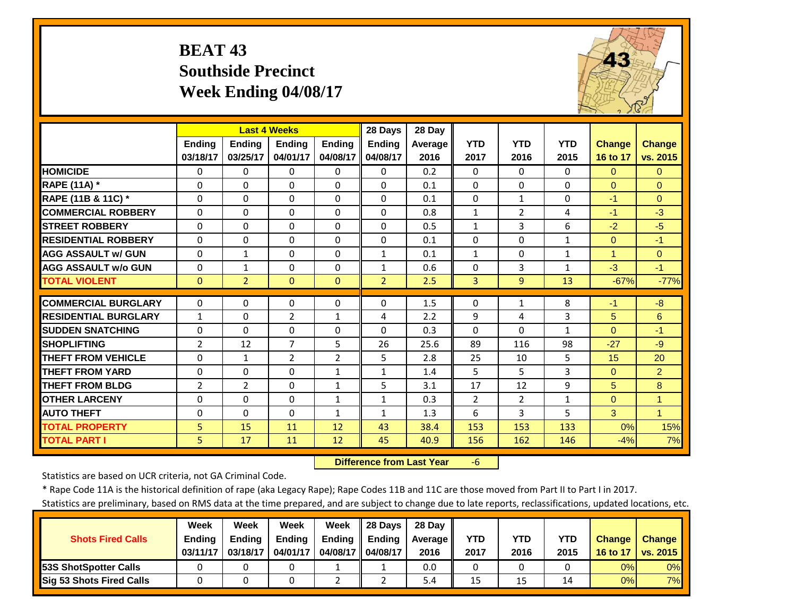#### **BEAT 43 Southside PrecinctWeek Ending 04/08/17**



|                             |                | <b>Last 4 Weeks</b> |                |                | 28 Days        | 28 Day  |                |                |              |                      |                |
|-----------------------------|----------------|---------------------|----------------|----------------|----------------|---------|----------------|----------------|--------------|----------------------|----------------|
|                             | <b>Ending</b>  | <b>Ending</b>       | <b>Ending</b>  | <b>Endina</b>  | Ending         | Average | <b>YTD</b>     | <b>YTD</b>     | <b>YTD</b>   | <b>Change</b>        | <b>Change</b>  |
|                             | 03/18/17       | 03/25/17            | 04/01/17       | 04/08/17       | 04/08/17       | 2016    | 2017           | 2016           | 2015         | 16 to 17             | vs. 2015       |
| <b>HOMICIDE</b>             | $\Omega$       | 0                   | $\Omega$       | $\Omega$       | $\Omega$       | 0.2     | $\Omega$       | $\Omega$       | $\Omega$     | $\mathbf{0}$         | $\Omega$       |
| <b>RAPE (11A) *</b>         | $\Omega$       | $\Omega$            | $\Omega$       | $\Omega$       | $\Omega$       | 0.1     | $\mathbf{0}$   | $\Omega$       | 0            | $\Omega$             | $\Omega$       |
| RAPE (11B & 11C) *          | $\Omega$       | $\Omega$            | $\Omega$       | $\Omega$       | $\Omega$       | 0.1     | $\mathbf 0$    | $\mathbf{1}$   | 0            | $-1$                 | $\Omega$       |
| <b>COMMERCIAL ROBBERY</b>   | $\Omega$       | $\Omega$            | $\Omega$       | $\Omega$       | $\Omega$       | 0.8     | $\mathbf{1}$   | $\overline{2}$ | 4            | $-1$                 | $-3$           |
| <b>STREET ROBBERY</b>       | $\Omega$       | $\Omega$            | $\Omega$       | $\Omega$       | $\Omega$       | 0.5     | $\mathbf{1}$   | 3              | 6            | $-2$                 | $-5$           |
| <b>RESIDENTIAL ROBBERY</b>  | $\Omega$       | 0                   | $\Omega$       | $\Omega$       | $\Omega$       | 0.1     | $\Omega$       | $\Omega$       | $\mathbf{1}$ | $\Omega$             | $-1$           |
| <b>AGG ASSAULT w/ GUN</b>   | $\Omega$       | 1                   | $\Omega$       | $\Omega$       | 1              | 0.1     | $\mathbf{1}$   | 0              | $\mathbf{1}$ | $\blacktriangleleft$ | $\Omega$       |
| <b>AGG ASSAULT w/o GUN</b>  | $\Omega$       | $\mathbf{1}$        | $\Omega$       | 0              | 1              | 0.6     | $\Omega$       | 3              | $\mathbf{1}$ | $-3$                 | $-1$           |
| <b>TOTAL VIOLENT</b>        | $\Omega$       | $\overline{2}$      | $\Omega$       | $\Omega$       | $\overline{2}$ | 2.5     | 3              | 9              | 13           | $-67%$               | $-77%$         |
| <b>COMMERCIAL BURGLARY</b>  | $\Omega$       | 0                   | $\Omega$       | 0              | 0              | 1.5     | $\Omega$       | $\mathbf{1}$   | 8            | $-1$                 | $-8$           |
| <b>RESIDENTIAL BURGLARY</b> | $\mathbf{1}$   | $\Omega$            | $\overline{2}$ | 1              | 4              | 2.2     | 9              | 4              | 3            | 5                    | 6              |
| <b>SUDDEN SNATCHING</b>     | $\Omega$       | 0                   | $\Omega$       | 0              | 0              | 0.3     | $\Omega$       | $\Omega$       | $\mathbf{1}$ | $\Omega$             | $-1$           |
| <b>SHOPLIFTING</b>          | 2              | 12                  | 7              | 5              | 26             | 25.6    | 89             | 116            | 98           | $-27$                | $-9$           |
| <b>THEFT FROM VEHICLE</b>   | $\Omega$       | $\mathbf{1}$        | $\overline{2}$ | $\overline{2}$ | 5              | 2.8     | 25             | 10             | 5            | 15                   | 20             |
| <b>THEFT FROM YARD</b>      | $\Omega$       | $\Omega$            | $\Omega$       | $\mathbf{1}$   | $\mathbf{1}$   | 1.4     | 5              | 5.             | 3            | $\Omega$             | $\overline{2}$ |
| <b>THEFT FROM BLDG</b>      | $\overline{2}$ | $\overline{2}$      | $\Omega$       | $\mathbf{1}$   | 5              | 3.1     | 17             | 12             | 9            | 5                    | 8              |
| <b>OTHER LARCENY</b>        | $\Omega$       | $\Omega$            | $\Omega$       | $\mathbf{1}$   | $\mathbf{1}$   | 0.3     | $\overline{2}$ | $\overline{2}$ | $\mathbf{1}$ | $\Omega$             | $\mathbf{1}$   |
| <b>AUTO THEFT</b>           | $\Omega$       | $\Omega$            | $\Omega$       | $\mathbf{1}$   | $\mathbf{1}$   | 1.3     | 6              | 3              | 5            | 3                    | $\mathbf{1}$   |
| <b>TOTAL PROPERTY</b>       | 5              | 15                  | 11             | 12             | 43             | 38.4    | 153            | 153            | 133          | 0%                   |                |
| <b>TOTAL PART I</b>         | 5              | 17                  | 11             | 12             | 45             | 40.9    | 156            | 162            | 146          | $-4%$                | 15%<br>7%      |
|                             |                |                     |                |                |                |         |                |                |              |                      |                |

 **Difference from Last Year**‐6

Statistics are based on UCR criteria, not GA Criminal Code.

\* Rape Code 11A is the historical definition of rape (aka Legacy Rape); Rape Codes 11B and 11C are those moved from Part II to Part I in 2017.

|                                 | Week          | Week          | Week          | Week          | 28 Days       | 28 Dav     |      |      |      |               |               |
|---------------------------------|---------------|---------------|---------------|---------------|---------------|------------|------|------|------|---------------|---------------|
| <b>Shots Fired Calls</b>        | <b>Ending</b> | <b>Ending</b> | <b>Ending</b> | <b>Ending</b> | <b>Ending</b> | Average II | YTD  | YTD  | YTD  | <b>Change</b> | <b>Change</b> |
|                                 | 03/11/17      | 03/18/17      | 04/01/17      | 04/08/17 I    | 04/08/17      | 2016       | 2017 | 2016 | 2015 | 16 to 17      | vs. 2015      |
| <b>153S ShotSpotter Calls</b>   |               |               |               |               |               | 0.0        |      |      |      | 0%            | $0\%$         |
| <b>Sig 53 Shots Fired Calls</b> |               |               |               |               |               | 5.4        | 15   | 15   |      | 0%            | 7%            |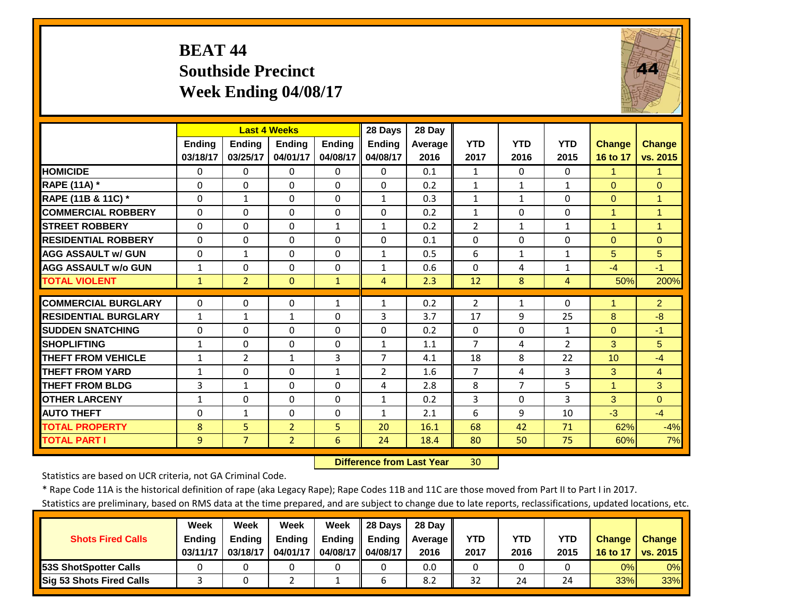### **BEAT 44 Southside PrecinctWeek Ending 04/08/17**



|                             |                | <b>Last 4 Weeks</b> |                |               | 28 Days        | 28 Day  |                |              |                |                |                      |
|-----------------------------|----------------|---------------------|----------------|---------------|----------------|---------|----------------|--------------|----------------|----------------|----------------------|
|                             | Ending         | <b>Ending</b>       | <b>Ending</b>  | <b>Ending</b> | <b>Ending</b>  | Average | <b>YTD</b>     | <b>YTD</b>   | <b>YTD</b>     | <b>Change</b>  | <b>Change</b>        |
|                             | 03/18/17       | 03/25/17            | 04/01/17       | 04/08/17      | 04/08/17       | 2016    | 2017           | 2016         | 2015           | 16 to 17       | vs. 2015             |
| <b>HOMICIDE</b>             | $\Omega$       | 0                   | $\Omega$       | $\Omega$      | $\Omega$       | 0.1     | $\mathbf{1}$   | $\Omega$     | $\Omega$       | $\mathbf{1}$   | $\blacktriangleleft$ |
| <b>RAPE (11A) *</b>         | $\Omega$       | $\Omega$            | $\Omega$       | $\Omega$      | $\Omega$       | 0.2     | $\mathbf{1}$   | $\mathbf{1}$ | 1              | $\Omega$       | $\mathbf{0}$         |
| RAPE (11B & 11C) *          | $\mathbf 0$    | $\mathbf{1}$        | $\Omega$       | $\Omega$      | $\mathbf{1}$   | 0.3     | $\mathbf{1}$   | $\mathbf{1}$ | $\Omega$       | $\Omega$       | $\overline{1}$       |
| <b>COMMERCIAL ROBBERY</b>   | $\Omega$       | $\Omega$            | $\Omega$       | $\Omega$      | $\Omega$       | 0.2     | $\mathbf{1}$   | $\Omega$     | 0              | $\overline{1}$ | $\overline{1}$       |
| <b>STREET ROBBERY</b>       | $\Omega$       | 0                   | $\Omega$       | $\mathbf{1}$  | $\mathbf{1}$   | 0.2     | $\overline{2}$ | $\mathbf{1}$ | $\mathbf{1}$   | $\mathbf{1}$   | $\overline{1}$       |
| <b>RESIDENTIAL ROBBERY</b>  | $\Omega$       | 0                   | $\Omega$       | $\Omega$      | $\Omega$       | 0.1     | $\Omega$       | $\Omega$     | 0              | $\Omega$       | $\Omega$             |
| <b>AGG ASSAULT w/ GUN</b>   | $\Omega$       | 1                   | $\Omega$       | $\Omega$      | $\mathbf{1}$   | 0.5     | 6              | $\mathbf{1}$ | 1              | 5              | 5                    |
| <b>AGG ASSAULT w/o GUN</b>  | $\mathbf{1}$   | 0                   | $\Omega$       | 0             | $\mathbf{1}$   | 0.6     | $\Omega$       | 4            | 1              | $-4$           | $-1$                 |
| <b>TOTAL VIOLENT</b>        | $\mathbf{1}$   | $\overline{2}$      | $\mathbf{0}$   | $\mathbf{1}$  | 4              | 2.3     | 12             | 8            | $\overline{4}$ | 50%            | 200%                 |
| <b>COMMERCIAL BURGLARY</b>  | $\Omega$       | 0                   | $\mathbf 0$    | $\mathbf{1}$  | $\mathbf{1}$   | 0.2     | $\overline{2}$ | 1            | 0              | $\mathbf 1$    | $\overline{2}$       |
| <b>RESIDENTIAL BURGLARY</b> | $\mathbf{1}$   | 1                   | $\mathbf{1}$   | $\Omega$      | 3              | 3.7     | 17             | 9            | 25             | 8              | $-8$                 |
| <b>SUDDEN SNATCHING</b>     | $\Omega$       | 0                   | $\Omega$       | 0             | $\Omega$       | 0.2     | $\Omega$       | 0            | 1              | $\Omega$       | $-1$                 |
| <b>SHOPLIFTING</b>          | 1              | 0                   | $\Omega$       | $\Omega$      | $\mathbf{1}$   | 1.1     | $\overline{7}$ | 4            | $\overline{2}$ | 3              | 5                    |
| <b>THEFT FROM VEHICLE</b>   | $\mathbf{1}$   | $\overline{2}$      | $\mathbf{1}$   | 3             | $\overline{7}$ | 4.1     | 18             | 8            | 22             | 10             | $-4$                 |
| <b>THEFT FROM YARD</b>      | $\mathbf{1}$   | 0                   | $\Omega$       | $\mathbf{1}$  | $\overline{2}$ | 1.6     | $\overline{7}$ | 4            | 3              | 3              | $\overline{4}$       |
| <b>THEFT FROM BLDG</b>      | 3              | $\mathbf{1}$        | $\Omega$       | $\Omega$      | 4              | 2.8     | 8              | 7            | 5              | $\mathbf{1}$   | 3                    |
| <b>OTHER LARCENY</b>        | $\mathbf{1}$   | 0                   | $\Omega$       | $\Omega$      | $\mathbf{1}$   | 0.2     | 3              | $\Omega$     | $\overline{3}$ | 3              | $\Omega$             |
| <b>AUTO THEFT</b>           | $\Omega$       | $\mathbf{1}$        | $\Omega$       | $\Omega$      | $\mathbf{1}$   | 2.1     | 6              | 9            | 10             | $-3$           | $-4$                 |
| <b>TOTAL PROPERTY</b>       | 8              | 5                   | $\overline{2}$ | 5             | 20             | 16.1    | 68             | 42           | 71             | 62%            | $-4%$                |
| <b>TOTAL PART I</b>         | $\overline{9}$ | $\overline{7}$      | $\overline{2}$ | 6             | 24             | 18.4    | 80             | 50           | 75             | 60%            | 7%                   |
|                             |                |                     |                |               |                |         |                |              |                |                |                      |

 **Difference from Last Year**30

Statistics are based on UCR criteria, not GA Criminal Code.

\* Rape Code 11A is the historical definition of rape (aka Legacy Rape); Rape Codes 11B and 11C are those moved from Part II to Part I in 2017.

|                                 | Week          | Week          | Week          | Week          | 28 Davs       | 28 Day     |      |      |      |               |               |
|---------------------------------|---------------|---------------|---------------|---------------|---------------|------------|------|------|------|---------------|---------------|
| <b>Shots Fired Calls</b>        | <b>Ending</b> | <b>Ending</b> | <b>Ending</b> | <b>Ending</b> | <b>Ending</b> | Average II | YTD  | YTD  | YTD  | <b>Change</b> | <b>Change</b> |
|                                 | 03/11/17      | 03/18/17      | 04/01/17      | 04/08/17 I    | 04/08/17      | 2016       | 2017 | 2016 | 2015 | 16 to 17      | vs. 2015      |
| <b>153S ShotSpotter Calls</b>   |               |               |               |               |               | 0.0        |      |      |      | 0%            | $0\%$         |
| <b>Sig 53 Shots Fired Calls</b> |               |               |               |               |               | 8.2        | 32   | 24   | 24   | 33%           | $33\%$        |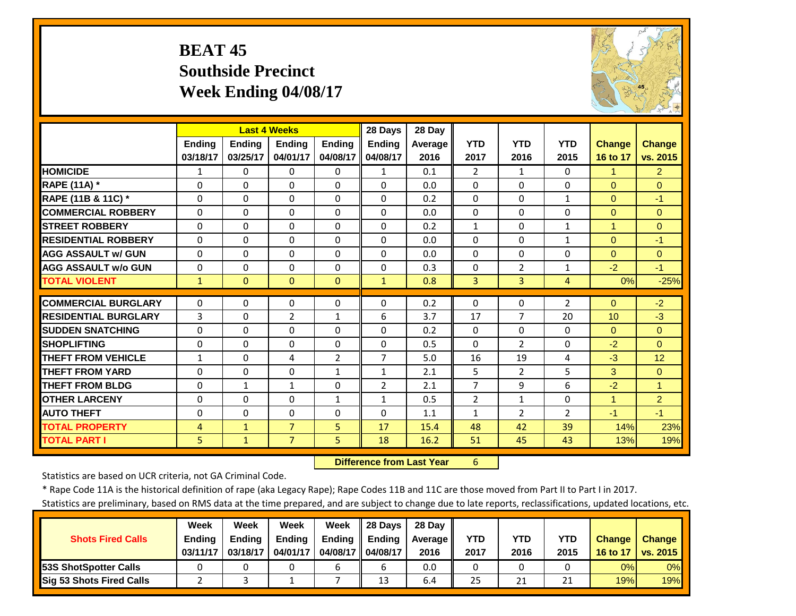#### **BEAT 45 Southside PrecinctWeek Ending 04/08/17**



|                             |               |               | <b>Last 4 Weeks</b> |               | 28 Days        | 28 Day  |                |                |                |                |                |
|-----------------------------|---------------|---------------|---------------------|---------------|----------------|---------|----------------|----------------|----------------|----------------|----------------|
|                             | <b>Ending</b> | <b>Endina</b> | <b>Endina</b>       | <b>Ending</b> | <b>Ending</b>  | Average | <b>YTD</b>     | <b>YTD</b>     | <b>YTD</b>     | <b>Change</b>  | <b>Change</b>  |
|                             | 03/18/17      | 03/25/17      | 04/01/17            | 04/08/17      | 04/08/17       | 2016    | 2017           | 2016           | 2015           | 16 to 17       | vs. 2015       |
| <b>HOMICIDE</b>             | 1             | $\Omega$      | $\Omega$            | $\Omega$      | $\mathbf{1}$   | 0.1     | $\overline{2}$ | $\mathbf{1}$   | 0              | 1              | $\overline{2}$ |
| <b>RAPE (11A) *</b>         | $\Omega$      | $\Omega$      | $\Omega$            | $\Omega$      | $\Omega$       | 0.0     | $\Omega$       | $\Omega$       | $\Omega$       | $\Omega$       | $\Omega$       |
| RAPE (11B & 11C) *          | $\Omega$      | $\Omega$      | $\Omega$            | $\Omega$      | $\Omega$       | 0.2     | $\Omega$       | $\Omega$       | $\mathbf{1}$   | $\Omega$       | $-1$           |
| <b>COMMERCIAL ROBBERY</b>   | $\Omega$      | $\Omega$      | $\Omega$            | $\Omega$      | $\Omega$       | 0.0     | $\Omega$       | $\Omega$       | $\Omega$       | $\Omega$       | $\Omega$       |
| <b>STREET ROBBERY</b>       | $\Omega$      | $\Omega$      | $\Omega$            | $\Omega$      | $\Omega$       | 0.2     | $\mathbf{1}$   | $\Omega$       | $\mathbf{1}$   | $\overline{1}$ | $\Omega$       |
| <b>RESIDENTIAL ROBBERY</b>  | $\Omega$      | $\Omega$      | $\mathbf 0$         | $\Omega$      | $\Omega$       | 0.0     | $\Omega$       | $\Omega$       | $\mathbf{1}$   | $\Omega$       | $-1$           |
| <b>AGG ASSAULT w/ GUN</b>   | $\Omega$      | 0             | $\Omega$            | $\Omega$      | $\Omega$       | 0.0     | $\Omega$       | $\Omega$       | 0              | $\Omega$       | $\Omega$       |
| <b>AGG ASSAULT w/o GUN</b>  | 0             | $\Omega$      | 0                   | $\Omega$      | $\Omega$       | 0.3     | $\Omega$       | $\overline{2}$ | $\mathbf{1}$   | $-2$           | $-1$           |
| <b>TOTAL VIOLENT</b>        | $\mathbf{1}$  | $\Omega$      | $\Omega$            | $\Omega$      | $\mathbf{1}$   | 0.8     | 3              | 3              | 4              | 0%             | $-25%$         |
| <b>COMMERCIAL BURGLARY</b>  | $\Omega$      | $\Omega$      | $\mathbf 0$         | 0             | $\Omega$       | 0.2     | $\Omega$       | $\Omega$       | 2              | $\mathbf{0}$   | $-2$           |
| <b>RESIDENTIAL BURGLARY</b> | 3             | $\Omega$      | $\overline{2}$      | $\mathbf{1}$  | 6              | 3.7     | 17             | 7              | 20             | 10             | $-3$           |
| <b>SUDDEN SNATCHING</b>     | 0             | $\Omega$      | 0                   | $\Omega$      | $\Omega$       | 0.2     | $\Omega$       | $\Omega$       | 0              | $\mathbf{0}$   | $\Omega$       |
| <b>SHOPLIFTING</b>          | 0             | 0             | $\Omega$            | $\Omega$      | $\Omega$       | 0.5     | $\Omega$       | $\overline{2}$ | 0              | $-2$           | $\Omega$       |
| <b>THEFT FROM VEHICLE</b>   | $\mathbf{1}$  | 0             | 4                   | 2             | $\overline{7}$ | 5.0     | 16             | 19             | 4              | $-3$           | 12             |
| <b>THEFT FROM YARD</b>      | $\Omega$      | $\Omega$      | $\Omega$            | $\mathbf{1}$  | $\mathbf{1}$   | 2.1     | 5              | $\overline{2}$ | 5              | 3              | $\Omega$       |
| <b>THEFT FROM BLDG</b>      | $\Omega$      | $\mathbf{1}$  | $\mathbf{1}$        | 0             | 2              | 2.1     | $\overline{7}$ | 9              | 6              | $-2$           | 1              |
| <b>OTHER LARCENY</b>        | $\Omega$      | $\Omega$      | $\Omega$            | $\mathbf{1}$  | $\mathbf{1}$   | 0.5     | $\overline{2}$ | $\mathbf{1}$   | $\Omega$       | 1              | $\overline{2}$ |
| <b>AUTO THEFT</b>           | $\Omega$      | 0             | $\Omega$            | $\Omega$      | $\Omega$       | 1.1     | $\mathbf{1}$   | $\overline{2}$ | $\overline{2}$ | $-1$           | $-1$           |
| <b>TOTAL PROPERTY</b>       | 4             | $\mathbf{1}$  | $\overline{7}$      | 5             | 17             | 15.4    | 48             | 42             | 39             | 14%            | 23%            |
| <b>TOTAL PART I</b>         | 5             | $\mathbf{1}$  | $\overline{7}$      | 5             | 18             | 16.2    | 51             | 45             | 43             | 13%            | 19%            |

 **Difference from Last Year**r 6

Statistics are based on UCR criteria, not GA Criminal Code.

\* Rape Code 11A is the historical definition of rape (aka Legacy Rape); Rape Codes 11B and 11C are those moved from Part II to Part I in 2017.

|                               | Week          | Week          | Week     | Week          | 28 Days       | 28 Dav     |      |      |            |               |               |
|-------------------------------|---------------|---------------|----------|---------------|---------------|------------|------|------|------------|---------------|---------------|
| <b>Shots Fired Calls</b>      | <b>Ending</b> | <b>Endina</b> | Ending   | <b>Ending</b> | <b>Ending</b> | Average II | YTD  | YTD  | <b>YTD</b> | <b>Change</b> | <b>Change</b> |
|                               | 03/11/17      | 03/18/17      | 04/01/17 | 04/08/17 I    | 04/08/17      | 2016       | 2017 | 2016 | 2015       | 16 to 17      | vs. 2015      |
| <b>153S ShotSpotter Calls</b> |               |               |          |               |               | 0.0        |      |      |            | 0%            | 0%            |
| Sig 53 Shots Fired Calls      |               |               |          |               | 13            | 6.4        | 25   | 21   | า 1<br>ᅀ   | 19%           | <b>19%</b>    |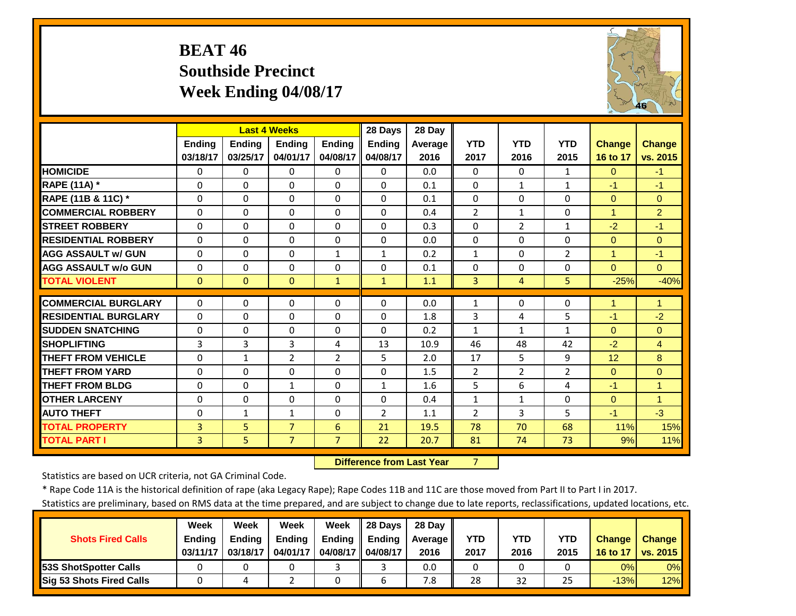#### **BEAT 46 Southside PrecinctWeek Ending 04/08/17**



|                             |               | <b>Last 4 Weeks</b> |                |                | 28 Days        | 28 Day  |                |                |                |                |                |
|-----------------------------|---------------|---------------------|----------------|----------------|----------------|---------|----------------|----------------|----------------|----------------|----------------|
|                             | <b>Ending</b> | <b>Endina</b>       | <b>Endina</b>  | <b>Ending</b>  | <b>Ending</b>  | Average | <b>YTD</b>     | <b>YTD</b>     | <b>YTD</b>     | <b>Change</b>  | <b>Change</b>  |
|                             | 03/18/17      | 03/25/17            | 04/01/17       | 04/08/17       | 04/08/17       | 2016    | 2017           | 2016           | 2015           | 16 to 17       | vs. 2015       |
| <b>HOMICIDE</b>             | $\Omega$      | $\Omega$            | $\Omega$       | $\Omega$       | $\Omega$       | 0.0     | $\Omega$       | 0              | $\mathbf{1}$   | $\Omega$       | $-1$           |
| RAPE (11A) *                | $\Omega$      | $\Omega$            | 0              | $\Omega$       | 0              | 0.1     | $\Omega$       | $\mathbf{1}$   | 1              | $-1$           | $-1$           |
| RAPE (11B & 11C) *          | $\Omega$      | $\Omega$            | $\Omega$       | $\Omega$       | $\Omega$       | 0.1     | $\Omega$       | $\Omega$       | $\Omega$       | $\Omega$       | $\Omega$       |
| <b>COMMERCIAL ROBBERY</b>   | $\Omega$      | $\Omega$            | $\Omega$       | $\Omega$       | $\Omega$       | 0.4     | $\overline{2}$ | $\mathbf{1}$   | 0              | $\mathbf{1}$   | $\overline{2}$ |
| <b>STREET ROBBERY</b>       | $\Omega$      | $\Omega$            | $\Omega$       | $\Omega$       | $\Omega$       | 0.3     | $\Omega$       | $\overline{2}$ | $\mathbf{1}$   | $-2$           | $-1$           |
| <b>RESIDENTIAL ROBBERY</b>  | $\Omega$      | $\Omega$            | $\Omega$       | $\Omega$       | $\Omega$       | 0.0     | $\Omega$       | $\Omega$       | 0              | $\Omega$       | $\Omega$       |
| <b>AGG ASSAULT W/ GUN</b>   | 0             | $\Omega$            | $\Omega$       | $\mathbf{1}$   | $\mathbf{1}$   | 0.2     | $\mathbf{1}$   | $\Omega$       | $\overline{2}$ | $\overline{1}$ | $-1$           |
| <b>AGG ASSAULT w/o GUN</b>  | 0             | $\Omega$            | $\Omega$       | $\Omega$       | 0              | 0.1     | $\Omega$       | $\Omega$       | 0              | $\Omega$       | $\Omega$       |
| <b>TOTAL VIOLENT</b>        | $\mathbf{0}$  | $\Omega$            | $\Omega$       | $\mathbf{1}$   | $\mathbf{1}$   | 1.1     | 3              | 4              | 5              | $-25%$         | $-40%$         |
| <b>COMMERCIAL BURGLARY</b>  | $\Omega$      | $\Omega$            | $\mathbf 0$    | $\Omega$       | $\Omega$       | 0.0     | 1              | $\Omega$       | 0              | 1              | 1              |
| <b>RESIDENTIAL BURGLARY</b> | $\Omega$      | $\Omega$            | $\Omega$       | 0              | 0              | 1.8     | 3              | 4              | 5              | $-1$           | $-2$           |
| <b>SUDDEN SNATCHING</b>     | 0             | $\Omega$            | $\Omega$       | 0              | $\Omega$       | 0.2     | $\mathbf{1}$   | 1              | 1              | $\Omega$       | $\Omega$       |
| <b>SHOPLIFTING</b>          | 3             | 3                   | 3              | 4              | 13             | 10.9    | 46             | 48             | 42             | $-2$           | $\overline{4}$ |
| <b>THEFT FROM VEHICLE</b>   | $\Omega$      | 1                   | $\overline{2}$ | $\overline{2}$ | 5              | 2.0     | 17             | 5.             | 9              | 12             | 8              |
| <b>THEFT FROM YARD</b>      | $\Omega$      | $\Omega$            | $\Omega$       | $\Omega$       | 0              | 1.5     | $\overline{2}$ | $\overline{2}$ | $\overline{2}$ | $\Omega$       | $\Omega$       |
| <b>THEFT FROM BLDG</b>      | $\Omega$      | $\Omega$            | $\mathbf{1}$   | 0              | $\mathbf{1}$   | 1.6     | 5              | 6              | 4              | $-1$           | $\mathbf{1}$   |
| <b>OTHER LARCENY</b>        | $\Omega$      | $\Omega$            | $\Omega$       | 0              | $\Omega$       | 0.4     | $\mathbf{1}$   | $\mathbf{1}$   | 0              | $\Omega$       | $\overline{1}$ |
| <b>AUTO THEFT</b>           | $\Omega$      | $\mathbf{1}$        | $\mathbf{1}$   | 0              | $\overline{2}$ | 1.1     | $\overline{2}$ | 3              | 5              | $-1$           | $-3$           |
| <b>TOTAL PROPERTY</b>       | 3             | 5                   | $\overline{7}$ | 6              | 21             | 19.5    | 78             | 70             | 68             | 11%            | 15%            |
| <b>TOTAL PART I</b>         | 3             | 5                   | $\overline{7}$ | $\overline{7}$ | 22             | 20.7    | 81             | 74             | 73             | 9%             | 11%            |
|                             |               |                     |                |                |                |         |                |                |                |                |                |

 **Difference from Last Year**

7

Statistics are based on UCR criteria, not GA Criminal Code.

\* Rape Code 11A is the historical definition of rape (aka Legacy Rape); Rape Codes 11B and 11C are those moved from Part II to Part I in 2017.

|                          | Week          | Week          | Week     | Week          | 28 Days  | 28 Dav            |      |      |            |               |               |
|--------------------------|---------------|---------------|----------|---------------|----------|-------------------|------|------|------------|---------------|---------------|
| <b>Shots Fired Calls</b> | <b>Ending</b> | <b>Ending</b> | Ending   | <b>Ending</b> | Ending   | <b>Average</b> II | YTD  | YTD  | <b>YTD</b> | <b>Change</b> | <b>Change</b> |
|                          | 03/11/17      | 03/18/17      | 04/01/17 | 04/08/17 II   | 04/08/17 | 2016              | 2017 | 2016 | 2015       | 16 to 17      | vs. 2015      |
| 53S ShotSpotter Calls    |               |               |          |               |          | 0.0               |      |      |            | 0%            | 0%            |
| Sig 53 Shots Fired Calls |               |               |          |               |          | 7.8               | 28   | 32   | 25         | $-13%$        | 12%           |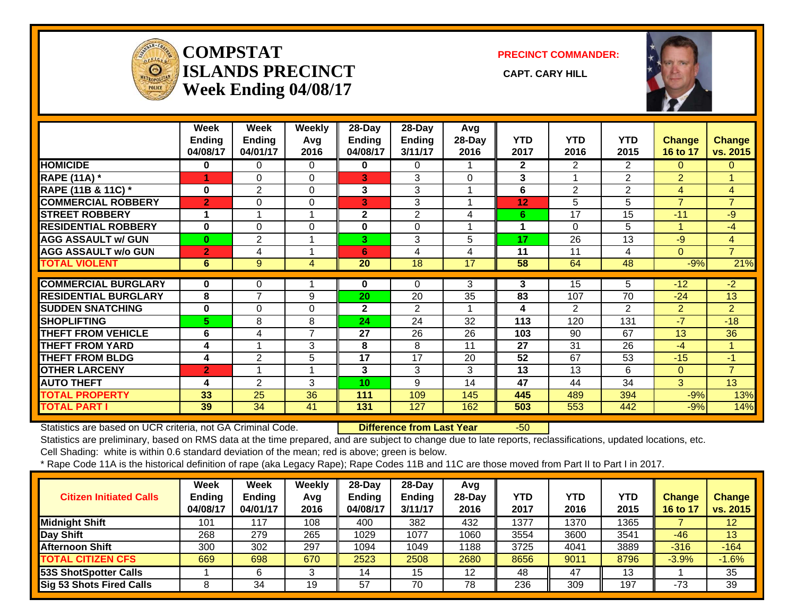

#### **COMPSTATISLANDS PRECINCT** CAPT. CARY HILL **Week Ending 04/08/17**

**PRECINCT COMMANDER:**



|                               | Week<br><b>Ending</b><br>04/08/17 | Week<br><b>Ending</b><br>04/01/17 | <b>Weekly</b><br>Avg<br>2016 | $28$ -Day<br>Ending<br>04/08/17 | 28-Day<br>Ending<br>3/11/17 | Avg<br>28-Day<br>2016 | <b>YTD</b><br>2017 | <b>YTD</b><br>2016 | <b>YTD</b><br>2015 | Change<br>16 to 17 | <b>Change</b><br>vs. 2015 |
|-------------------------------|-----------------------------------|-----------------------------------|------------------------------|---------------------------------|-----------------------------|-----------------------|--------------------|--------------------|--------------------|--------------------|---------------------------|
| <b>HOMICIDE</b>               | 0                                 | 0                                 | 0                            | 0                               | 0                           |                       | $\overline{2}$     | $\overline{2}$     | $\overline{2}$     | 0                  | $\mathbf{0}$              |
| <b>RAPE (11A) *</b>           | 4                                 | 0                                 | $\Omega$                     | 3                               | 3                           | $\Omega$              | 3                  |                    | $\overline{2}$     | $\overline{2}$     |                           |
| <b>RAPE (11B &amp; 11C)</b> * | $\bf{0}$                          | $\overline{2}$                    | $\Omega$                     | 3                               | 3                           |                       | 6                  | $\overline{2}$     | 2                  | $\overline{4}$     | 4                         |
| <b>COMMERCIAL ROBBERY</b>     | $\overline{2}$                    | 0                                 | 0                            | 3                               | 3                           |                       | 12                 | 5                  | 5                  | $\overline{7}$     | $\overline{7}$            |
| <b>STREET ROBBERY</b>         |                                   |                                   |                              | 2                               | $\overline{2}$              | 4                     | 6                  | 17                 | 15                 | $-11$              | $-9$                      |
| <b>RESIDENTIAL ROBBERY</b>    | $\bf{0}$                          | $\Omega$                          | $\Omega$                     | 0                               | $\Omega$                    |                       | 1                  | $\Omega$           | 5                  |                    | -4                        |
| <b>AGG ASSAULT w/ GUN</b>     | $\bf{0}$                          | $\overline{2}$                    |                              | 3                               | 3                           | 5                     | 17                 | 26                 | 13                 | -9                 | 4                         |
| <b>AGG ASSAULT w/o GUN</b>    | $\overline{2}$                    | 4                                 |                              | 6                               | 4                           | 4                     | 11                 | 11                 | 4                  | $\Omega$           | $\overline{7}$            |
| <b>TOTAL VIOLENT</b>          | 6                                 | 9                                 | 4                            | 20                              | 18                          | 17                    | 58                 | 64                 | 48                 | $-9%$              | 21%                       |
|                               |                                   |                                   |                              |                                 |                             |                       |                    |                    |                    |                    |                           |
| <b>COMMERCIAL BURGLARY</b>    | 0                                 | 0<br>$\overline{7}$               |                              | 0                               | 0                           | 3                     | 3                  | 15                 | 5                  | $-12$              | $-2$                      |
| <b>RESIDENTIAL BURGLARY</b>   | 8                                 |                                   | 9                            | 20                              | 20                          | 35                    | 83                 | 107                | 70                 | $-24$              | 13                        |
| <b>SUDDEN SNATCHING</b>       | $\mathbf 0$                       | 0                                 | 0                            | $\mathbf 2$                     | 2                           | 1                     | 4                  | 2                  | 2                  | $\overline{2}$     | $\overline{2}$            |
| <b>SHOPLIFTING</b>            | 5.                                | 8                                 | 8                            | 24                              | 24                          | 32                    | 113                | 120                | 131                | $-7$               | $-18$                     |
| <b>THEFT FROM VEHICLE</b>     | 6                                 | 4                                 | 7                            | 27                              | 26                          | 26                    | 103                | 90                 | 67                 | 13                 | 36                        |
| <b>THEFT FROM YARD</b>        | 4                                 |                                   | 3                            | 8                               | 8                           | 11                    | 27                 | 31                 | 26                 | $-4$               |                           |
| <b>THEFT FROM BLDG</b>        | 4                                 | 2                                 | 5                            | 17                              | 17                          | 20                    | 52                 | 67                 | 53                 | $-15$              | $-1$                      |
| <b>OTHER LARCENY</b>          | $\overline{2}$                    |                                   |                              | 3                               | 3                           | 3                     | 13                 | 13                 | 6                  | $\overline{0}$     | $\overline{7}$            |
| <b>AUTO THEFT</b>             | 4                                 | 2                                 | 3                            | 10                              | 9                           | 14                    | 47                 | 44                 | 34                 | 3                  | 13                        |
| <b>TOTAL PROPERTY</b>         | 33                                | 25                                | 36                           | 111                             | 109                         | 145                   | 445                | 489                | 394                | $-9%$              | 13%                       |
| <b>TOTAL PART I</b>           | 39                                | 34                                | 41                           | 131                             | 127                         | 162                   | 503                | 553                | 442                | $-9%$              | 14%                       |

Statistics are based on UCR criteria, not GA Criminal Code. **Difference from Last Year** -50

Statistics are preliminary, based on RMS data at the time prepared, and are subject to change due to late reports, reclassifications, updated locations, etc. Cell Shading: white is within 0.6 standard deviation of the mean; red is above; green is below.

| <b>Citizen Initiated Calls</b> | Week<br><b>Ending</b><br>04/08/17 | <b>Week</b><br><b>Ending</b><br>04/01/17 | Weekly<br>Avg<br>2016 | $28$ -Day<br><b>Ending</b><br>04/08/17 | $28-Dav$<br><b>Ending</b><br>3/11/17 | Avg<br>$28-Dav$<br>2016 | <b>YTD</b><br>2017 | YTD<br>2016 | <b>YTD</b><br>2015 | <b>Change</b><br>16 to 17 | <b>Change</b><br>vs. 2015 |
|--------------------------------|-----------------------------------|------------------------------------------|-----------------------|----------------------------------------|--------------------------------------|-------------------------|--------------------|-------------|--------------------|---------------------------|---------------------------|
| <b>Midnight Shift</b>          | 101                               | 117                                      | 108                   | 400                                    | 382                                  | 432                     | 1377               | 1370        | 1365               |                           | 12                        |
| Day Shift                      | 268                               | 279                                      | 265                   | 1029                                   | 1077                                 | 1060                    | 3554               | 3600        | 3541               | $-46$                     | 13                        |
| <b>Afternoon Shift</b>         | 300                               | 302                                      | 297                   | 1094                                   | 1049                                 | 1188                    | 3725               | 4041        | 3889               | $-316$                    | $-164$                    |
| <b>TOTAL CITIZEN CFS</b>       | 669                               | 698                                      | 670                   | 2523                                   | 2508                                 | 2680                    | 8656               | 9011        | 8796               | $-3.9%$                   | $-1.6%$                   |
| <b>53S ShotSpotter Calls</b>   |                                   | 6                                        | 3                     | 14                                     | 15                                   | 12                      | 48                 | 47          | 13                 |                           | 35                        |
| Sig 53 Shots Fired Calls       |                                   | 34                                       | 19                    | 57                                     | 70                                   | 78                      | 236                | 309         | 197                | $-73$                     | 39                        |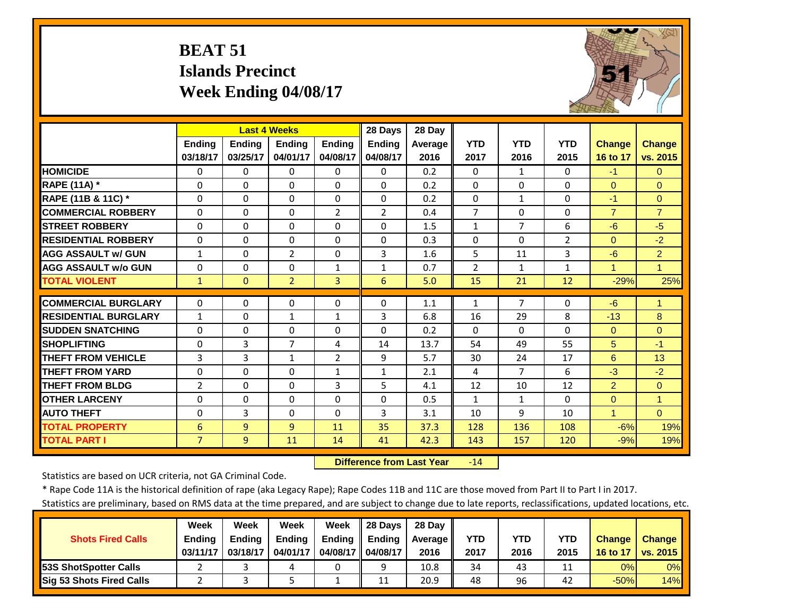# **BEAT 51 Islands Precinct Week Ending 04/08/17**



|                             |                | <b>Last 4 Weeks</b> |                |                | 28 Days        | 28 Day         |                |                |                |                      |                |
|-----------------------------|----------------|---------------------|----------------|----------------|----------------|----------------|----------------|----------------|----------------|----------------------|----------------|
|                             | <b>Ending</b>  | <b>Ending</b>       | <b>Endina</b>  | <b>Endina</b>  | <b>Endina</b>  | <b>Average</b> | <b>YTD</b>     | <b>YTD</b>     | <b>YTD</b>     | <b>Change</b>        | <b>Change</b>  |
|                             | 03/18/17       | 03/25/17            | 04/01/17       | 04/08/17       | 04/08/17       | 2016           | 2017           | 2016           | 2015           | 16 to 17             | vs. 2015       |
| <b>HOMICIDE</b>             | $\Omega$       | 0                   | $\Omega$       | 0              | $\Omega$       | 0.2            | $\Omega$       | $\mathbf{1}$   | $\Omega$       | $-1$                 | $\Omega$       |
| RAPE (11A) *                | $\Omega$       | 0                   | $\Omega$       | $\Omega$       | $\Omega$       | 0.2            | $\Omega$       | $\Omega$       | $\Omega$       | $\Omega$             | $\Omega$       |
| RAPE (11B & 11C) *          | $\Omega$       | 0                   | $\Omega$       | $\Omega$       | $\Omega$       | 0.2            | $\Omega$       | $\mathbf{1}$   | $\Omega$       | $-1$                 | $\Omega$       |
| <b>COMMERCIAL ROBBERY</b>   | $\Omega$       | 0                   | $\Omega$       | $\overline{2}$ | $\overline{2}$ | 0.4            | $\overline{7}$ | $\Omega$       | $\Omega$       | $\overline{7}$       | $\overline{7}$ |
| <b>STREET ROBBERY</b>       | $\Omega$       | 0                   | $\Omega$       | $\Omega$       | $\Omega$       | 1.5            | $\mathbf{1}$   | 7              | 6              | $-6$                 | $-5$           |
| <b>RESIDENTIAL ROBBERY</b>  | $\Omega$       | 0                   | $\Omega$       | $\Omega$       | $\Omega$       | 0.3            | $\Omega$       | $\Omega$       | $\overline{2}$ | $\Omega$             | $-2$           |
| <b>AGG ASSAULT W/ GUN</b>   | $\mathbf{1}$   | 0                   | $\overline{2}$ | $\Omega$       | 3              | 1.6            | 5              | 11             | 3              | $-6$                 | $\overline{2}$ |
| <b>AGG ASSAULT w/o GUN</b>  | $\Omega$       | 0                   | 0              | 1              | 1              | 0.7            | $\overline{2}$ | 1              | $\mathbf{1}$   | 4                    | $\mathbf{1}$   |
| <b>TOTAL VIOLENT</b>        | $\mathbf{1}$   | $\Omega$            | $\overline{2}$ | 3              | 6              | 5.0            | 15             | 21             | 12             | $-29%$               | 25%            |
| <b>COMMERCIAL BURGLARY</b>  | $\Omega$       | 0                   | $\Omega$       | 0              | 0              | 1.1            | $\mathbf{1}$   | 7              | 0              | $-6$                 | 1              |
| <b>RESIDENTIAL BURGLARY</b> | $\mathbf{1}$   | 0                   | $\mathbf{1}$   | $\mathbf{1}$   | 3              | 6.8            | 16             | 29             | 8              | $-13$                | 8              |
| <b>SUDDEN SNATCHING</b>     | $\Omega$       | 0                   | $\Omega$       | 0              | 0              | 0.2            | $\Omega$       | $\Omega$       | $\Omega$       | $\Omega$             | $\Omega$       |
| <b>SHOPLIFTING</b>          | $\Omega$       | 3                   | $\overline{7}$ | 4              | 14             | 13.7           | 54             | 49             | 55             | 5                    | $-1$           |
| <b>THEFT FROM VEHICLE</b>   | 3              | $\overline{3}$      | $\mathbf{1}$   | $\overline{2}$ | 9              | 5.7            | 30             | 24             | 17             | 6                    | 13             |
| <b>THEFT FROM YARD</b>      | $\Omega$       | 0                   | $\Omega$       | $\mathbf{1}$   | $\mathbf{1}$   | 2.1            | 4              | $\overline{7}$ | 6              | $-3$                 | $-2$           |
| <b>THEFT FROM BLDG</b>      | $\overline{2}$ | 0                   | $\Omega$       | 3              | 5              | 4.1            | 12             | 10             | 12             | 2                    | $\Omega$       |
| <b>OTHER LARCENY</b>        | $\Omega$       | 0                   | $\Omega$       | $\Omega$       | $\Omega$       | 0.5            | $\mathbf{1}$   | $\mathbf{1}$   | $\Omega$       | $\Omega$             | $\mathbf{1}$   |
| <b>AUTO THEFT</b>           | $\Omega$       | $\overline{3}$      | $\Omega$       | $\Omega$       | 3              | 3.1            | 10             | 9              | 10             | $\blacktriangleleft$ | $\Omega$       |
| <b>TOTAL PROPERTY</b>       | 6              | 9                   | 9              | 11             | 35             | 37.3           | 128            | 136            | 108            | $-6%$                | 19%            |
| <b>TOTAL PART I</b>         | $\overline{7}$ | $\overline{9}$      | 11             | 14             | 41             | 42.3           | 143            | 157            | 120            | $-9%$                | 19%            |

 **Difference from Last Year**r -14

Statistics are based on UCR criteria, not GA Criminal Code.

\* Rape Code 11A is the historical definition of rape (aka Legacy Rape); Rape Codes 11B and 11C are those moved from Part II to Part I in 2017.

|                               | Week          | Week          | Week          | Week     | 28 Davs       | 28 Dav     |            |      |      |               |                 |
|-------------------------------|---------------|---------------|---------------|----------|---------------|------------|------------|------|------|---------------|-----------------|
| <b>Shots Fired Calls</b>      | <b>Ending</b> | <b>Endina</b> | <b>Ending</b> | Ending   | <b>Ending</b> | Average II | <b>YTD</b> | YTD  | YTD  | <b>Change</b> | <b>Change</b>   |
|                               | 03/11/17      | 03/18/17      | 04/01/17      | 04/08/17 | 04/08/17      | 2016       | 2017       | 2016 | 2015 | 16 to 17      | <b>vs. 2015</b> |
| <b>153S ShotSpotter Calls</b> |               |               |               |          |               | 10.8       | 34         | 43   |      | 0%            | $0\%$           |
| Sig 53 Shots Fired Calls      |               |               |               |          | 11            | 20.9       | 48         | 96   | 42   | $-50%$        | 14%             |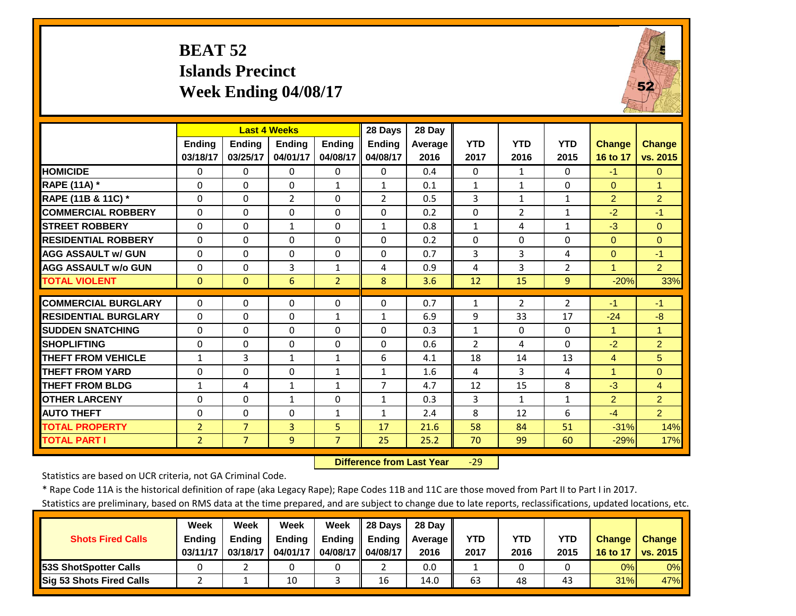# **BEAT 52 Islands Precinct Week Ending 04/08/17**



|                             |                |                | <b>Last 4 Weeks</b> |                | 28 Days        | 28 Day  |                |                |                |                |                |
|-----------------------------|----------------|----------------|---------------------|----------------|----------------|---------|----------------|----------------|----------------|----------------|----------------|
|                             | Ending         | <b>Ending</b>  | <b>Ending</b>       | <b>Ending</b>  | <b>Ending</b>  | Average | <b>YTD</b>     | <b>YTD</b>     | <b>YTD</b>     | <b>Change</b>  | Change         |
|                             | 03/18/17       | 03/25/17       | 04/01/17            | 04/08/17       | 04/08/17       | 2016    | 2017           | 2016           | 2015           | 16 to 17       | vs. 2015       |
| <b>HOMICIDE</b>             | 0              | 0              | $\Omega$            | $\Omega$       | $\Omega$       | 0.4     | $\Omega$       | 1              | 0              | $-1$           | $\Omega$       |
| <b>RAPE (11A) *</b>         | $\Omega$       | $\Omega$       | $\Omega$            | $\mathbf{1}$   | $\mathbf{1}$   | 0.1     | $1\,$          | $\mathbf{1}$   | $\Omega$       | $\Omega$       | $\overline{1}$ |
| RAPE (11B & 11C) *          | $\Omega$       | $\Omega$       | $\overline{2}$      | $\Omega$       | $\overline{2}$ | 0.5     | 3              | $\mathbf{1}$   | $\mathbf{1}$   | $\overline{2}$ | $\overline{2}$ |
| <b>COMMERCIAL ROBBERY</b>   | $\Omega$       | $\Omega$       | $\Omega$            | 0              | $\Omega$       | 0.2     | $\Omega$       | $\overline{2}$ | $\mathbf{1}$   | $-2$           | $-1$           |
| <b>STREET ROBBERY</b>       | $\Omega$       | 0              | 1                   | $\Omega$       | 1              | 0.8     | $1\,$          | 4              | $\mathbf{1}$   | $-3$           | $\Omega$       |
| <b>RESIDENTIAL ROBBERY</b>  | $\Omega$       | $\Omega$       | $\Omega$            | 0              | $\Omega$       | 0.2     | $\Omega$       | $\Omega$       | 0              | $\Omega$       | $\Omega$       |
| <b>AGG ASSAULT w/ GUN</b>   | $\Omega$       | $\Omega$       | 0                   | 0              | $\Omega$       | 0.7     | $\overline{3}$ | 3              | 4              | $\overline{0}$ | $-1$           |
| <b>AGG ASSAULT w/o GUN</b>  | 0              | $\Omega$       | 3                   | 1              | 4              | 0.9     | 4              | 3              | $\overline{2}$ | 1              | 2 <sup>1</sup> |
| <b>TOTAL VIOLENT</b>        | $\mathbf{0}$   | $\Omega$       | 6                   | $\overline{2}$ | 8              | 3.6     | 12             | 15             | 9              | $-20%$         | 33%            |
| <b>COMMERCIAL BURGLARY</b>  | $\Omega$       | $\Omega$       | $\mathbf 0$         | 0              | $\Omega$       | 0.7     | $\mathbf{1}$   | $\overline{2}$ | $\overline{2}$ | $-1$           | $-1$           |
| <b>RESIDENTIAL BURGLARY</b> | $\Omega$       | 0              | $\Omega$            | $\mathbf{1}$   | $\mathbf{1}$   | 6.9     | 9              | 33             | 17             | $-24$          | $-8$           |
| <b>SUDDEN SNATCHING</b>     | $\Omega$       | 0              | $\Omega$            | 0              | 0              | 0.3     | $\mathbf{1}$   | $\Omega$       | 0              | 1              | $\overline{1}$ |
| <b>SHOPLIFTING</b>          | $\Omega$       | 0              | $\Omega$            | 0              | 0              | 0.6     | $\overline{2}$ | 4              | 0              | $-2$           | $\overline{2}$ |
| <b>THEFT FROM VEHICLE</b>   | $\mathbf{1}$   | 3              | $\mathbf{1}$        | 1              | 6              | 4.1     | 18             | 14             | 13             | 4              | 5              |
| <b>THEFT FROM YARD</b>      | $\Omega$       | $\Omega$       | $\Omega$            | $\mathbf{1}$   | $\mathbf{1}$   | 1.6     | 4              | 3              | 4              | 1              | $\Omega$       |
| <b>THEFT FROM BLDG</b>      | 1              | 4              | $\mathbf{1}$        | 1              | 7              | 4.7     | 12             | 15             | 8              | $-3$           | $\overline{4}$ |
| <b>OTHER LARCENY</b>        | $\Omega$       | $\Omega$       | 1                   | 0              | $\mathbf{1}$   | 0.3     | 3              | $\mathbf{1}$   | $\mathbf{1}$   | $\overline{2}$ | 2              |
| <b>AUTO THEFT</b>           | $\Omega$       | $\Omega$       | $\Omega$            | $\mathbf{1}$   | $\mathbf{1}$   | 2.4     | 8              | 12             | 6              | $-4$           | $\overline{2}$ |
| <b>TOTAL PROPERTY</b>       | $\overline{2}$ | $\overline{7}$ | $\overline{3}$      | 5              | 17             | 21.6    | 58             | 84             | 51             | $-31%$         | 14%            |
| <b>TOTAL PART I</b>         | $\overline{2}$ | $\overline{7}$ | 9                   | $\overline{7}$ | 25             | 25.2    | 70             | 99             | 60             | $-29%$         | 17%            |

 **Difference from Last Year**‐29

Statistics are based on UCR criteria, not GA Criminal Code.

\* Rape Code 11A is the historical definition of rape (aka Legacy Rape); Rape Codes 11B and 11C are those moved from Part II to Part I in 2017.

|                               | Week          | Week          | Week          | Week          | 28 Days       | 28 Day            |            |      |      |               |               |
|-------------------------------|---------------|---------------|---------------|---------------|---------------|-------------------|------------|------|------|---------------|---------------|
| <b>Shots Fired Calls</b>      | <b>Ending</b> | <b>Endina</b> | <b>Ending</b> | <b>Ending</b> | <b>Ending</b> | <b>Average II</b> | <b>YTD</b> | YTD  | YTD  | <b>Change</b> | <b>Change</b> |
|                               | 03/11/17      | 03/18/17      | 04/01/17      | 04/08/17      | 04/08/17      | 2016              | 2017       | 2016 | 2015 | 16 to 17      | vs. 2015      |
| <b>153S ShotSpotter Calls</b> |               |               |               |               |               | 0.0               |            |      |      | 0%            | $0\%$         |
| Sig 53 Shots Fired Calls      |               |               | 10            |               | 16            | 14.0              | 63         | 48   | 43   | 31%           | 47%           |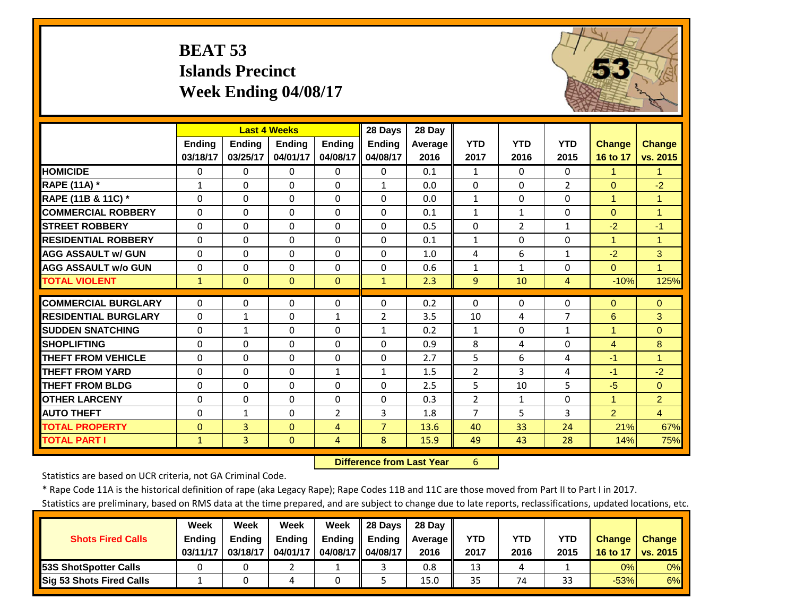# **BEAT 53 Islands Precinct Week Ending 04/08/17**



|                             |                      |                | <b>Last 4 Weeks</b> |                      | 28 Days              | 28 Day  |                |                |                |                |                      |
|-----------------------------|----------------------|----------------|---------------------|----------------------|----------------------|---------|----------------|----------------|----------------|----------------|----------------------|
|                             | Ending               | <b>Ending</b>  | <b>Endina</b>       | <b>Endina</b>        | <b>Ending</b>        | Average | <b>YTD</b>     | <b>YTD</b>     | <b>YTD</b>     | <b>Change</b>  | <b>Change</b>        |
|                             | 03/18/17             | 03/25/17       | 04/01/17            | 04/08/17             | 04/08/17             | 2016    | 2017           | 2016           | 2015           | 16 to 17       | vs. 2015             |
| <b>HOMICIDE</b>             | $\Omega$             | 0              | $\Omega$            | 0                    | $\Omega$             | 0.1     | $\mathbf{1}$   | 0              | 0              | 1              | 1                    |
| <b>RAPE (11A) *</b>         | $\mathbf{1}$         | 0              | $\Omega$            | $\Omega$             | $\mathbf{1}$         | 0.0     | $\mathbf{0}$   | $\Omega$       | $\overline{2}$ | $\Omega$       | $-2$                 |
| RAPE (11B & 11C) *          | $\Omega$             | $\Omega$       | $\Omega$            | $\Omega$             | $\Omega$             | 0.0     | $\mathbf{1}$   | $\Omega$       | $\Omega$       | $\overline{1}$ | $\overline{1}$       |
| <b>COMMERCIAL ROBBERY</b>   | $\Omega$             | 0              | 0                   | $\Omega$             | 0                    | 0.1     | $\mathbf{1}$   | $\mathbf{1}$   | $\Omega$       | $\mathbf{0}$   | $\overline{1}$       |
| <b>STREET ROBBERY</b>       | $\Omega$             | 0              | $\Omega$            | $\Omega$             | $\Omega$             | 0.5     | $\Omega$       | $\overline{2}$ | $\mathbf{1}$   | $-2$           | $-1$                 |
| <b>RESIDENTIAL ROBBERY</b>  | $\Omega$             | 0              | $\Omega$            | $\Omega$             | $\Omega$             | 0.1     | $\mathbf{1}$   | $\Omega$       | $\Omega$       | $\mathbf{1}$   | $\blacktriangleleft$ |
| <b>AGG ASSAULT w/ GUN</b>   | $\Omega$             | 0              | 0                   | $\Omega$             | $\Omega$             | 1.0     | 4              | 6              | $\mathbf{1}$   | $-2$           | 3                    |
| <b>AGG ASSAULT w/o GUN</b>  | $\Omega$             | 0              | $\Omega$            | $\Omega$             | $\Omega$             | 0.6     | $\mathbf{1}$   | $\mathbf{1}$   | $\Omega$       | $\Omega$       | $\overline{1}$       |
| <b>TOTAL VIOLENT</b>        | $\mathbf{1}$         | $\overline{0}$ | $\Omega$            | $\Omega$             | $\mathbf{1}$         | 2.3     | 9              | 10             | 4              | $-10%$         | 125%                 |
| <b>COMMERCIAL BURGLARY</b>  | $\Omega$             | 0              | $\Omega$            | 0                    | $\Omega$             | 0.2     | $\Omega$       | $\Omega$       | $\Omega$       | $\mathbf{0}$   | $\Omega$             |
| <b>RESIDENTIAL BURGLARY</b> | $\Omega$             | $\mathbf{1}$   | $\mathbf 0$         | $\mathbf{1}$         | 2                    | 3.5     | 10             | 4              | 7              | 6              | 3                    |
| <b>SUDDEN SNATCHING</b>     | $\Omega$             | $\mathbf{1}$   | $\Omega$            | $\Omega$             | $\mathbf{1}$         | 0.2     | $\mathbf{1}$   | $\Omega$       | $\mathbf{1}$   | 1              | $\Omega$             |
| <b>SHOPLIFTING</b>          |                      |                |                     |                      |                      | 0.9     | 8              |                |                |                | 8                    |
|                             | $\Omega$<br>$\Omega$ | 0<br>0         | $\Omega$            | $\Omega$<br>$\Omega$ | $\Omega$<br>$\Omega$ |         | 5              | 4<br>6         | $\Omega$       | 4              | $\overline{1}$       |
| <b>THEFT FROM VEHICLE</b>   |                      |                | $\Omega$            |                      |                      | 2.7     |                | 3              | 4              | $-1$           |                      |
| <b>THEFT FROM YARD</b>      | $\Omega$             | 0              | $\Omega$            | $\mathbf{1}$         | $\mathbf{1}$         | 1.5     | $\overline{2}$ |                | 4              | $-1$           | $-2$                 |
| <b>THEFT FROM BLDG</b>      | $\Omega$             | 0              | $\Omega$            | $\Omega$             | $\Omega$             | 2.5     | 5              | 10             | 5              | $-5$           | $\Omega$             |
| <b>OTHER LARCENY</b>        | $\Omega$             | 0              | $\Omega$            | $\Omega$             | $\Omega$             | 0.3     | $\overline{2}$ | $\mathbf{1}$   | $\Omega$       | $\mathbf{1}$   | $\overline{2}$       |
| <b>AUTO THEFT</b>           | $\Omega$             | $\mathbf{1}$   | $\Omega$            | $\overline{2}$       | 3                    | 1.8     | $\overline{7}$ | 5              | 3              | $\overline{2}$ | $\overline{4}$       |
| <b>TOTAL PROPERTY</b>       | $\Omega$             | $\overline{3}$ | $\Omega$            | 4                    | $\overline{7}$       | 13.6    | 40             | 33             | 24             | 21%            | 67%                  |
| <b>TOTAL PART I</b>         | $\mathbf{1}$         | $\overline{3}$ | $\mathbf{0}$        | $\overline{4}$       | 8                    | 15.9    | 49             | 43             | 28             | 14%            | 75%                  |

 **Difference from Last Year**r 6

Statistics are based on UCR criteria, not GA Criminal Code.

\* Rape Code 11A is the historical definition of rape (aka Legacy Rape); Rape Codes 11B and 11C are those moved from Part II to Part I in 2017.

|                                 | Week          | Week          | Week          | Week          | 28 Days       | 28 Dav     |      |      |            |               |               |
|---------------------------------|---------------|---------------|---------------|---------------|---------------|------------|------|------|------------|---------------|---------------|
| <b>Shots Fired Calls</b>        | <b>Ending</b> | <b>Ending</b> | <b>Ending</b> | <b>Ending</b> | <b>Ending</b> | Average II | YTD  | YTD  | <b>YTD</b> | <b>Change</b> | <b>Change</b> |
|                                 | 03/11/17      | 03/18/17      | 04/01/17      | 04/08/17 I    | 04/08/17      | 2016       | 2017 | 2016 | 2015       | 16 to 17      | vs. 2015      |
| <b>153S ShotSpotter Calls</b>   |               |               |               |               |               | 0.8        | 13   |      |            | 0%            | $0\%$         |
| <b>Sig 53 Shots Fired Calls</b> |               |               |               |               |               | 15.0       | 35   | 74   | 33         | $-53%$        | 6%            |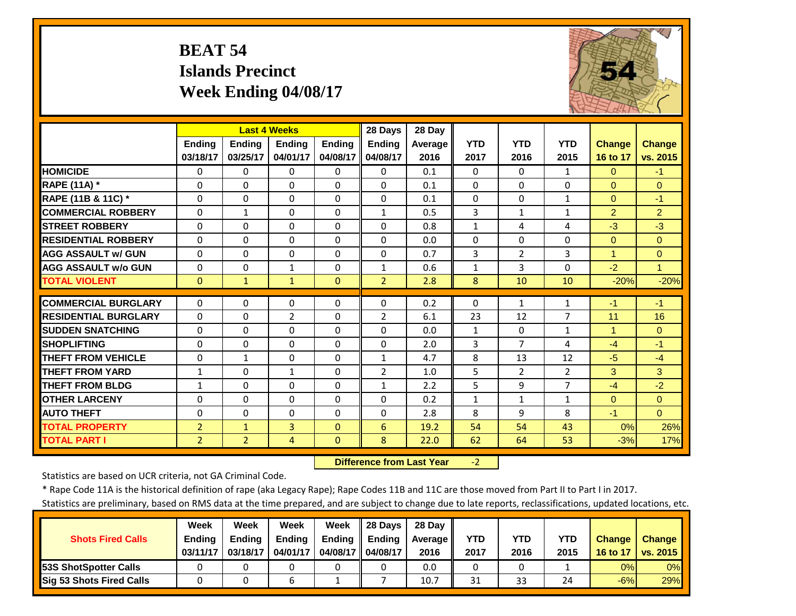# **BEAT 54 Islands Precinct Week Ending 04/08/17**



|                             |                | <b>Last 4 Weeks</b> |                |              | 28 Days        | 28 Day         |              |                |                |                      |                |
|-----------------------------|----------------|---------------------|----------------|--------------|----------------|----------------|--------------|----------------|----------------|----------------------|----------------|
|                             | <b>Endina</b>  | <b>Ending</b>       | <b>Endina</b>  | Ending       | <b>Ending</b>  | <b>Average</b> | <b>YTD</b>   | <b>YTD</b>     | <b>YTD</b>     | <b>Change</b>        | <b>Change</b>  |
|                             | 03/18/17       | 03/25/17            | 04/01/17       | 04/08/17     | 04/08/17       | 2016           | 2017         | 2016           | 2015           | 16 to 17             | vs. 2015       |
| <b>HOMICIDE</b>             | $\Omega$       | 0                   | $\Omega$       | $\Omega$     | $\Omega$       | 0.1            | $\Omega$     | $\Omega$       | $\mathbf{1}$   | $\Omega$             | $-1$           |
| <b>RAPE (11A) *</b>         | $\Omega$       | 0                   | $\Omega$       | $\Omega$     | $\Omega$       | 0.1            | $\Omega$     | $\Omega$       | $\Omega$       | $\Omega$             | $\Omega$       |
| RAPE (11B & 11C) *          | $\Omega$       | 0                   | $\Omega$       | $\Omega$     | $\Omega$       | 0.1            | $\Omega$     | 0              | $\mathbf{1}$   | $\Omega$             | $-1$           |
| <b>COMMERCIAL ROBBERY</b>   | $\Omega$       | 1                   | 0              | $\Omega$     | $\mathbf{1}$   | 0.5            | 3            | $\mathbf{1}$   | $\mathbf{1}$   | $\overline{2}$       | $\overline{2}$ |
| <b>STREET ROBBERY</b>       | $\Omega$       | 0                   | $\Omega$       | $\Omega$     | $\Omega$       | 0.8            | $\mathbf{1}$ | 4              | 4              | $-3$                 | $-3$           |
| <b>RESIDENTIAL ROBBERY</b>  | $\Omega$       | 0                   | $\Omega$       | $\Omega$     | $\Omega$       | 0.0            | $\Omega$     | $\Omega$       | $\Omega$       | $\Omega$             | $\overline{0}$ |
| <b>AGG ASSAULT w/ GUN</b>   | $\Omega$       | 0                   | $\Omega$       | $\Omega$     | $\Omega$       | 0.7            | 3            | $\overline{2}$ | 3              | $\blacktriangleleft$ | $\Omega$       |
| <b>AGG ASSAULT w/o GUN</b>  | $\Omega$       | 0                   | $\mathbf{1}$   | $\Omega$     | $\mathbf{1}$   | 0.6            | $\mathbf{1}$ | 3              | $\Omega$       | $-2$                 | $\mathbf{1}$   |
| <b>TOTAL VIOLENT</b>        | $\Omega$       | $\mathbf{1}$        | $\mathbf{1}$   | $\Omega$     | $\overline{2}$ | 2.8            | 8            | 10             | 10             | $-20%$               | $-20%$         |
| <b>COMMERCIAL BURGLARY</b>  | $\Omega$       | 0                   | $\Omega$       | $\Omega$     | $\Omega$       | 0.2            | $\Omega$     | $\mathbf{1}$   | 1              | $-1$                 | $-1$           |
| <b>RESIDENTIAL BURGLARY</b> | $\Omega$       | 0                   | $\overline{2}$ | $\Omega$     | $\overline{2}$ | 6.1            | 23           | 12             | 7              | 11                   | 16             |
| <b>SUDDEN SNATCHING</b>     | $\Omega$       | 0                   | $\Omega$       | $\Omega$     | $\Omega$       | 0.0            | $\mathbf{1}$ | $\Omega$       | $\mathbf{1}$   | $\mathbf{1}$         | $\Omega$       |
| <b>SHOPLIFTING</b>          | $\Omega$       | 0                   | 0              | $\Omega$     | $\Omega$       | 2.0            | 3            | $\overline{7}$ | 4              | $-4$                 | $-1$           |
| <b>THEFT FROM VEHICLE</b>   | $\Omega$       | $\mathbf{1}$        | $\Omega$       | $\Omega$     | $\mathbf{1}$   | 4.7            | 8            | 13             | 12             | $-5$                 | $-4$           |
| <b>THEFT FROM YARD</b>      | $\mathbf{1}$   | 0                   | 1              | $\Omega$     | $\overline{2}$ | 1.0            | 5            | $\overline{2}$ | $\overline{2}$ | 3                    | 3              |
| <b>THEFT FROM BLDG</b>      | $\mathbf{1}$   | 0                   | $\Omega$       | $\Omega$     | $\mathbf{1}$   | 2.2            | 5            | 9              | $\overline{7}$ | $-4$                 | $-2$           |
| <b>OTHER LARCENY</b>        | $\Omega$       | 0                   | $\Omega$       | $\Omega$     | $\Omega$       | 0.2            | $\mathbf{1}$ | $\mathbf{1}$   | $\mathbf{1}$   | $\Omega$             | $\Omega$       |
| <b>AUTO THEFT</b>           | $\Omega$       | 0                   | $\Omega$       | $\Omega$     | $\Omega$       | 2.8            | 8            | 9              | 8              | $-1$                 | $\Omega$       |
| <b>TOTAL PROPERTY</b>       | $\overline{2}$ | $\mathbf{1}$        | 3              | $\Omega$     | 6              | 19.2           | 54           | 54             | 43             | 0%                   | 26%            |
| <b>TOTAL PART I</b>         | $\overline{2}$ | $\overline{2}$      | 4              | $\mathbf{0}$ | 8              | 22.0           | 62           | 64             | 53             | $-3%$                | 17%            |
|                             |                |                     |                |              |                |                |              |                |                |                      |                |

 **Difference from Last Year**‐2

Statistics are based on UCR criteria, not GA Criminal Code.

\* Rape Code 11A is the historical definition of rape (aka Legacy Rape); Rape Codes 11B and 11C are those moved from Part II to Part I in 2017.

|                          | Week          | Week          | Week     | Week          | 28 Days       | 28 Dav            |      |      |            |               |               |
|--------------------------|---------------|---------------|----------|---------------|---------------|-------------------|------|------|------------|---------------|---------------|
| <b>Shots Fired Calls</b> | <b>Ending</b> | <b>Ending</b> | Ending   | <b>Ending</b> | <b>Ending</b> | <b>Average</b> II | YTD  | YTD  | <b>YTD</b> | <b>Change</b> | <b>Change</b> |
|                          | 03/11/17      | 03/18/17      | 04/01/17 | 04/08/17 II   | 04/08/17      | 2016              | 2017 | 2016 | 2015       | 16 to 17      | vs. 2015      |
| 53S ShotSpotter Calls    |               |               |          |               |               | 0.0               |      |      |            | 0%            | 0%            |
| Sig 53 Shots Fired Calls |               |               | ь        |               |               | 10.7              | 31   | 33   | 24         | $-6%$         | 29%           |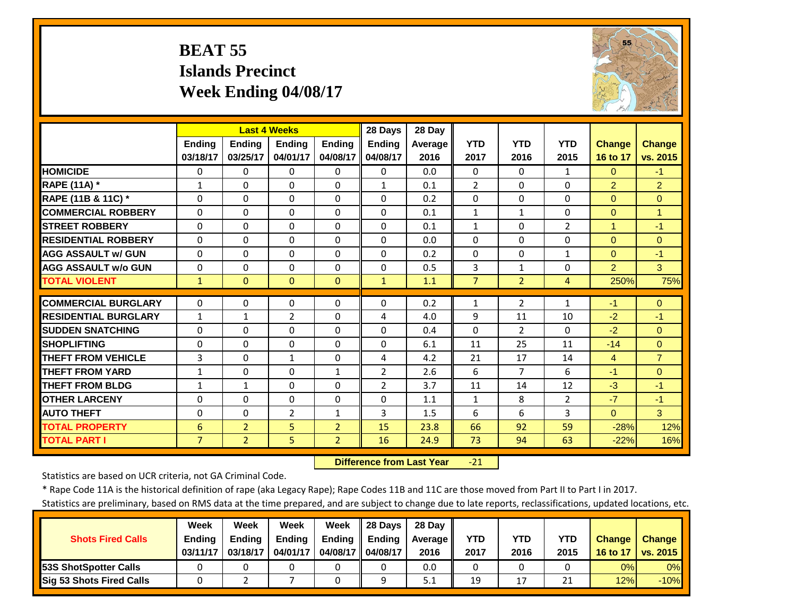## **BEAT 55 Islands Precinct Week Ending 04/08/17**



|                             | <b>Last 4 Weeks</b> |                |                |                | 28 Days        | 28 Day  |                |                |                |                |                |
|-----------------------------|---------------------|----------------|----------------|----------------|----------------|---------|----------------|----------------|----------------|----------------|----------------|
|                             | <b>Endina</b>       | <b>Ending</b>  | <b>Endina</b>  | Ending         | <b>Ending</b>  | Average | <b>YTD</b>     | <b>YTD</b>     | <b>YTD</b>     | <b>Change</b>  | <b>Change</b>  |
|                             | 03/18/17            | 03/25/17       | 04/01/17       | 04/08/17       | 04/08/17       | 2016    | 2017           | 2016           | 2015           | 16 to 17       | vs. 2015       |
| <b>HOMICIDE</b>             | $\Omega$            | 0              | $\Omega$       | 0              | $\Omega$       | 0.0     | $\Omega$       | $\Omega$       | $\mathbf{1}$   | $\Omega$       | $-1$           |
| RAPE (11A) *                | $\mathbf{1}$        | 0              | $\Omega$       | $\Omega$       | $\mathbf{1}$   | 0.1     | $\overline{2}$ | $\Omega$       | $\Omega$       | $\overline{2}$ | $\overline{2}$ |
| RAPE (11B & 11C) *          | $\Omega$            | 0              | $\Omega$       | $\Omega$       | $\Omega$       | 0.2     | 0              | $\Omega$       | $\Omega$       | $\mathbf{0}$   | $\Omega$       |
| <b>COMMERCIAL ROBBERY</b>   | $\Omega$            | 0              | 0              | $\Omega$       | 0              | 0.1     | $\mathbf{1}$   | $\mathbf{1}$   | $\Omega$       | $\mathbf{0}$   | $\overline{1}$ |
| <b>STREET ROBBERY</b>       | $\Omega$            | 0              | $\Omega$       | $\Omega$       | $\Omega$       | 0.1     | $\mathbf{1}$   | $\Omega$       | $\overline{2}$ | $\mathbf{1}$   | $-1$           |
| <b>RESIDENTIAL ROBBERY</b>  | $\Omega$            | 0              | $\Omega$       | $\Omega$       | $\Omega$       | 0.0     | $\mathbf{0}$   | $\Omega$       | $\Omega$       | $\mathbf{0}$   | $\Omega$       |
| <b>AGG ASSAULT W/ GUN</b>   | $\Omega$            | 0              | $\Omega$       | $\Omega$       | $\Omega$       | 0.2     | $\mathbf{0}$   | $\Omega$       | $\mathbf{1}$   | $\Omega$       | $-1$           |
| <b>AGG ASSAULT w/o GUN</b>  | $\Omega$            | 0              | $\Omega$       | $\Omega$       | $\Omega$       | 0.5     | 3              | $\mathbf{1}$   | $\Omega$       | $\overline{2}$ | 3              |
| <b>TOTAL VIOLENT</b>        | $\mathbf{1}$        | $\overline{0}$ | $\mathbf{0}$   | $\mathbf{0}$   | $\mathbf{1}$   | 1.1     | $\overline{7}$ | $\overline{2}$ | 4              | 250%           | 75%            |
| <b>COMMERCIAL BURGLARY</b>  | $\Omega$            | 0              | 0              | 0              | $\Omega$       | 0.2     | $\mathbf{1}$   | $\overline{2}$ | $\mathbf{1}$   | $-1$           | $\Omega$       |
| <b>RESIDENTIAL BURGLARY</b> | $\mathbf{1}$        | $\mathbf{1}$   | $\overline{2}$ | $\Omega$       | 4              | 4.0     | 9              | 11             | 10             | $-2$           | $-1$           |
| <b>SUDDEN SNATCHING</b>     | $\Omega$            | 0              | $\Omega$       | $\Omega$       | $\Omega$       | 0.4     | $\Omega$       | $\overline{2}$ | $\Omega$       | $-2$           | $\Omega$       |
| <b>SHOPLIFTING</b>          | $\Omega$            | 0              | 0              | $\Omega$       | $\Omega$       | 6.1     | 11             | 25             | 11             | $-14$          | $\Omega$       |
| <b>THEFT FROM VEHICLE</b>   | 3                   | 0              | $\mathbf{1}$   | $\Omega$       | 4              | 4.2     | 21             | 17             | 14             | 4              | $\overline{7}$ |
| <b>THEFT FROM YARD</b>      | $\mathbf{1}$        | 0              | $\Omega$       | $\mathbf{1}$   | $\overline{2}$ | 2.6     | 6              | 7              | 6              | $-1$           | $\Omega$       |
| <b>THEFT FROM BLDG</b>      | 1                   | $\mathbf{1}$   | $\Omega$       | $\Omega$       | $\overline{2}$ | 3.7     | 11             | 14             | 12             | $-3$           | $-1$           |
| <b>OTHER LARCENY</b>        | $\Omega$            | 0              | $\Omega$       | $\Omega$       | $\Omega$       | 1.1     | $\mathbf{1}$   | 8              | $\overline{2}$ | $-7$           | $-1$           |
| <b>AUTO THEFT</b>           | $\Omega$            | 0              | $\overline{2}$ | 1              | 3              | 1.5     | 6              | 6              | 3              | $\Omega$       | 3              |
| <b>TOTAL PROPERTY</b>       | $6\phantom{1}6$     | $\overline{2}$ | 5              | $\overline{2}$ | 15             | 23.8    | 66             | 92             | 59             | $-28%$         | 12%            |
| <b>TOTAL PART I</b>         | $\overline{7}$      | $\overline{2}$ | 5              | $\overline{2}$ | 16             | 24.9    | 73             | 94             | 63             | $-22%$         |                |
|                             |                     |                |                |                |                |         |                |                |                |                | 16%            |

 **Difference from Last Year**‐21

Statistics are based on UCR criteria, not GA Criminal Code.

\* Rape Code 11A is the historical definition of rape (aka Legacy Rape); Rape Codes 11B and 11C are those moved from Part II to Part I in 2017.

|                                 | Week          | Week          | Week          | Week          | 28 Days       | 28 Dav     |      |      |      |               |               |
|---------------------------------|---------------|---------------|---------------|---------------|---------------|------------|------|------|------|---------------|---------------|
| <b>Shots Fired Calls</b>        | <b>Ending</b> | <b>Ending</b> | <b>Ending</b> | <b>Ending</b> | <b>Ending</b> | Average II | YTD  | YTD  | YTD  | <b>Change</b> | <b>Change</b> |
|                                 | 03/11/17      | 03/18/17      | 04/01/17      | 04/08/17 I    | 04/08/17      | 2016       | 2017 | 2016 | 2015 | 16 to 17      | vs. 2015      |
| <b>153S ShotSpotter Calls</b>   |               |               |               |               |               | 0.0        |      |      |      | 0%            | $0\%$         |
| <b>Sig 53 Shots Fired Calls</b> |               |               |               |               |               | 5.1        | 19   |      | 21   | 12%           | $-10%$        |